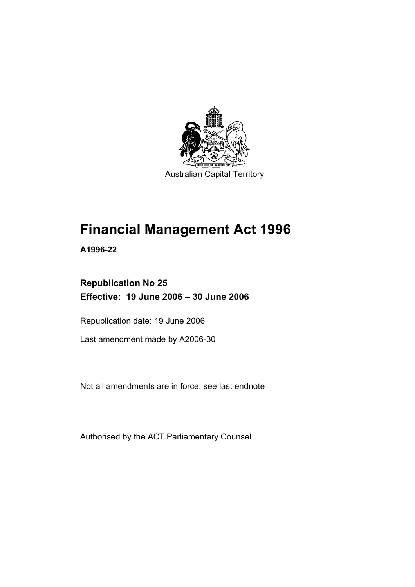

# **Financial Management Act 1996**

**A1996-22** 

### **Republication No 25 Effective: 19 June 2006 – 30 June 2006**

Republication date: 19 June 2006

Last amendment made by A2006-30

Not all amendments are in force: see last endnote

Authorised by the ACT Parliamentary Counsel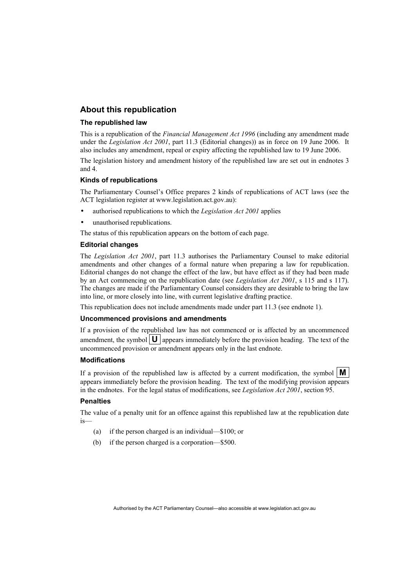#### **About this republication**

#### **The republished law**

This is a republication of the *Financial Management Act 1996* (including any amendment made under the *Legislation Act 2001*, part 11.3 (Editorial changes)) as in force on 19 June 2006*.* It also includes any amendment, repeal or expiry affecting the republished law to 19 June 2006.

The legislation history and amendment history of the republished law are set out in endnotes 3 and 4.

#### **Kinds of republications**

The Parliamentary Counsel's Office prepares 2 kinds of republications of ACT laws (see the ACT legislation register at www.legislation.act.gov.au):

- authorised republications to which the *Legislation Act 2001* applies
- unauthorised republications.

The status of this republication appears on the bottom of each page.

#### **Editorial changes**

The *Legislation Act 2001*, part 11.3 authorises the Parliamentary Counsel to make editorial amendments and other changes of a formal nature when preparing a law for republication. Editorial changes do not change the effect of the law, but have effect as if they had been made by an Act commencing on the republication date (see *Legislation Act 2001*, s 115 and s 117). The changes are made if the Parliamentary Counsel considers they are desirable to bring the law into line, or more closely into line, with current legislative drafting practice.

This republication does not include amendments made under part 11.3 (see endnote 1).

#### **Uncommenced provisions and amendments**

If a provision of the republished law has not commenced or is affected by an uncommenced amendment, the symbol  $\mathbf{U}$  appears immediately before the provision heading. The text of the uncommenced provision or amendment appears only in the last endnote.

#### **Modifications**

If a provision of the republished law is affected by a current modification, the symbol  $\mathbf{M}$ appears immediately before the provision heading. The text of the modifying provision appears in the endnotes. For the legal status of modifications, see *Legislation Act 2001*, section 95.

#### **Penalties**

The value of a penalty unit for an offence against this republished law at the republication date is—

- (a) if the person charged is an individual—\$100; or
- (b) if the person charged is a corporation—\$500.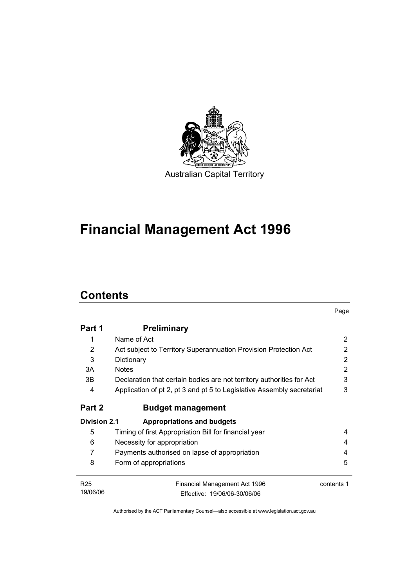

# **Financial Management Act 1996**

# **Contents**

|                     |                                                                        | Page       |
|---------------------|------------------------------------------------------------------------|------------|
| Part 1              | <b>Preliminary</b>                                                     |            |
| 1                   | Name of Act                                                            | 2          |
| 2                   | Act subject to Territory Superannuation Provision Protection Act       | 2          |
| 3                   | Dictionary                                                             | 2          |
| 3A                  | <b>Notes</b>                                                           | 2          |
| 3B                  | Declaration that certain bodies are not territory authorities for Act  | 3          |
| 4                   | Application of pt 2, pt 3 and pt 5 to Legislative Assembly secretariat | 3          |
| Part 2              | <b>Budget management</b>                                               |            |
| <b>Division 2.1</b> | Appropriations and budgets                                             |            |
| 5                   | Timing of first Appropriation Bill for financial year                  | 4          |
| 6                   | Necessity for appropriation                                            | 4          |
| 7                   | Payments authorised on lapse of appropriation                          | 4          |
| 8                   | Form of appropriations                                                 | 5          |
| R <sub>25</sub>     | Financial Management Act 1996                                          | contents 1 |
| 19/06/06            | Effective: 19/06/06-30/06/06                                           |            |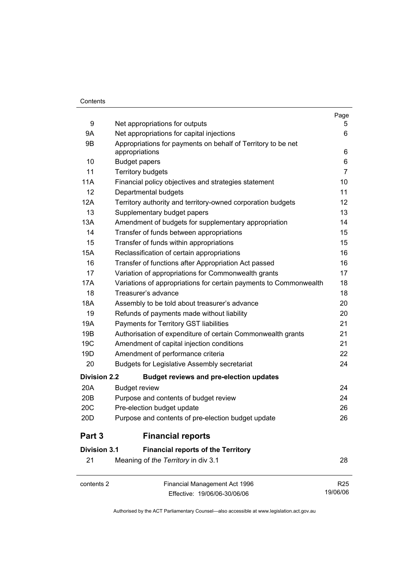#### **Contents**

|                     |                                                                                | Page            |
|---------------------|--------------------------------------------------------------------------------|-----------------|
| 9                   | Net appropriations for outputs                                                 | 5               |
| 9Α                  | Net appropriations for capital injections                                      | 6               |
| 9Β                  | Appropriations for payments on behalf of Territory to be net<br>appropriations | 6               |
| 10                  | <b>Budget papers</b>                                                           | 6               |
| 11                  | <b>Territory budgets</b>                                                       | $\overline{7}$  |
| 11A                 | Financial policy objectives and strategies statement                           | 10              |
| 12                  | Departmental budgets                                                           | 11              |
| 12A                 | Territory authority and territory-owned corporation budgets                    | 12              |
| 13                  | Supplementary budget papers                                                    | 13              |
| 13A                 | Amendment of budgets for supplementary appropriation                           | 14              |
| 14                  | Transfer of funds between appropriations                                       | 15              |
| 15                  | Transfer of funds within appropriations                                        | 15              |
| 15A                 | Reclassification of certain appropriations                                     | 16              |
| 16                  | Transfer of functions after Appropriation Act passed                           | 16              |
| 17                  | Variation of appropriations for Commonwealth grants                            | 17              |
| 17A                 | Variations of appropriations for certain payments to Commonwealth              | 18              |
| 18                  | Treasurer's advance                                                            | 18              |
| 18A                 | Assembly to be told about treasurer's advance                                  | 20              |
| 19                  | Refunds of payments made without liability                                     | 20              |
| 19A                 | Payments for Territory GST liabilities                                         | 21              |
| 19B                 | Authorisation of expenditure of certain Commonwealth grants                    | 21              |
| 19 <sub>C</sub>     | Amendment of capital injection conditions                                      | 21              |
| 19D                 | Amendment of performance criteria                                              | 22              |
| 20                  | <b>Budgets for Legislative Assembly secretariat</b>                            | 24              |
| <b>Division 2.2</b> | <b>Budget reviews and pre-election updates</b>                                 |                 |
| 20A                 | <b>Budget review</b>                                                           | 24              |
| 20 <sub>B</sub>     | Purpose and contents of budget review                                          | 24              |
| 20C                 | Pre-election budget update                                                     | 26              |
| 20 <sub>D</sub>     | Purpose and contents of pre-election budget update                             | 26              |
| Part 3              | <b>Financial reports</b>                                                       |                 |
| <b>Division 3.1</b> | <b>Financial reports of the Territory</b>                                      |                 |
| 21                  | Meaning of the Territory in div 3.1                                            | 28              |
| contents 2          | Financial Management Act 1996                                                  | R <sub>25</sub> |
|                     | Effective: 19/06/06-30/06/06                                                   | 19/06/06        |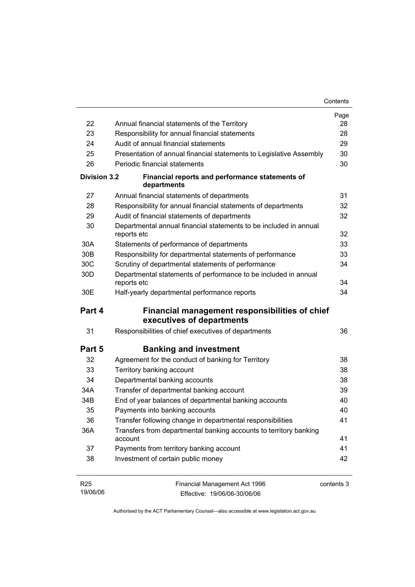|                     |                                                                                  | Page       |
|---------------------|----------------------------------------------------------------------------------|------------|
| 22                  | Annual financial statements of the Territory                                     | 28         |
| 23                  | Responsibility for annual financial statements                                   | 28         |
| 24                  | Audit of annual financial statements                                             | 29         |
| 25                  | Presentation of annual financial statements to Legislative Assembly              | 30         |
| 26                  | Periodic financial statements                                                    | 30         |
| <b>Division 3.2</b> | Financial reports and performance statements of<br>departments                   |            |
| 27                  | Annual financial statements of departments                                       | 31         |
| 28                  | Responsibility for annual financial statements of departments                    | 32         |
| 29                  | Audit of financial statements of departments                                     | 32         |
| 30                  | Departmental annual financial statements to be included in annual<br>reports etc | 32         |
| 30A                 | Statements of performance of departments                                         | 33         |
| 30 <sub>B</sub>     | Responsibility for departmental statements of performance                        | 33         |
| 30 <sub>C</sub>     | Scrutiny of departmental statements of performance                               | 34         |
| 30 <sub>D</sub>     | Departmental statements of performance to be included in annual<br>reports etc   | 34         |
| 30E                 | Half-yearly departmental performance reports                                     | 34         |
| Part 4              | Financial management responsibilities of chief<br>executives of departments      |            |
| 31                  | Responsibilities of chief executives of departments                              | 36         |
| Part 5              | <b>Banking and investment</b>                                                    |            |
| 32                  | Agreement for the conduct of banking for Territory                               | 38         |
| 33                  | Territory banking account                                                        | 38         |
| 34                  | Departmental banking accounts                                                    | 38         |
| 34A                 | Transfer of departmental banking account                                         | 39         |
| 34B                 | End of year balances of departmental banking accounts                            | 40         |
| 35                  | Payments into banking accounts                                                   | 40         |
| 36                  | Transfer following change in departmental responsibilities                       | 41         |
| 36A                 | Transfers from departmental banking accounts to territory banking<br>account     | 41         |
| 37                  | Payments from territory banking account                                          | 41         |
| 38                  | Investment of certain public money                                               | 42         |
| R <sub>25</sub>     | Financial Management Act 1996                                                    | contents 3 |

| R <sub>25</sub> | Financial Management Act 1996 | contents 3 |
|-----------------|-------------------------------|------------|
| 19/06/06        | Effective: 19/06/06-30/06/06  |            |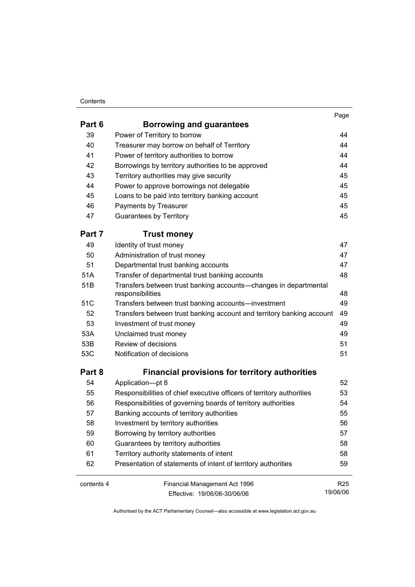#### **Contents**

| . .<br>۰.<br>×<br>× |  |
|---------------------|--|
|                     |  |

| Part 6     | <b>Borrowing and guarantees</b>                                                      |                 |
|------------|--------------------------------------------------------------------------------------|-----------------|
| 39         | Power of Territory to borrow                                                         | 44              |
| 40         | Treasurer may borrow on behalf of Territory                                          | 44              |
| 41         | Power of territory authorities to borrow                                             | 44              |
| 42         | Borrowings by territory authorities to be approved                                   | 44              |
| 43         | Territory authorities may give security                                              | 45              |
| 44         | Power to approve borrowings not delegable                                            | 45              |
| 45         | Loans to be paid into territory banking account                                      | 45              |
| 46         | Payments by Treasurer                                                                | 45              |
| 47         | <b>Guarantees by Territory</b>                                                       | 45              |
| Part 7     | <b>Trust money</b>                                                                   |                 |
| 49         | Identity of trust money                                                              | 47              |
| 50         | Administration of trust money                                                        | 47              |
| 51         | Departmental trust banking accounts                                                  | 47              |
| 51A        | Transfer of departmental trust banking accounts                                      | 48              |
| 51B        | Transfers between trust banking accounts-changes in departmental<br>responsibilities | 48              |
| 51C        | Transfers between trust banking accounts-investment                                  | 49              |
| 52         | Transfers between trust banking account and territory banking account                | 49              |
| 53         | Investment of trust money                                                            | 49              |
| 53A        | Unclaimed trust money                                                                | 49              |
| 53B        | Review of decisions                                                                  | 51              |
| 53C        | Notification of decisions                                                            | 51              |
| Part 8     | <b>Financial provisions for territory authorities</b>                                |                 |
| 54         | Application-pt 8                                                                     | 52              |
| 55         | Responsibilities of chief executive officers of territory authorities                | 53              |
| 56         | Responsibilities of governing boards of territory authorities                        | 54              |
| 57         | Banking accounts of territory authorities                                            | 55              |
| 58         | Investment by territory authorities                                                  | 56              |
| 59         | Borrowing by territory authorities                                                   | 57              |
| 60         | Guarantees by territory authorities                                                  | 58              |
| 61         | Territory authority statements of intent                                             | 58              |
| 62         | Presentation of statements of intent of territory authorities                        | 59              |
| contents 4 | Financial Management Act 1996                                                        | R <sub>25</sub> |
|            | Effective: 19/06/06-30/06/06                                                         | 19/06/06        |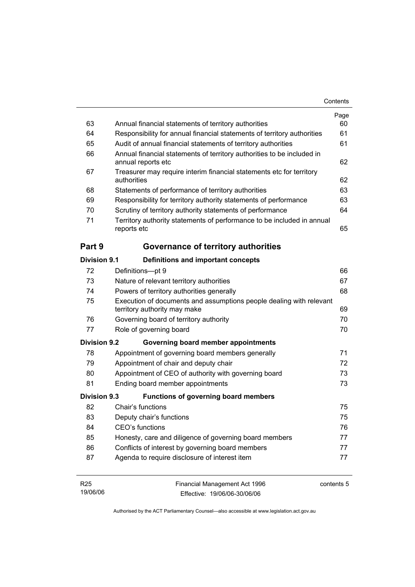|                     |                                                                                                     | Contents |
|---------------------|-----------------------------------------------------------------------------------------------------|----------|
|                     |                                                                                                     | Page     |
| 63                  | Annual financial statements of territory authorities                                                | 60       |
| 64                  | Responsibility for annual financial statements of territory authorities                             | 61       |
| 65                  | Audit of annual financial statements of territory authorities                                       | 61       |
| 66                  | Annual financial statements of territory authorities to be included in<br>annual reports etc        | 62       |
| 67                  | Treasurer may require interim financial statements etc for territory<br>authorities                 | 62       |
| 68                  | Statements of performance of territory authorities                                                  | 63       |
| 69                  | Responsibility for territory authority statements of performance                                    | 63       |
| 70                  | Scrutiny of territory authority statements of performance                                           | 64       |
| 71                  | Territory authority statements of performance to be included in annual<br>reports etc               | 65       |
| Part 9              | Governance of territory authorities                                                                 |          |
| Division 9.1        | Definitions and important concepts                                                                  |          |
| 72                  | Definitions-pt 9                                                                                    | 66       |
| 73                  | Nature of relevant territory authorities                                                            | 67       |
| 74                  | Powers of territory authorities generally                                                           | 68       |
| 75                  | Execution of documents and assumptions people dealing with relevant<br>territory authority may make | 69       |
| 76                  | Governing board of territory authority                                                              | 70       |
| 77                  | Role of governing board                                                                             | 70       |
| <b>Division 9.2</b> |                                                                                                     |          |
|                     | Governing board member appointments                                                                 |          |
| 78                  | Appointment of governing board members generally                                                    | 71       |
| 79                  | Appointment of chair and deputy chair                                                               | 72       |
| 80                  | Appointment of CEO of authority with governing board                                                | 73       |
| 81                  | Ending board member appointments                                                                    | 73       |
| Division 9.3        | <b>Functions of governing board members</b>                                                         |          |
| 82                  | Chair's functions                                                                                   | 75       |
| 83                  | Deputy chair's functions                                                                            | 75       |
| 84                  | CEO's functions                                                                                     | 76       |
| 85                  | Honesty, care and diligence of governing board members                                              | 77       |
| 86                  | Conflicts of interest by governing board members                                                    | 77       |

| R25      | Financial Management Act 1996 | contents 5 |
|----------|-------------------------------|------------|
| 19/06/06 | Effective: 19/06/06-30/06/06  |            |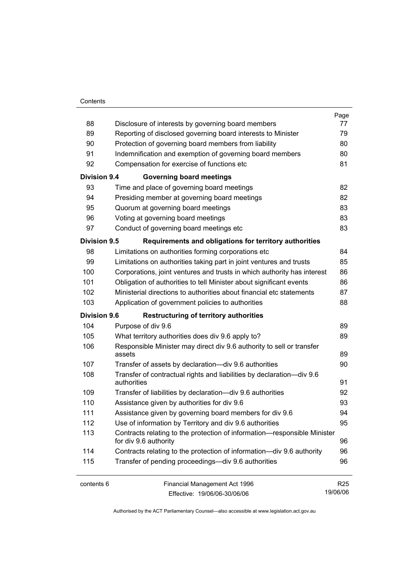#### **Contents**

|                     |                                                                                                   | Page            |
|---------------------|---------------------------------------------------------------------------------------------------|-----------------|
| 88                  | Disclosure of interests by governing board members                                                | 77              |
| 89                  | Reporting of disclosed governing board interests to Minister                                      | 79              |
| 90                  | Protection of governing board members from liability                                              | 80              |
| 91                  | Indemnification and exemption of governing board members                                          | 80              |
| 92                  | Compensation for exercise of functions etc                                                        | 81              |
| <b>Division 9.4</b> | <b>Governing board meetings</b>                                                                   |                 |
| 93                  | Time and place of governing board meetings                                                        | 82              |
| 94                  | Presiding member at governing board meetings                                                      | 82              |
| 95                  | Quorum at governing board meetings                                                                | 83              |
| 96                  | Voting at governing board meetings                                                                | 83              |
| 97                  | Conduct of governing board meetings etc                                                           | 83              |
| <b>Division 9.5</b> | Requirements and obligations for territory authorities                                            |                 |
| 98                  | Limitations on authorities forming corporations etc                                               | 84              |
| 99                  | Limitations on authorities taking part in joint ventures and trusts                               | 85              |
| 100                 | Corporations, joint ventures and trusts in which authority has interest                           | 86              |
| 101                 | Obligation of authorities to tell Minister about significant events                               | 86              |
| 102                 | Ministerial directions to authorities about financial etc statements                              | 87              |
| 103                 | Application of government policies to authorities                                                 | 88              |
| <b>Division 9.6</b> | <b>Restructuring of territory authorities</b>                                                     |                 |
| 104                 | Purpose of div 9.6                                                                                | 89              |
| 105                 | What territory authorities does div 9.6 apply to?                                                 | 89              |
| 106                 | Responsible Minister may direct div 9.6 authority to sell or transfer<br>assets                   | 89              |
| 107                 | Transfer of assets by declaration—div 9.6 authorities                                             | 90              |
| 108                 | Transfer of contractual rights and liabilities by declaration-div 9.6                             |                 |
|                     | authorities                                                                                       | 91              |
| 109                 | Transfer of liabilities by declaration-div 9.6 authorities                                        | 92              |
| 110                 | Assistance given by authorities for div 9.6                                                       | 93              |
| 111                 | Assistance given by governing board members for div 9.6                                           | 94              |
| 112                 | Use of information by Territory and div 9.6 authorities                                           | 95              |
| 113                 | Contracts relating to the protection of information-responsible Minister<br>for div 9.6 authority | 96              |
| 114                 | Contracts relating to the protection of information—div 9.6 authority                             | 96              |
| 115                 | Transfer of pending proceedings—div 9.6 authorities                                               | 96              |
| contents 6          | Financial Management Act 1996                                                                     | R <sub>25</sub> |
|                     | Effective: 19/06/06-30/06/06                                                                      | 19/06/06        |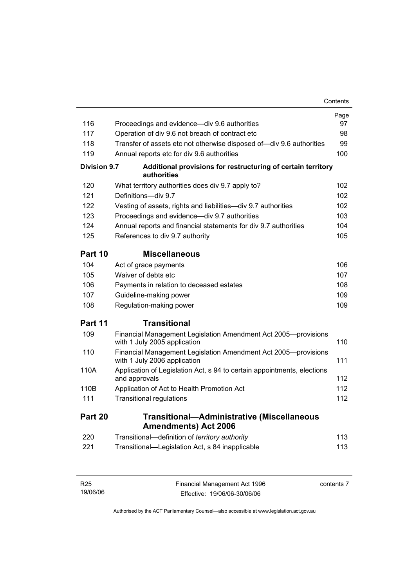|                     |                                                                                                | Contents |
|---------------------|------------------------------------------------------------------------------------------------|----------|
|                     |                                                                                                | Page     |
| 116                 | Proceedings and evidence—div 9.6 authorities                                                   | 97       |
| 117                 | Operation of div 9.6 not breach of contract etc                                                | 98       |
| 118                 | Transfer of assets etc not otherwise disposed of-div 9.6 authorities                           | 99       |
| 119                 | Annual reports etc for div 9.6 authorities                                                     | 100      |
| <b>Division 9.7</b> | Additional provisions for restructuring of certain territory<br>authorities                    |          |
| 120                 | What territory authorities does div 9.7 apply to?                                              | 102      |
| 121                 | Definitions-div 9.7                                                                            | 102      |
| 122                 | Vesting of assets, rights and liabilities-div 9.7 authorities                                  | 102      |
| 123                 | Proceedings and evidence—div 9.7 authorities                                                   | 103      |
| 124                 | Annual reports and financial statements for div 9.7 authorities                                | 104      |
| 125                 | References to div 9.7 authority                                                                | 105      |
| Part 10             | <b>Miscellaneous</b>                                                                           |          |
| 104                 | Act of grace payments                                                                          | 106      |
| 105                 | Waiver of debts etc                                                                            | 107      |
| 106                 | Payments in relation to deceased estates                                                       | 108      |
| 107                 | Guideline-making power                                                                         | 109      |
| 108                 | Regulation-making power                                                                        | 109      |
| Part 11             | <b>Transitional</b>                                                                            |          |
| 109                 | Financial Management Legislation Amendment Act 2005-provisions<br>with 1 July 2005 application | 110      |
| 110                 | Financial Management Legislation Amendment Act 2005-provisions<br>with 1 July 2006 application | 111      |
| 110A                | Application of Legislation Act, s 94 to certain appointments, elections<br>and approvals       | 112      |
| 110B                | Application of Act to Health Promotion Act                                                     | 112      |
| 111                 | <b>Transitional regulations</b>                                                                | 112      |
| Part 20             | <b>Transitional-Administrative (Miscellaneous</b><br><b>Amendments) Act 2006</b>               |          |
| 220                 | Transitional-definition of territory authority                                                 | 113      |
| 221                 | Transitional-Legislation Act, s 84 inapplicable                                                | 113      |
|                     |                                                                                                |          |

| R25      | Financial Management Act 1996 | contents 7 |
|----------|-------------------------------|------------|
| 19/06/06 | Effective: 19/06/06-30/06/06  |            |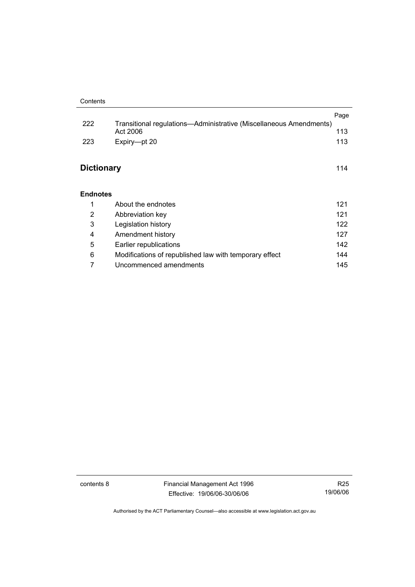|                   |                                                                                | Page |
|-------------------|--------------------------------------------------------------------------------|------|
| 222               | Transitional regulations—Administrative (Miscellaneous Amendments)<br>Act 2006 | 113  |
| 223               | Expiry-pt 20                                                                   | 113  |
|                   |                                                                                |      |
| <b>Dictionary</b> |                                                                                | 114  |
|                   |                                                                                |      |
|                   |                                                                                |      |
| <b>Endnotes</b>   |                                                                                |      |
| 1                 | About the endnotes                                                             | 121  |
| 2                 | Abbreviation key                                                               | 121  |
| 3                 | Legislation history                                                            | 122  |
| 4                 | Amendment history                                                              | 127  |
| 5                 | Earlier republications                                                         | 142  |
| 6                 | Modifications of republished law with temporary effect                         | 144  |
| 7                 | Uncommenced amendments                                                         | 145  |

contents 8 Financial Management Act 1996 Effective: 19/06/06-30/06/06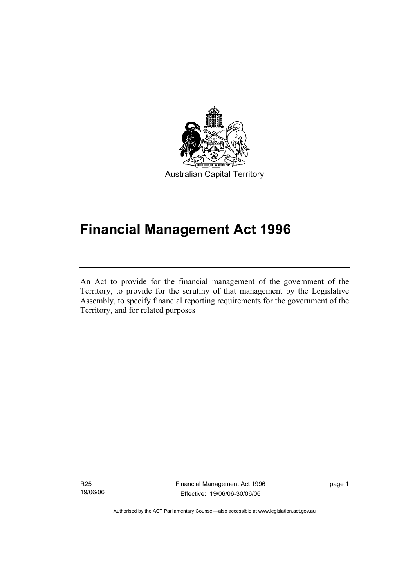

# **Financial Management Act 1996**

An Act to provide for the financial management of the government of the Territory, to provide for the scrutiny of that management by the Legislative Assembly, to specify financial reporting requirements for the government of the Territory, and for related purposes

R25 19/06/06

I

Financial Management Act 1996 Effective: 19/06/06-30/06/06

page 1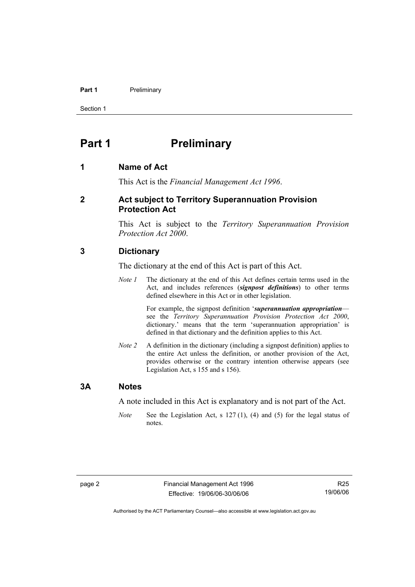#### **Part 1** Preliminary

Section 1

### **Part 1** Preliminary

#### **1 Name of Act**

This Act is the *Financial Management Act 1996*.

#### **2 Act subject to Territory Superannuation Provision Protection Act**

This Act is subject to the *Territory Superannuation Provision Protection Act 2000*.

#### **3 Dictionary**

The dictionary at the end of this Act is part of this Act.

*Note 1* The dictionary at the end of this Act defines certain terms used in the Act, and includes references (*signpost definitions*) to other terms defined elsewhere in this Act or in other legislation.

> For example, the signpost definition '*superannuation appropriation* see the *Territory Superannuation Provision Protection Act 2000*, dictionary.' means that the term 'superannuation appropriation' is defined in that dictionary and the definition applies to this Act.

*Note 2* A definition in the dictionary (including a signpost definition) applies to the entire Act unless the definition, or another provision of the Act, provides otherwise or the contrary intention otherwise appears (see Legislation Act, s 155 and s 156).

#### **3A Notes**

A note included in this Act is explanatory and is not part of the Act.

*Note* See the Legislation Act, s 127 (1), (4) and (5) for the legal status of notes.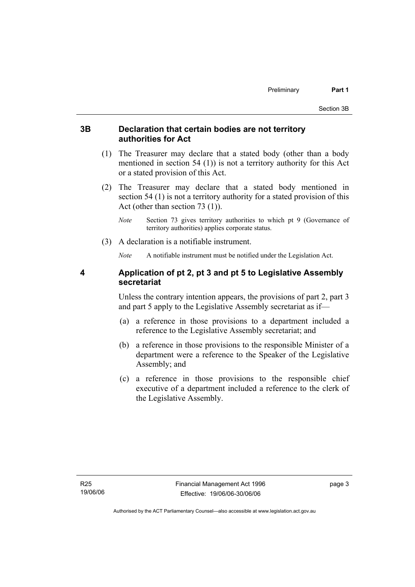#### **3B Declaration that certain bodies are not territory authorities for Act**

- (1) The Treasurer may declare that a stated body (other than a body mentioned in section 54 (1)) is not a territory authority for this Act or a stated provision of this Act.
- (2) The Treasurer may declare that a stated body mentioned in section 54 (1) is not a territory authority for a stated provision of this Act (other than section 73 (1)).
	- *Note* Section 73 gives territory authorities to which pt 9 (Governance of territory authorities) applies corporate status.
- (3) A declaration is a notifiable instrument.

*Note* A notifiable instrument must be notified under the Legislation Act.

#### **4 Application of pt 2, pt 3 and pt 5 to Legislative Assembly secretariat**

Unless the contrary intention appears, the provisions of part 2, part 3 and part 5 apply to the Legislative Assembly secretariat as if—

- (a) a reference in those provisions to a department included a reference to the Legislative Assembly secretariat; and
- (b) a reference in those provisions to the responsible Minister of a department were a reference to the Speaker of the Legislative Assembly; and
- (c) a reference in those provisions to the responsible chief executive of a department included a reference to the clerk of the Legislative Assembly.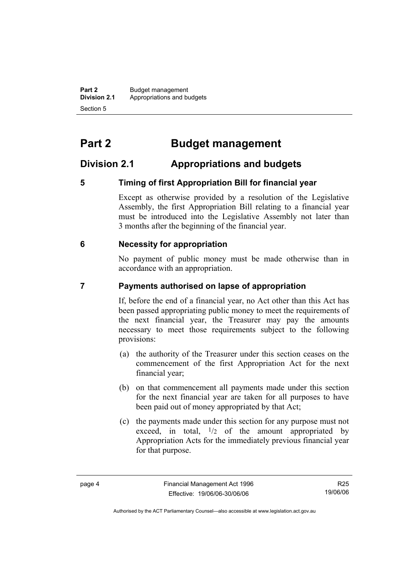**Part 2** Budget management<br>**Division 2.1** Appropriations and by **Division 2.1** Appropriations and budgets Section 5

# **Part 2 Budget management**

### **Division 2.1 Appropriations and budgets**

#### **5 Timing of first Appropriation Bill for financial year**

Except as otherwise provided by a resolution of the Legislative Assembly, the first Appropriation Bill relating to a financial year must be introduced into the Legislative Assembly not later than 3 months after the beginning of the financial year.

#### **6 Necessity for appropriation**

No payment of public money must be made otherwise than in accordance with an appropriation.

#### **7 Payments authorised on lapse of appropriation**

If, before the end of a financial year, no Act other than this Act has been passed appropriating public money to meet the requirements of the next financial year, the Treasurer may pay the amounts necessary to meet those requirements subject to the following provisions:

- (a) the authority of the Treasurer under this section ceases on the commencement of the first Appropriation Act for the next financial year;
- (b) on that commencement all payments made under this section for the next financial year are taken for all purposes to have been paid out of money appropriated by that Act;
- (c) the payments made under this section for any purpose must not exceed, in total,  $\frac{1}{2}$  of the amount appropriated by Appropriation Acts for the immediately previous financial year for that purpose.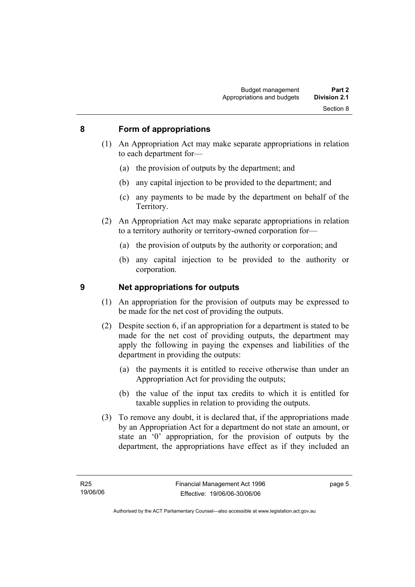#### **8 Form of appropriations**

- (1) An Appropriation Act may make separate appropriations in relation to each department for—
	- (a) the provision of outputs by the department; and
	- (b) any capital injection to be provided to the department; and
	- (c) any payments to be made by the department on behalf of the Territory.
- (2) An Appropriation Act may make separate appropriations in relation to a territory authority or territory-owned corporation for—
	- (a) the provision of outputs by the authority or corporation; and
	- (b) any capital injection to be provided to the authority or corporation.

#### **9 Net appropriations for outputs**

- (1) An appropriation for the provision of outputs may be expressed to be made for the net cost of providing the outputs.
- (2) Despite section 6, if an appropriation for a department is stated to be made for the net cost of providing outputs, the department may apply the following in paying the expenses and liabilities of the department in providing the outputs:
	- (a) the payments it is entitled to receive otherwise than under an Appropriation Act for providing the outputs;
	- (b) the value of the input tax credits to which it is entitled for taxable supplies in relation to providing the outputs.
- (3) To remove any doubt, it is declared that, if the appropriations made by an Appropriation Act for a department do not state an amount, or state an '0' appropriation, for the provision of outputs by the department, the appropriations have effect as if they included an

page 5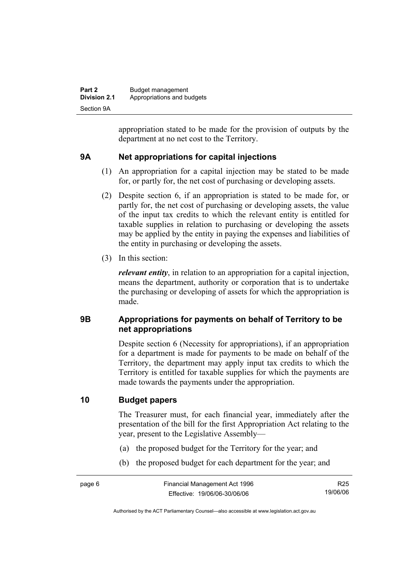| Part 2              | Budget management          |
|---------------------|----------------------------|
| <b>Division 2.1</b> | Appropriations and budgets |
| Section 9A          |                            |

appropriation stated to be made for the provision of outputs by the department at no net cost to the Territory.

#### **9A Net appropriations for capital injections**

- (1) An appropriation for a capital injection may be stated to be made for, or partly for, the net cost of purchasing or developing assets.
- (2) Despite section 6, if an appropriation is stated to be made for, or partly for, the net cost of purchasing or developing assets, the value of the input tax credits to which the relevant entity is entitled for taxable supplies in relation to purchasing or developing the assets may be applied by the entity in paying the expenses and liabilities of the entity in purchasing or developing the assets.
- (3) In this section:

*relevant entity*, in relation to an appropriation for a capital injection, means the department, authority or corporation that is to undertake the purchasing or developing of assets for which the appropriation is made.

#### **9B Appropriations for payments on behalf of Territory to be net appropriations**

Despite section 6 (Necessity for appropriations), if an appropriation for a department is made for payments to be made on behalf of the Territory, the department may apply input tax credits to which the Territory is entitled for taxable supplies for which the payments are made towards the payments under the appropriation.

#### **10 Budget papers**

The Treasurer must, for each financial year, immediately after the presentation of the bill for the first Appropriation Act relating to the year, present to the Legislative Assembly—

- (a) the proposed budget for the Territory for the year; and
- (b) the proposed budget for each department for the year; and

R25 19/06/06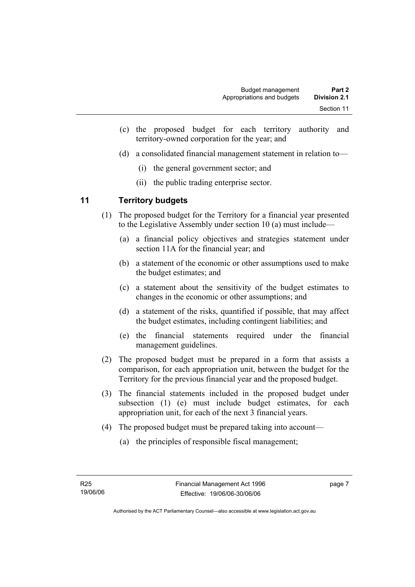- (c) the proposed budget for each territory authority and territory-owned corporation for the year; and
- (d) a consolidated financial management statement in relation to—
	- (i) the general government sector; and
	- (ii) the public trading enterprise sector.

#### **11 Territory budgets**

- (1) The proposed budget for the Territory for a financial year presented to the Legislative Assembly under section 10 (a) must include—
	- (a) a financial policy objectives and strategies statement under section 11A for the financial year; and
	- (b) a statement of the economic or other assumptions used to make the budget estimates; and
	- (c) a statement about the sensitivity of the budget estimates to changes in the economic or other assumptions; and
	- (d) a statement of the risks, quantified if possible, that may affect the budget estimates, including contingent liabilities; and
	- (e) the financial statements required under the financial management guidelines.
- (2) The proposed budget must be prepared in a form that assists a comparison, for each appropriation unit, between the budget for the Territory for the previous financial year and the proposed budget.
- (3) The financial statements included in the proposed budget under subsection (1) (e) must include budget estimates, for each appropriation unit, for each of the next 3 financial years.
- (4) The proposed budget must be prepared taking into account—
	- (a) the principles of responsible fiscal management;

page 7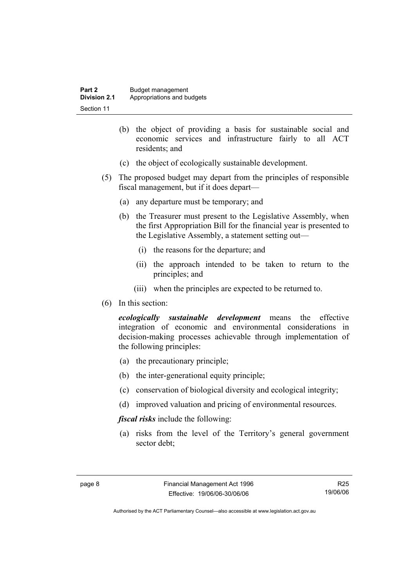| Part 2       | Budget management          |
|--------------|----------------------------|
| Division 2.1 | Appropriations and budgets |
| Section 11   |                            |

- (b) the object of providing a basis for sustainable social and economic services and infrastructure fairly to all ACT residents; and
- (c) the object of ecologically sustainable development.
- (5) The proposed budget may depart from the principles of responsible fiscal management, but if it does depart—
	- (a) any departure must be temporary; and
	- (b) the Treasurer must present to the Legislative Assembly, when the first Appropriation Bill for the financial year is presented to the Legislative Assembly, a statement setting out—
		- (i) the reasons for the departure; and
		- (ii) the approach intended to be taken to return to the principles; and
		- (iii) when the principles are expected to be returned to.
- (6) In this section:

*ecologically sustainable development* means the effective integration of economic and environmental considerations in decision-making processes achievable through implementation of the following principles:

- (a) the precautionary principle;
- (b) the inter-generational equity principle;
- (c) conservation of biological diversity and ecological integrity;
- (d) improved valuation and pricing of environmental resources.

*fiscal risks* include the following:

 (a) risks from the level of the Territory's general government sector debt;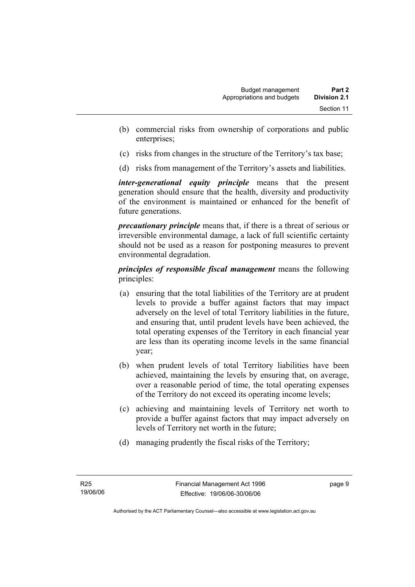- (b) commercial risks from ownership of corporations and public enterprises;
- (c) risks from changes in the structure of the Territory's tax base;
- (d) risks from management of the Territory's assets and liabilities.

*inter-generational equity principle* means that the present generation should ensure that the health, diversity and productivity of the environment is maintained or enhanced for the benefit of future generations.

*precautionary principle* means that, if there is a threat of serious or irreversible environmental damage, a lack of full scientific certainty should not be used as a reason for postponing measures to prevent environmental degradation.

*principles of responsible fiscal management* means the following principles:

- (a) ensuring that the total liabilities of the Territory are at prudent levels to provide a buffer against factors that may impact adversely on the level of total Territory liabilities in the future, and ensuring that, until prudent levels have been achieved, the total operating expenses of the Territory in each financial year are less than its operating income levels in the same financial year;
- (b) when prudent levels of total Territory liabilities have been achieved, maintaining the levels by ensuring that, on average, over a reasonable period of time, the total operating expenses of the Territory do not exceed its operating income levels;
- (c) achieving and maintaining levels of Territory net worth to provide a buffer against factors that may impact adversely on levels of Territory net worth in the future;
- (d) managing prudently the fiscal risks of the Territory;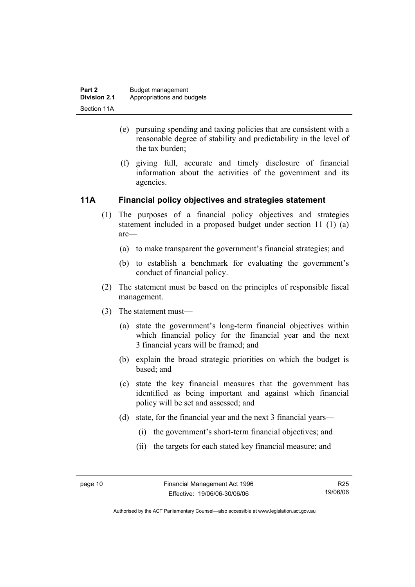- (e) pursuing spending and taxing policies that are consistent with a reasonable degree of stability and predictability in the level of the tax burden;
- (f) giving full, accurate and timely disclosure of financial information about the activities of the government and its agencies.

#### **11A Financial policy objectives and strategies statement**

- (1) The purposes of a financial policy objectives and strategies statement included in a proposed budget under section 11 (1) (a) are—
	- (a) to make transparent the government's financial strategies; and
	- (b) to establish a benchmark for evaluating the government's conduct of financial policy.
- (2) The statement must be based on the principles of responsible fiscal management.
- (3) The statement must—
	- (a) state the government's long-term financial objectives within which financial policy for the financial year and the next 3 financial years will be framed; and
	- (b) explain the broad strategic priorities on which the budget is based; and
	- (c) state the key financial measures that the government has identified as being important and against which financial policy will be set and assessed; and
	- (d) state, for the financial year and the next 3 financial years—
		- (i) the government's short-term financial objectives; and
		- (ii) the targets for each stated key financial measure; and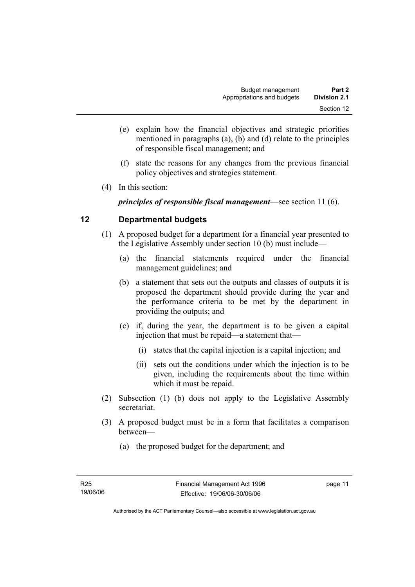- (e) explain how the financial objectives and strategic priorities mentioned in paragraphs (a), (b) and (d) relate to the principles of responsible fiscal management; and
- (f) state the reasons for any changes from the previous financial policy objectives and strategies statement.
- (4) In this section:

*principles of responsible fiscal management*—see section 11 (6).

#### **12 Departmental budgets**

- (1) A proposed budget for a department for a financial year presented to the Legislative Assembly under section 10 (b) must include—
	- (a) the financial statements required under the financial management guidelines; and
	- (b) a statement that sets out the outputs and classes of outputs it is proposed the department should provide during the year and the performance criteria to be met by the department in providing the outputs; and
	- (c) if, during the year, the department is to be given a capital injection that must be repaid—a statement that—
		- (i) states that the capital injection is a capital injection; and
		- (ii) sets out the conditions under which the injection is to be given, including the requirements about the time within which it must be repaid.
- (2) Subsection (1) (b) does not apply to the Legislative Assembly secretariat.
- (3) A proposed budget must be in a form that facilitates a comparison between—
	- (a) the proposed budget for the department; and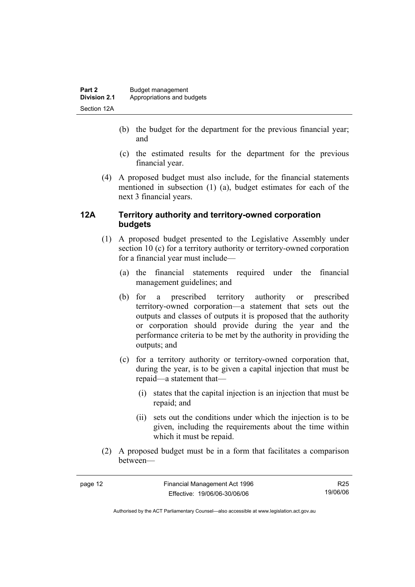- (b) the budget for the department for the previous financial year; and
- (c) the estimated results for the department for the previous financial year.
- (4) A proposed budget must also include, for the financial statements mentioned in subsection (1) (a), budget estimates for each of the next 3 financial years.

#### **12A Territory authority and territory-owned corporation budgets**

- (1) A proposed budget presented to the Legislative Assembly under section 10 (c) for a territory authority or territory-owned corporation for a financial year must include—
	- (a) the financial statements required under the financial management guidelines; and
	- (b) for a prescribed territory authority or prescribed territory-owned corporation—a statement that sets out the outputs and classes of outputs it is proposed that the authority or corporation should provide during the year and the performance criteria to be met by the authority in providing the outputs; and
	- (c) for a territory authority or territory-owned corporation that, during the year, is to be given a capital injection that must be repaid—a statement that—
		- (i) states that the capital injection is an injection that must be repaid; and
		- (ii) sets out the conditions under which the injection is to be given, including the requirements about the time within which it must be repaid.
- (2) A proposed budget must be in a form that facilitates a comparison between—

| ÷ |  |
|---|--|
|---|--|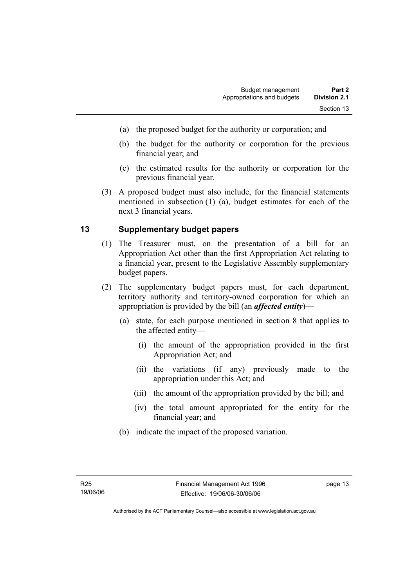- (a) the proposed budget for the authority or corporation; and
- (b) the budget for the authority or corporation for the previous financial year; and
- (c) the estimated results for the authority or corporation for the previous financial year.
- (3) A proposed budget must also include, for the financial statements mentioned in subsection (1) (a), budget estimates for each of the next 3 financial years.

#### **13 Supplementary budget papers**

- (1) The Treasurer must, on the presentation of a bill for an Appropriation Act other than the first Appropriation Act relating to a financial year, present to the Legislative Assembly supplementary budget papers.
- (2) The supplementary budget papers must, for each department, territory authority and territory-owned corporation for which an appropriation is provided by the bill (an *affected entity*)—
	- (a) state, for each purpose mentioned in section 8 that applies to the affected entity—
		- (i) the amount of the appropriation provided in the first Appropriation Act; and
		- (ii) the variations (if any) previously made to the appropriation under this Act; and
		- (iii) the amount of the appropriation provided by the bill; and
		- (iv) the total amount appropriated for the entity for the financial year; and
	- (b) indicate the impact of the proposed variation.

page 13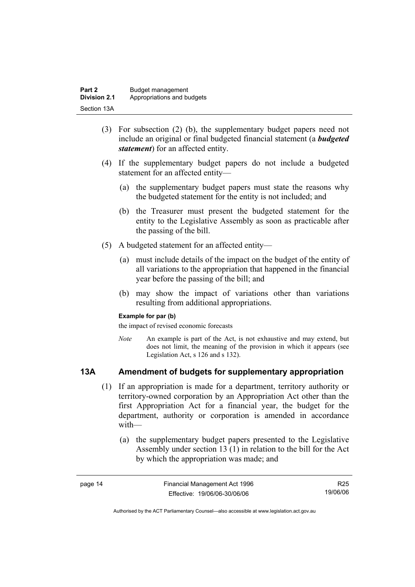| Part 2              | Budget management          |
|---------------------|----------------------------|
| <b>Division 2.1</b> | Appropriations and budgets |
| Section 13A         |                            |

- (3) For subsection (2) (b), the supplementary budget papers need not include an original or final budgeted financial statement (a *budgeted statement*) for an affected entity.
- (4) If the supplementary budget papers do not include a budgeted statement for an affected entity—
	- (a) the supplementary budget papers must state the reasons why the budgeted statement for the entity is not included; and
	- (b) the Treasurer must present the budgeted statement for the entity to the Legislative Assembly as soon as practicable after the passing of the bill.
- (5) A budgeted statement for an affected entity—
	- (a) must include details of the impact on the budget of the entity of all variations to the appropriation that happened in the financial year before the passing of the bill; and
	- (b) may show the impact of variations other than variations resulting from additional appropriations.

#### **Example for par (b)**

the impact of revised economic forecasts

*Note* An example is part of the Act, is not exhaustive and may extend, but does not limit, the meaning of the provision in which it appears (see Legislation Act, s 126 and s 132).

#### **13A Amendment of budgets for supplementary appropriation**

- (1) If an appropriation is made for a department, territory authority or territory-owned corporation by an Appropriation Act other than the first Appropriation Act for a financial year, the budget for the department, authority or corporation is amended in accordance with—
	- (a) the supplementary budget papers presented to the Legislative Assembly under section 13 (1) in relation to the bill for the Act by which the appropriation was made; and

| page 14 | Financial Management Act 1996 | R25      |
|---------|-------------------------------|----------|
|         | Effective: 19/06/06-30/06/06  | 19/06/06 |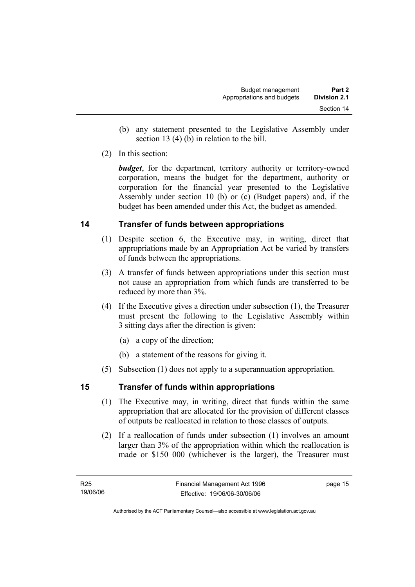- (b) any statement presented to the Legislative Assembly under section 13 (4) (b) in relation to the bill.
- (2) In this section:

*budget*, for the department, territory authority or territory-owned corporation, means the budget for the department, authority or corporation for the financial year presented to the Legislative Assembly under section 10 (b) or (c) (Budget papers) and, if the budget has been amended under this Act, the budget as amended.

#### **14 Transfer of funds between appropriations**

- (1) Despite section 6, the Executive may, in writing, direct that appropriations made by an Appropriation Act be varied by transfers of funds between the appropriations.
- (3) A transfer of funds between appropriations under this section must not cause an appropriation from which funds are transferred to be reduced by more than 3%.
- (4) If the Executive gives a direction under subsection (1), the Treasurer must present the following to the Legislative Assembly within 3 sitting days after the direction is given:
	- (a) a copy of the direction;
	- (b) a statement of the reasons for giving it.
- (5) Subsection (1) does not apply to a superannuation appropriation.

#### **15 Transfer of funds within appropriations**

- (1) The Executive may, in writing, direct that funds within the same appropriation that are allocated for the provision of different classes of outputs be reallocated in relation to those classes of outputs.
- (2) If a reallocation of funds under subsection (1) involves an amount larger than 3% of the appropriation within which the reallocation is made or \$150 000 (whichever is the larger), the Treasurer must

page 15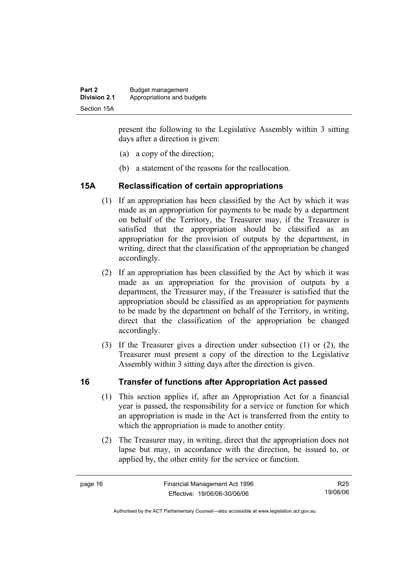present the following to the Legislative Assembly within 3 sitting days after a direction is given:

- (a) a copy of the direction;
- (b) a statement of the reasons for the reallocation.

#### **15A Reclassification of certain appropriations**

- (1) If an appropriation has been classified by the Act by which it was made as an appropriation for payments to be made by a department on behalf of the Territory, the Treasurer may, if the Treasurer is satisfied that the appropriation should be classified as an appropriation for the provision of outputs by the department, in writing, direct that the classification of the appropriation be changed accordingly.
- (2) If an appropriation has been classified by the Act by which it was made as an appropriation for the provision of outputs by a department, the Treasurer may, if the Treasurer is satisfied that the appropriation should be classified as an appropriation for payments to be made by the department on behalf of the Territory, in writing, direct that the classification of the appropriation be changed accordingly.
- (3) If the Treasurer gives a direction under subsection (1) or (2), the Treasurer must present a copy of the direction to the Legislative Assembly within 3 sitting days after the direction is given.

#### **16 Transfer of functions after Appropriation Act passed**

- (1) This section applies if, after an Appropriation Act for a financial year is passed, the responsibility for a service or function for which an appropriation is made in the Act is transferred from the entity to which the appropriation is made to another entity.
- (2) The Treasurer may, in writing, direct that the appropriation does not lapse but may, in accordance with the direction, be issued to, or applied by, the other entity for the service or function.

R25 19/06/06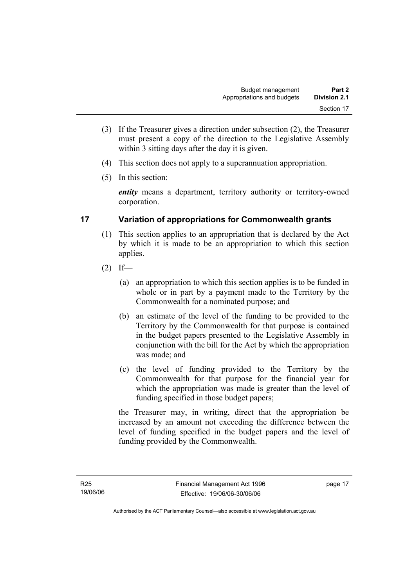- (3) If the Treasurer gives a direction under subsection (2), the Treasurer must present a copy of the direction to the Legislative Assembly within 3 sitting days after the day it is given.
- (4) This section does not apply to a superannuation appropriation.
- (5) In this section:

*entity* means a department, territory authority or territory-owned corporation.

#### **17 Variation of appropriations for Commonwealth grants**

- (1) This section applies to an appropriation that is declared by the Act by which it is made to be an appropriation to which this section applies.
- $(2)$  If—
	- (a) an appropriation to which this section applies is to be funded in whole or in part by a payment made to the Territory by the Commonwealth for a nominated purpose; and
	- (b) an estimate of the level of the funding to be provided to the Territory by the Commonwealth for that purpose is contained in the budget papers presented to the Legislative Assembly in conjunction with the bill for the Act by which the appropriation was made; and
	- (c) the level of funding provided to the Territory by the Commonwealth for that purpose for the financial year for which the appropriation was made is greater than the level of funding specified in those budget papers;

the Treasurer may, in writing, direct that the appropriation be increased by an amount not exceeding the difference between the level of funding specified in the budget papers and the level of funding provided by the Commonwealth.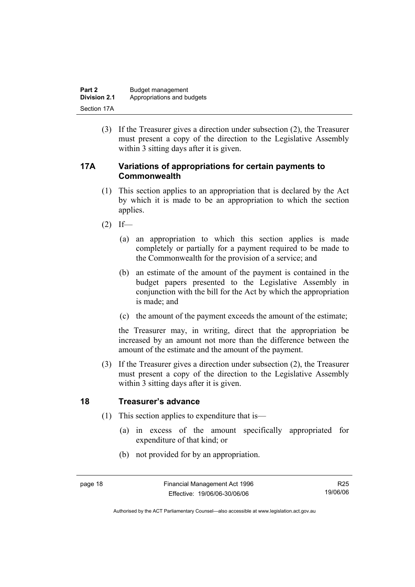| Part 2       | Budget management          |
|--------------|----------------------------|
| Division 2.1 | Appropriations and budgets |
| Section 17A  |                            |

 (3) If the Treasurer gives a direction under subsection (2), the Treasurer must present a copy of the direction to the Legislative Assembly within 3 sitting days after it is given.

#### **17A Variations of appropriations for certain payments to Commonwealth**

- (1) This section applies to an appropriation that is declared by the Act by which it is made to be an appropriation to which the section applies.
- $(2)$  If—
	- (a) an appropriation to which this section applies is made completely or partially for a payment required to be made to the Commonwealth for the provision of a service; and
	- (b) an estimate of the amount of the payment is contained in the budget papers presented to the Legislative Assembly in conjunction with the bill for the Act by which the appropriation is made; and
	- (c) the amount of the payment exceeds the amount of the estimate;

the Treasurer may, in writing, direct that the appropriation be increased by an amount not more than the difference between the amount of the estimate and the amount of the payment.

 (3) If the Treasurer gives a direction under subsection (2), the Treasurer must present a copy of the direction to the Legislative Assembly within 3 sitting days after it is given.

#### **18 Treasurer's advance**

- (1) This section applies to expenditure that is—
	- (a) in excess of the amount specifically appropriated for expenditure of that kind; or
	- (b) not provided for by an appropriation.

R25 19/06/06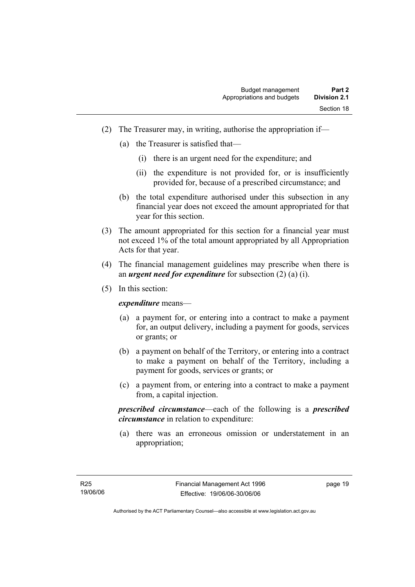- (2) The Treasurer may, in writing, authorise the appropriation if—
	- (a) the Treasurer is satisfied that—
		- (i) there is an urgent need for the expenditure; and
		- (ii) the expenditure is not provided for, or is insufficiently provided for, because of a prescribed circumstance; and
	- (b) the total expenditure authorised under this subsection in any financial year does not exceed the amount appropriated for that year for this section.
- (3) The amount appropriated for this section for a financial year must not exceed 1% of the total amount appropriated by all Appropriation Acts for that year.
- (4) The financial management guidelines may prescribe when there is an *urgent need for expenditure* for subsection (2) (a) (i).
- (5) In this section:

*expenditure* means—

- (a) a payment for, or entering into a contract to make a payment for, an output delivery, including a payment for goods, services or grants; or
- (b) a payment on behalf of the Territory, or entering into a contract to make a payment on behalf of the Territory, including a payment for goods, services or grants; or
- (c) a payment from, or entering into a contract to make a payment from, a capital injection.

*prescribed circumstance*—each of the following is a *prescribed circumstance* in relation to expenditure:

 (a) there was an erroneous omission or understatement in an appropriation;

page 19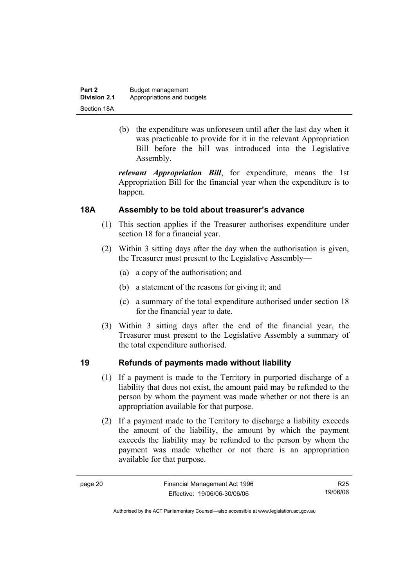| Part 2              | Budget management          |
|---------------------|----------------------------|
| <b>Division 2.1</b> | Appropriations and budgets |
| Section 18A         |                            |

 (b) the expenditure was unforeseen until after the last day when it was practicable to provide for it in the relevant Appropriation Bill before the bill was introduced into the Legislative Assembly.

*relevant Appropriation Bill*, for expenditure, means the 1st Appropriation Bill for the financial year when the expenditure is to happen.

#### **18A Assembly to be told about treasurer's advance**

- (1) This section applies if the Treasurer authorises expenditure under section 18 for a financial year.
- (2) Within 3 sitting days after the day when the authorisation is given, the Treasurer must present to the Legislative Assembly—
	- (a) a copy of the authorisation; and
	- (b) a statement of the reasons for giving it; and
	- (c) a summary of the total expenditure authorised under section 18 for the financial year to date.
- (3) Within 3 sitting days after the end of the financial year, the Treasurer must present to the Legislative Assembly a summary of the total expenditure authorised.

#### **19 Refunds of payments made without liability**

- (1) If a payment is made to the Territory in purported discharge of a liability that does not exist, the amount paid may be refunded to the person by whom the payment was made whether or not there is an appropriation available for that purpose.
- (2) If a payment made to the Territory to discharge a liability exceeds the amount of the liability, the amount by which the payment exceeds the liability may be refunded to the person by whom the payment was made whether or not there is an appropriation available for that purpose.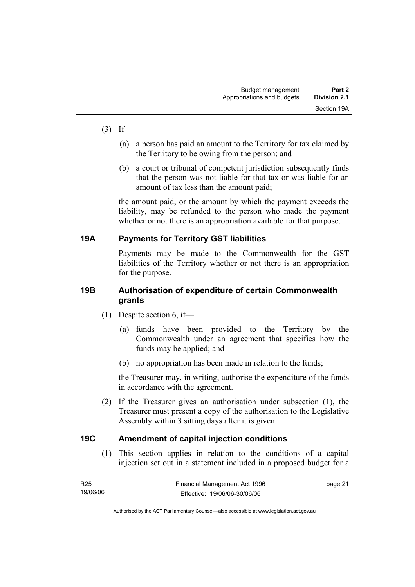- $(3)$  If—
	- (a) a person has paid an amount to the Territory for tax claimed by the Territory to be owing from the person; and
	- (b) a court or tribunal of competent jurisdiction subsequently finds that the person was not liable for that tax or was liable for an amount of tax less than the amount paid;

the amount paid, or the amount by which the payment exceeds the liability, may be refunded to the person who made the payment whether or not there is an appropriation available for that purpose.

#### **19A Payments for Territory GST liabilities**

Payments may be made to the Commonwealth for the GST liabilities of the Territory whether or not there is an appropriation for the purpose.

#### **19B Authorisation of expenditure of certain Commonwealth grants**

- (1) Despite section 6, if—
	- (a) funds have been provided to the Territory by the Commonwealth under an agreement that specifies how the funds may be applied; and
	- (b) no appropriation has been made in relation to the funds;

the Treasurer may, in writing, authorise the expenditure of the funds in accordance with the agreement.

 (2) If the Treasurer gives an authorisation under subsection (1), the Treasurer must present a copy of the authorisation to the Legislative Assembly within 3 sitting days after it is given.

#### **19C Amendment of capital injection conditions**

 (1) This section applies in relation to the conditions of a capital injection set out in a statement included in a proposed budget for a

| R25      | Financial Management Act 1996 | page 21 |
|----------|-------------------------------|---------|
| 19/06/06 | Effective: 19/06/06-30/06/06  |         |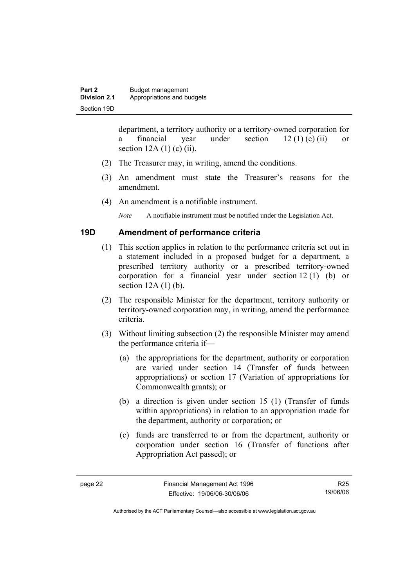department, a territory authority or a territory-owned corporation for a financial year under section  $12 (1) (c) (ii)$  or section  $12A(1)$  (c) (ii).

- (2) The Treasurer may, in writing, amend the conditions.
- (3) An amendment must state the Treasurer's reasons for the amendment.
- (4) An amendment is a notifiable instrument.

*Note* A notifiable instrument must be notified under the Legislation Act.

#### **19D Amendment of performance criteria**

- (1) This section applies in relation to the performance criteria set out in a statement included in a proposed budget for a department, a prescribed territory authority or a prescribed territory-owned corporation for a financial year under section 12 (1) (b) or section  $12A(1)(b)$ .
- (2) The responsible Minister for the department, territory authority or territory-owned corporation may, in writing, amend the performance criteria.
- (3) Without limiting subsection (2) the responsible Minister may amend the performance criteria if—
	- (a) the appropriations for the department, authority or corporation are varied under section 14 (Transfer of funds between appropriations) or section 17 (Variation of appropriations for Commonwealth grants); or
	- (b) a direction is given under section 15 (1) (Transfer of funds within appropriations) in relation to an appropriation made for the department, authority or corporation; or
	- (c) funds are transferred to or from the department, authority or corporation under section 16 (Transfer of functions after Appropriation Act passed); or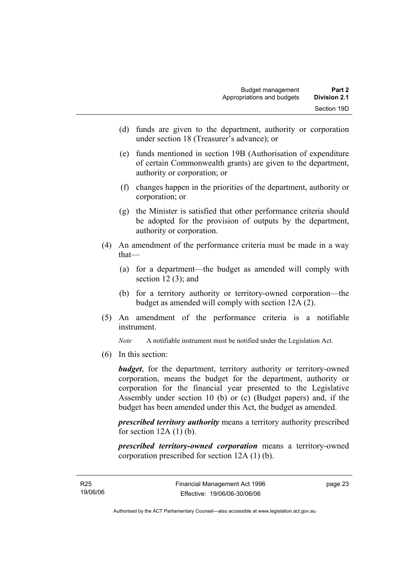- (d) funds are given to the department, authority or corporation under section 18 (Treasurer's advance); or
- (e) funds mentioned in section 19B (Authorisation of expenditure of certain Commonwealth grants) are given to the department, authority or corporation; or
- (f) changes happen in the priorities of the department, authority or corporation; or
- (g) the Minister is satisfied that other performance criteria should be adopted for the provision of outputs by the department, authority or corporation.
- (4) An amendment of the performance criteria must be made in a way that—
	- (a) for a department—the budget as amended will comply with section  $12(3)$ ; and
	- (b) for a territory authority or territory-owned corporation—the budget as amended will comply with section 12A (2).
- (5) An amendment of the performance criteria is a notifiable instrument.

*Note* A notifiable instrument must be notified under the Legislation Act.

(6) In this section:

*budget*, for the department, territory authority or territory-owned corporation, means the budget for the department, authority or corporation for the financial year presented to the Legislative Assembly under section 10 (b) or (c) (Budget papers) and, if the budget has been amended under this Act, the budget as amended.

*prescribed territory authority* means a territory authority prescribed for section  $12A(1)$  (b).

*prescribed territory-owned corporation* means a territory-owned corporation prescribed for section 12A (1) (b).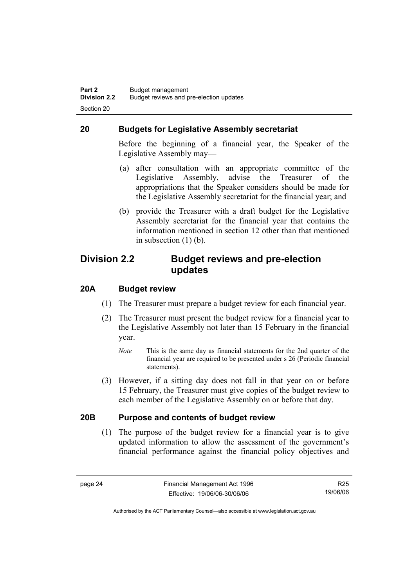#### **20 Budgets for Legislative Assembly secretariat**

Before the beginning of a financial year, the Speaker of the Legislative Assembly may—

- (a) after consultation with an appropriate committee of the Legislative Assembly, advise the Treasurer of the appropriations that the Speaker considers should be made for the Legislative Assembly secretariat for the financial year; and
- (b) provide the Treasurer with a draft budget for the Legislative Assembly secretariat for the financial year that contains the information mentioned in section 12 other than that mentioned in subsection (1) (b).

#### **Division 2.2 Budget reviews and pre-election updates**

#### **20A Budget review**

- (1) The Treasurer must prepare a budget review for each financial year.
- (2) The Treasurer must present the budget review for a financial year to the Legislative Assembly not later than 15 February in the financial year.
	- *Note* This is the same day as financial statements for the 2nd quarter of the financial year are required to be presented under s 26 (Periodic financial statements).
- (3) However, if a sitting day does not fall in that year on or before 15 February, the Treasurer must give copies of the budget review to each member of the Legislative Assembly on or before that day.

#### **20B Purpose and contents of budget review**

 (1) The purpose of the budget review for a financial year is to give updated information to allow the assessment of the government's financial performance against the financial policy objectives and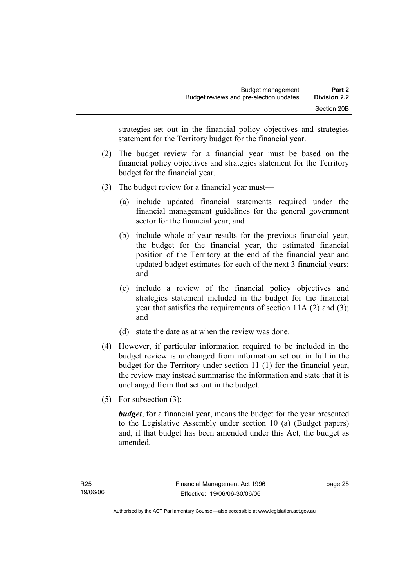strategies set out in the financial policy objectives and strategies statement for the Territory budget for the financial year.

- (2) The budget review for a financial year must be based on the financial policy objectives and strategies statement for the Territory budget for the financial year.
- (3) The budget review for a financial year must—
	- (a) include updated financial statements required under the financial management guidelines for the general government sector for the financial year; and
	- (b) include whole-of-year results for the previous financial year, the budget for the financial year, the estimated financial position of the Territory at the end of the financial year and updated budget estimates for each of the next 3 financial years; and
	- (c) include a review of the financial policy objectives and strategies statement included in the budget for the financial year that satisfies the requirements of section 11A (2) and (3); and
	- (d) state the date as at when the review was done.
- (4) However, if particular information required to be included in the budget review is unchanged from information set out in full in the budget for the Territory under section 11 (1) for the financial year, the review may instead summarise the information and state that it is unchanged from that set out in the budget.
- (5) For subsection (3):

*budget*, for a financial year, means the budget for the year presented to the Legislative Assembly under section 10 (a) (Budget papers) and, if that budget has been amended under this Act, the budget as amended.

page 25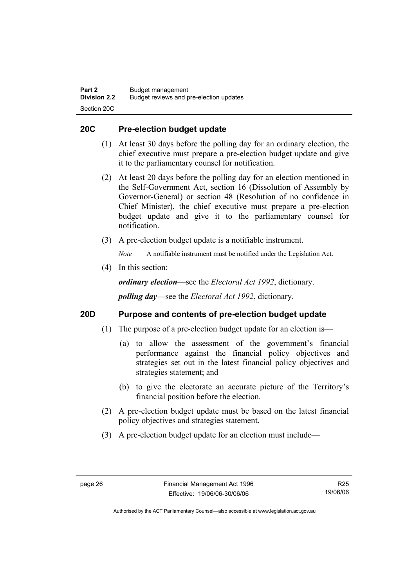#### **20C Pre-election budget update**

- (1) At least 30 days before the polling day for an ordinary election, the chief executive must prepare a pre-election budget update and give it to the parliamentary counsel for notification.
- (2) At least 20 days before the polling day for an election mentioned in the Self-Government Act, section 16 (Dissolution of Assembly by Governor-General) or section 48 (Resolution of no confidence in Chief Minister), the chief executive must prepare a pre-election budget update and give it to the parliamentary counsel for notification.
- (3) A pre-election budget update is a notifiable instrument.

*Note* A notifiable instrument must be notified under the Legislation Act.

(4) In this section:

*ordinary election*—see the *Electoral Act 1992*, dictionary.

*polling day*—see the *Electoral Act 1992*, dictionary.

#### **20D Purpose and contents of pre-election budget update**

- (1) The purpose of a pre-election budget update for an election is—
	- (a) to allow the assessment of the government's financial performance against the financial policy objectives and strategies set out in the latest financial policy objectives and strategies statement; and
	- (b) to give the electorate an accurate picture of the Territory's financial position before the election.
- (2) A pre-election budget update must be based on the latest financial policy objectives and strategies statement.
- (3) A pre-election budget update for an election must include—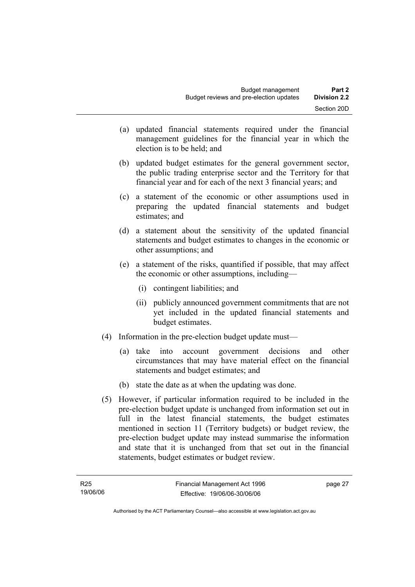- (a) updated financial statements required under the financial management guidelines for the financial year in which the election is to be held; and
- (b) updated budget estimates for the general government sector, the public trading enterprise sector and the Territory for that financial year and for each of the next 3 financial years; and
- (c) a statement of the economic or other assumptions used in preparing the updated financial statements and budget estimates; and
- (d) a statement about the sensitivity of the updated financial statements and budget estimates to changes in the economic or other assumptions; and
- (e) a statement of the risks, quantified if possible, that may affect the economic or other assumptions, including—
	- (i) contingent liabilities; and
	- (ii) publicly announced government commitments that are not yet included in the updated financial statements and budget estimates.
- (4) Information in the pre-election budget update must—
	- (a) take into account government decisions and other circumstances that may have material effect on the financial statements and budget estimates; and
	- (b) state the date as at when the updating was done.
- (5) However, if particular information required to be included in the pre-election budget update is unchanged from information set out in full in the latest financial statements, the budget estimates mentioned in section 11 (Territory budgets) or budget review, the pre-election budget update may instead summarise the information and state that it is unchanged from that set out in the financial statements, budget estimates or budget review.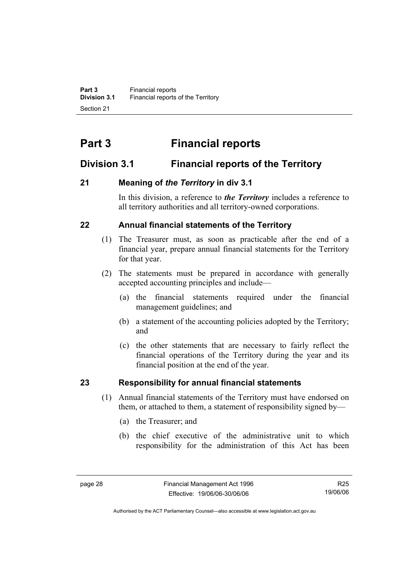# **Part 3 Financial reports**

# **Division 3.1 Financial reports of the Territory**

# **21 Meaning of** *the Territory* **in div 3.1**

In this division, a reference to *the Territory* includes a reference to all territory authorities and all territory-owned corporations.

# **22 Annual financial statements of the Territory**

- (1) The Treasurer must, as soon as practicable after the end of a financial year, prepare annual financial statements for the Territory for that year.
- (2) The statements must be prepared in accordance with generally accepted accounting principles and include—
	- (a) the financial statements required under the financial management guidelines; and
	- (b) a statement of the accounting policies adopted by the Territory; and
	- (c) the other statements that are necessary to fairly reflect the financial operations of the Territory during the year and its financial position at the end of the year.

# **23 Responsibility for annual financial statements**

- (1) Annual financial statements of the Territory must have endorsed on them, or attached to them, a statement of responsibility signed by—
	- (a) the Treasurer; and
	- (b) the chief executive of the administrative unit to which responsibility for the administration of this Act has been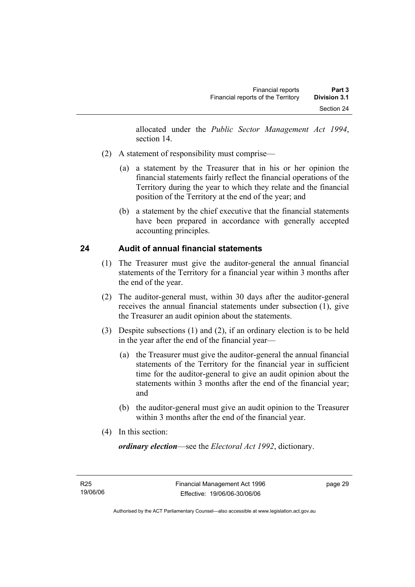allocated under the *Public Sector Management Act 1994*, section 14.

- (2) A statement of responsibility must comprise—
	- (a) a statement by the Treasurer that in his or her opinion the financial statements fairly reflect the financial operations of the Territory during the year to which they relate and the financial position of the Territory at the end of the year; and
	- (b) a statement by the chief executive that the financial statements have been prepared in accordance with generally accepted accounting principles.

# **24 Audit of annual financial statements**

- (1) The Treasurer must give the auditor-general the annual financial statements of the Territory for a financial year within 3 months after the end of the year.
- (2) The auditor-general must, within 30 days after the auditor-general receives the annual financial statements under subsection (1), give the Treasurer an audit opinion about the statements.
- (3) Despite subsections (1) and (2), if an ordinary election is to be held in the year after the end of the financial year—
	- (a) the Treasurer must give the auditor-general the annual financial statements of the Territory for the financial year in sufficient time for the auditor-general to give an audit opinion about the statements within 3 months after the end of the financial year; and
	- (b) the auditor-general must give an audit opinion to the Treasurer within 3 months after the end of the financial year.
- (4) In this section:

*ordinary election*—see the *Electoral Act 1992*, dictionary.

page 29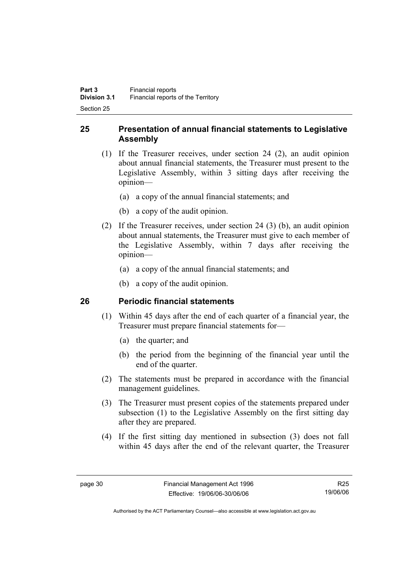## **25 Presentation of annual financial statements to Legislative Assembly**

- (1) If the Treasurer receives, under section 24 (2), an audit opinion about annual financial statements, the Treasurer must present to the Legislative Assembly, within 3 sitting days after receiving the opinion—
	- (a) a copy of the annual financial statements; and
	- (b) a copy of the audit opinion.
- (2) If the Treasurer receives, under section 24 (3) (b), an audit opinion about annual statements, the Treasurer must give to each member of the Legislative Assembly, within 7 days after receiving the opinion—
	- (a) a copy of the annual financial statements; and
	- (b) a copy of the audit opinion.

## **26 Periodic financial statements**

- (1) Within 45 days after the end of each quarter of a financial year, the Treasurer must prepare financial statements for—
	- (a) the quarter; and
	- (b) the period from the beginning of the financial year until the end of the quarter.
- (2) The statements must be prepared in accordance with the financial management guidelines.
- (3) The Treasurer must present copies of the statements prepared under subsection (1) to the Legislative Assembly on the first sitting day after they are prepared.
- (4) If the first sitting day mentioned in subsection (3) does not fall within 45 days after the end of the relevant quarter, the Treasurer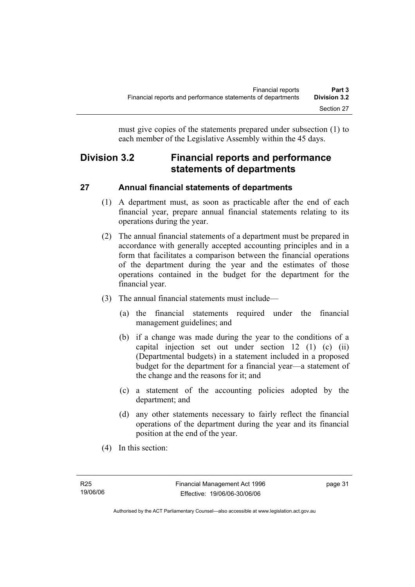must give copies of the statements prepared under subsection (1) to each member of the Legislative Assembly within the 45 days.

# **Division 3.2 Financial reports and performance statements of departments**

# **27 Annual financial statements of departments**

- (1) A department must, as soon as practicable after the end of each financial year, prepare annual financial statements relating to its operations during the year.
- (2) The annual financial statements of a department must be prepared in accordance with generally accepted accounting principles and in a form that facilitates a comparison between the financial operations of the department during the year and the estimates of those operations contained in the budget for the department for the financial year.
- (3) The annual financial statements must include—
	- (a) the financial statements required under the financial management guidelines; and
	- (b) if a change was made during the year to the conditions of a capital injection set out under section 12 (1) (c) (ii) (Departmental budgets) in a statement included in a proposed budget for the department for a financial year—a statement of the change and the reasons for it; and
	- (c) a statement of the accounting policies adopted by the department; and
	- (d) any other statements necessary to fairly reflect the financial operations of the department during the year and its financial position at the end of the year.
- (4) In this section: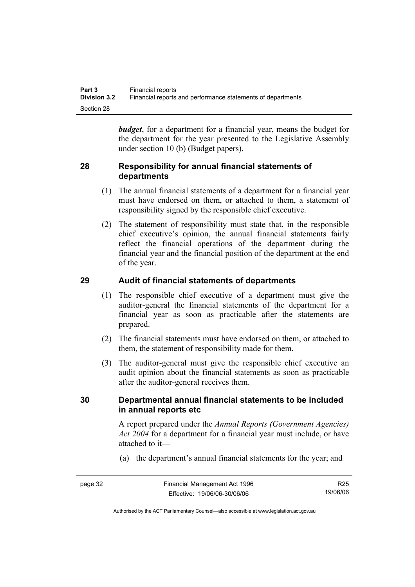*budget*, for a department for a financial year, means the budget for the department for the year presented to the Legislative Assembly under section 10 (b) (Budget papers).

## **28 Responsibility for annual financial statements of departments**

- (1) The annual financial statements of a department for a financial year must have endorsed on them, or attached to them, a statement of responsibility signed by the responsible chief executive.
- (2) The statement of responsibility must state that, in the responsible chief executive's opinion, the annual financial statements fairly reflect the financial operations of the department during the financial year and the financial position of the department at the end of the year.

# **29 Audit of financial statements of departments**

- (1) The responsible chief executive of a department must give the auditor-general the financial statements of the department for a financial year as soon as practicable after the statements are prepared.
- (2) The financial statements must have endorsed on them, or attached to them, the statement of responsibility made for them.
- (3) The auditor-general must give the responsible chief executive an audit opinion about the financial statements as soon as practicable after the auditor-general receives them.

## **30 Departmental annual financial statements to be included in annual reports etc**

A report prepared under the *Annual Reports (Government Agencies) Act 2004* for a department for a financial year must include, or have attached to it—

(a) the department's annual financial statements for the year; and

page 32 Financial Management Act 1996 Effective: 19/06/06-30/06/06 R25 19/06/06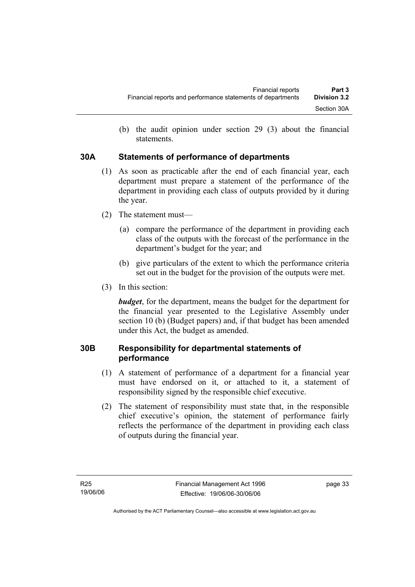(b) the audit opinion under section 29 (3) about the financial statements.

## **30A Statements of performance of departments**

- (1) As soon as practicable after the end of each financial year, each department must prepare a statement of the performance of the department in providing each class of outputs provided by it during the year.
- (2) The statement must—
	- (a) compare the performance of the department in providing each class of the outputs with the forecast of the performance in the department's budget for the year; and
	- (b) give particulars of the extent to which the performance criteria set out in the budget for the provision of the outputs were met.
- (3) In this section:

*budget*, for the department, means the budget for the department for the financial year presented to the Legislative Assembly under section 10 (b) (Budget papers) and, if that budget has been amended under this Act, the budget as amended.

# **30B Responsibility for departmental statements of performance**

- (1) A statement of performance of a department for a financial year must have endorsed on it, or attached to it, a statement of responsibility signed by the responsible chief executive.
- (2) The statement of responsibility must state that, in the responsible chief executive's opinion, the statement of performance fairly reflects the performance of the department in providing each class of outputs during the financial year.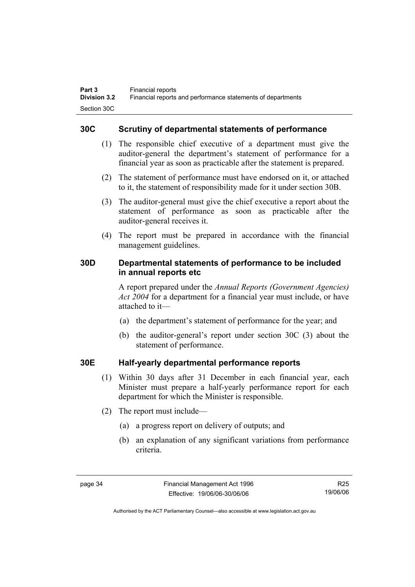#### **30C Scrutiny of departmental statements of performance**

- (1) The responsible chief executive of a department must give the auditor-general the department's statement of performance for a financial year as soon as practicable after the statement is prepared.
- (2) The statement of performance must have endorsed on it, or attached to it, the statement of responsibility made for it under section 30B.
- (3) The auditor-general must give the chief executive a report about the statement of performance as soon as practicable after the auditor-general receives it.
- (4) The report must be prepared in accordance with the financial management guidelines.

#### **30D Departmental statements of performance to be included in annual reports etc**

A report prepared under the *Annual Reports (Government Agencies) Act 2004* for a department for a financial year must include, or have attached to it—

- (a) the department's statement of performance for the year; and
- (b) the auditor-general's report under section 30C (3) about the statement of performance.

## **30E Half-yearly departmental performance reports**

- (1) Within 30 days after 31 December in each financial year, each Minister must prepare a half-yearly performance report for each department for which the Minister is responsible.
- (2) The report must include—
	- (a) a progress report on delivery of outputs; and
	- (b) an explanation of any significant variations from performance criteria.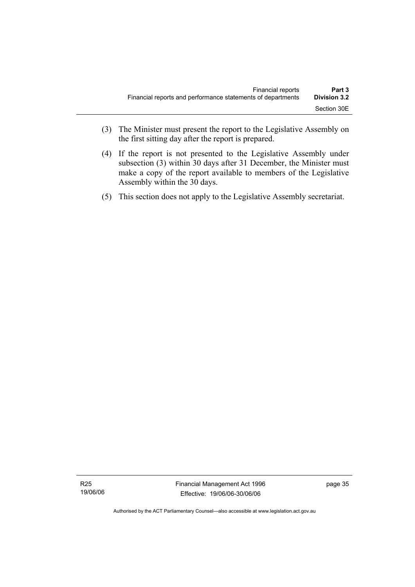- (3) The Minister must present the report to the Legislative Assembly on the first sitting day after the report is prepared.
- (4) If the report is not presented to the Legislative Assembly under subsection (3) within 30 days after 31 December, the Minister must make a copy of the report available to members of the Legislative Assembly within the 30 days.
- (5) This section does not apply to the Legislative Assembly secretariat.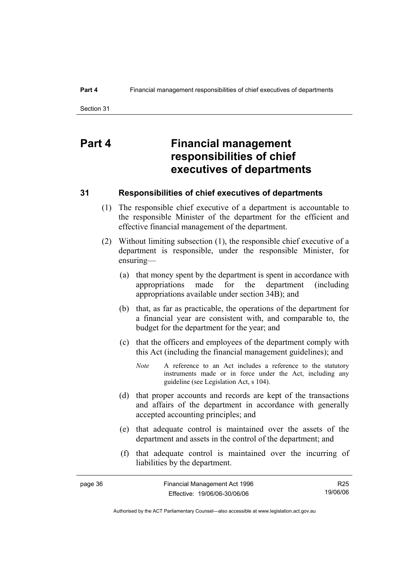# **Part 4 Financial management responsibilities of chief executives of departments**

#### **31 Responsibilities of chief executives of departments**

- (1) The responsible chief executive of a department is accountable to the responsible Minister of the department for the efficient and effective financial management of the department.
- (2) Without limiting subsection (1), the responsible chief executive of a department is responsible, under the responsible Minister, for ensuring—
	- (a) that money spent by the department is spent in accordance with appropriations made for the department (including appropriations available under section 34B); and
	- (b) that, as far as practicable, the operations of the department for a financial year are consistent with, and comparable to, the budget for the department for the year; and
	- (c) that the officers and employees of the department comply with this Act (including the financial management guidelines); and
		- *Note* A reference to an Act includes a reference to the statutory instruments made or in force under the Act, including any guideline (see Legislation Act, s 104).
	- (d) that proper accounts and records are kept of the transactions and affairs of the department in accordance with generally accepted accounting principles; and
	- (e) that adequate control is maintained over the assets of the department and assets in the control of the department; and
	- (f) that adequate control is maintained over the incurring of liabilities by the department.

| page 36 | Financial Management Act 1996 | R25      |
|---------|-------------------------------|----------|
|         | Effective: 19/06/06-30/06/06  | 19/06/06 |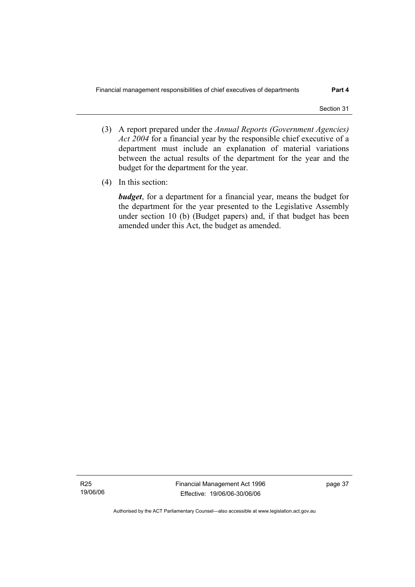- (3) A report prepared under the *Annual Reports (Government Agencies) Act 2004* for a financial year by the responsible chief executive of a department must include an explanation of material variations between the actual results of the department for the year and the budget for the department for the year.
- (4) In this section:

*budget*, for a department for a financial year, means the budget for the department for the year presented to the Legislative Assembly under section 10 (b) (Budget papers) and, if that budget has been amended under this Act, the budget as amended.

R25 19/06/06 Financial Management Act 1996 Effective: 19/06/06-30/06/06

page 37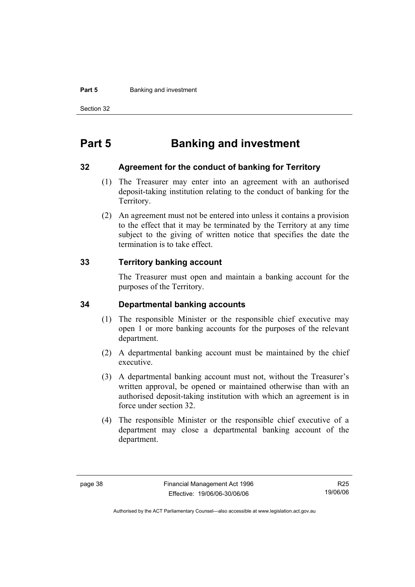#### **Part 5 Banking and investment**

Section 32

# **Part 5 Banking and investment**

#### **32 Agreement for the conduct of banking for Territory**

- (1) The Treasurer may enter into an agreement with an authorised deposit-taking institution relating to the conduct of banking for the Territory.
- (2) An agreement must not be entered into unless it contains a provision to the effect that it may be terminated by the Territory at any time subject to the giving of written notice that specifies the date the termination is to take effect.

#### **33 Territory banking account**

The Treasurer must open and maintain a banking account for the purposes of the Territory.

#### **34 Departmental banking accounts**

- (1) The responsible Minister or the responsible chief executive may open 1 or more banking accounts for the purposes of the relevant department.
- (2) A departmental banking account must be maintained by the chief executive.
- (3) A departmental banking account must not, without the Treasurer's written approval, be opened or maintained otherwise than with an authorised deposit-taking institution with which an agreement is in force under section 32.
- (4) The responsible Minister or the responsible chief executive of a department may close a departmental banking account of the department.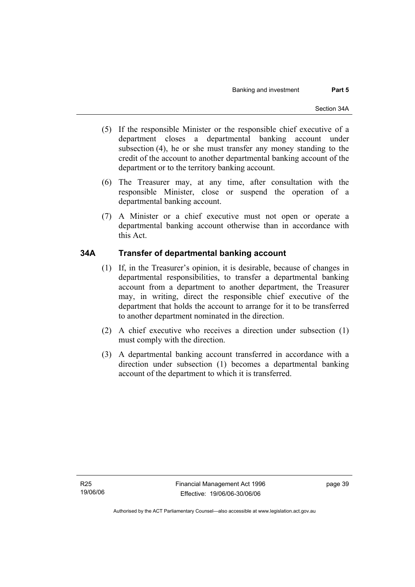- (5) If the responsible Minister or the responsible chief executive of a department closes a departmental banking account under subsection (4), he or she must transfer any money standing to the credit of the account to another departmental banking account of the department or to the territory banking account.
- (6) The Treasurer may, at any time, after consultation with the responsible Minister, close or suspend the operation of a departmental banking account.
- (7) A Minister or a chief executive must not open or operate a departmental banking account otherwise than in accordance with this Act.

## **34A Transfer of departmental banking account**

- (1) If, in the Treasurer's opinion, it is desirable, because of changes in departmental responsibilities, to transfer a departmental banking account from a department to another department, the Treasurer may, in writing, direct the responsible chief executive of the department that holds the account to arrange for it to be transferred to another department nominated in the direction.
- (2) A chief executive who receives a direction under subsection (1) must comply with the direction.
- (3) A departmental banking account transferred in accordance with a direction under subsection (1) becomes a departmental banking account of the department to which it is transferred.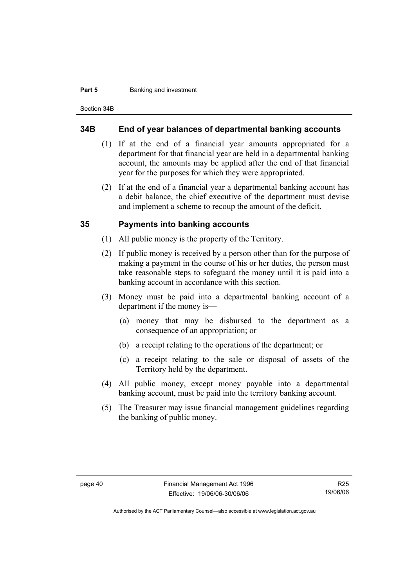#### **Part 5 Banking and investment**

Section 34B

#### **34B End of year balances of departmental banking accounts**

- (1) If at the end of a financial year amounts appropriated for a department for that financial year are held in a departmental banking account, the amounts may be applied after the end of that financial year for the purposes for which they were appropriated.
- (2) If at the end of a financial year a departmental banking account has a debit balance, the chief executive of the department must devise and implement a scheme to recoup the amount of the deficit.

#### **35 Payments into banking accounts**

- (1) All public money is the property of the Territory.
- (2) If public money is received by a person other than for the purpose of making a payment in the course of his or her duties, the person must take reasonable steps to safeguard the money until it is paid into a banking account in accordance with this section.
- (3) Money must be paid into a departmental banking account of a department if the money is—
	- (a) money that may be disbursed to the department as a consequence of an appropriation; or
	- (b) a receipt relating to the operations of the department; or
	- (c) a receipt relating to the sale or disposal of assets of the Territory held by the department.
- (4) All public money, except money payable into a departmental banking account, must be paid into the territory banking account.
- (5) The Treasurer may issue financial management guidelines regarding the banking of public money.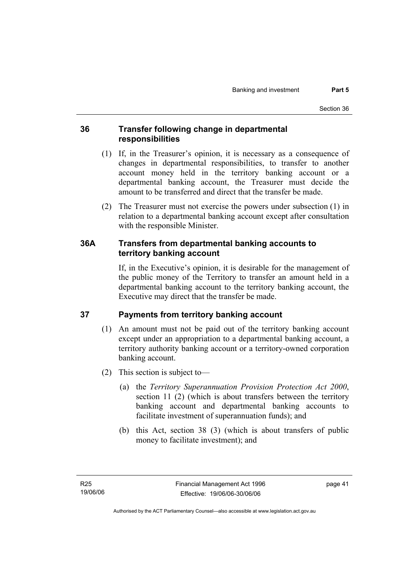## **36 Transfer following change in departmental responsibilities**

- (1) If, in the Treasurer's opinion, it is necessary as a consequence of changes in departmental responsibilities, to transfer to another account money held in the territory banking account or a departmental banking account, the Treasurer must decide the amount to be transferred and direct that the transfer be made.
- (2) The Treasurer must not exercise the powers under subsection (1) in relation to a departmental banking account except after consultation with the responsible Minister.

## **36A Transfers from departmental banking accounts to territory banking account**

If, in the Executive's opinion, it is desirable for the management of the public money of the Territory to transfer an amount held in a departmental banking account to the territory banking account, the Executive may direct that the transfer be made.

# **37 Payments from territory banking account**

- (1) An amount must not be paid out of the territory banking account except under an appropriation to a departmental banking account, a territory authority banking account or a territory-owned corporation banking account.
- (2) This section is subject to—
	- (a) the *Territory Superannuation Provision Protection Act 2000*, section 11 (2) (which is about transfers between the territory banking account and departmental banking accounts to facilitate investment of superannuation funds); and
	- (b) this Act, section 38 (3) (which is about transfers of public money to facilitate investment); and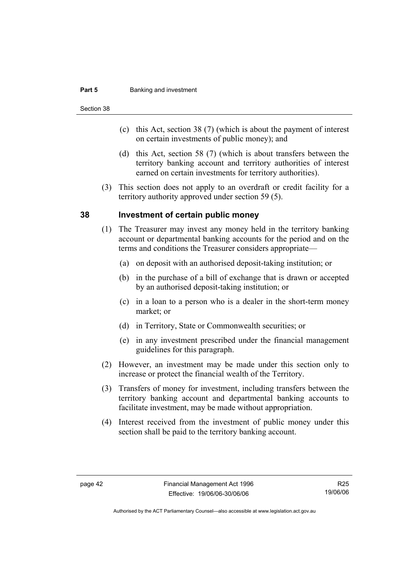#### **Part 5 Banking and investment**

Section 38

- (c) this Act, section 38 (7) (which is about the payment of interest on certain investments of public money); and
- (d) this Act, section 58 (7) (which is about transfers between the territory banking account and territory authorities of interest earned on certain investments for territory authorities).
- (3) This section does not apply to an overdraft or credit facility for a territory authority approved under section 59 (5).

#### **38 Investment of certain public money**

- (1) The Treasurer may invest any money held in the territory banking account or departmental banking accounts for the period and on the terms and conditions the Treasurer considers appropriate—
	- (a) on deposit with an authorised deposit-taking institution; or
	- (b) in the purchase of a bill of exchange that is drawn or accepted by an authorised deposit-taking institution; or
	- (c) in a loan to a person who is a dealer in the short-term money market; or
	- (d) in Territory, State or Commonwealth securities; or
	- (e) in any investment prescribed under the financial management guidelines for this paragraph.
- (2) However, an investment may be made under this section only to increase or protect the financial wealth of the Territory.
- (3) Transfers of money for investment, including transfers between the territory banking account and departmental banking accounts to facilitate investment, may be made without appropriation.
- (4) Interest received from the investment of public money under this section shall be paid to the territory banking account.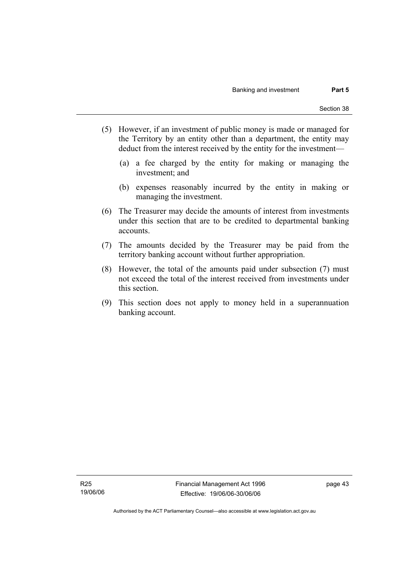- (5) However, if an investment of public money is made or managed for the Territory by an entity other than a department, the entity may deduct from the interest received by the entity for the investment—
	- (a) a fee charged by the entity for making or managing the investment; and
	- (b) expenses reasonably incurred by the entity in making or managing the investment.
- (6) The Treasurer may decide the amounts of interest from investments under this section that are to be credited to departmental banking accounts.
- (7) The amounts decided by the Treasurer may be paid from the territory banking account without further appropriation.
- (8) However, the total of the amounts paid under subsection (7) must not exceed the total of the interest received from investments under this section.
- (9) This section does not apply to money held in a superannuation banking account.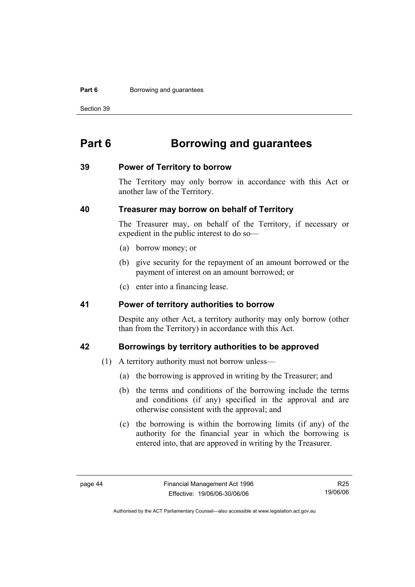#### **Part 6 Borrowing and guarantees**

Section 39

# **Part 6 Borrowing and guarantees**

#### **39 Power of Territory to borrow**

The Territory may only borrow in accordance with this Act or another law of the Territory.

#### **40 Treasurer may borrow on behalf of Territory**

The Treasurer may, on behalf of the Territory, if necessary or expedient in the public interest to do so—

- (a) borrow money; or
- (b) give security for the repayment of an amount borrowed or the payment of interest on an amount borrowed; or
- (c) enter into a financing lease.

#### **41 Power of territory authorities to borrow**

Despite any other Act, a territory authority may only borrow (other than from the Territory) in accordance with this Act.

#### **42 Borrowings by territory authorities to be approved**

- (1) A territory authority must not borrow unless—
	- (a) the borrowing is approved in writing by the Treasurer; and
	- (b) the terms and conditions of the borrowing include the terms and conditions (if any) specified in the approval and are otherwise consistent with the approval; and
	- (c) the borrowing is within the borrowing limits (if any) of the authority for the financial year in which the borrowing is entered into, that are approved in writing by the Treasurer.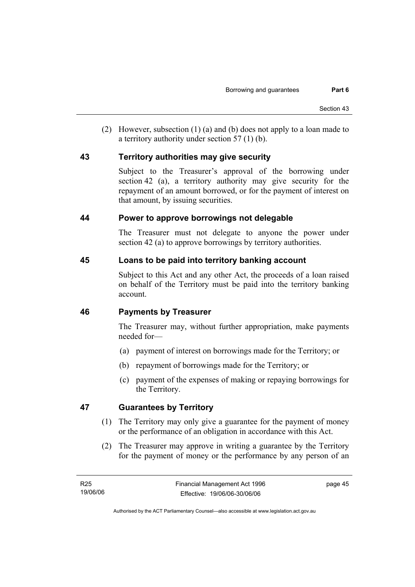(2) However, subsection (1) (a) and (b) does not apply to a loan made to a territory authority under section 57 (1) (b).

#### **43 Territory authorities may give security**

Subject to the Treasurer's approval of the borrowing under section 42 (a), a territory authority may give security for the repayment of an amount borrowed, or for the payment of interest on that amount, by issuing securities.

#### **44 Power to approve borrowings not delegable**

The Treasurer must not delegate to anyone the power under section 42 (a) to approve borrowings by territory authorities.

#### **45 Loans to be paid into territory banking account**

Subject to this Act and any other Act, the proceeds of a loan raised on behalf of the Territory must be paid into the territory banking account.

## **46 Payments by Treasurer**

The Treasurer may, without further appropriation, make payments needed for—

- (a) payment of interest on borrowings made for the Territory; or
- (b) repayment of borrowings made for the Territory; or
- (c) payment of the expenses of making or repaying borrowings for the Territory.

## **47 Guarantees by Territory**

- (1) The Territory may only give a guarantee for the payment of money or the performance of an obligation in accordance with this Act.
- (2) The Treasurer may approve in writing a guarantee by the Territory for the payment of money or the performance by any person of an

page 45

Authorised by the ACT Parliamentary Counsel—also accessible at www.legislation.act.gov.au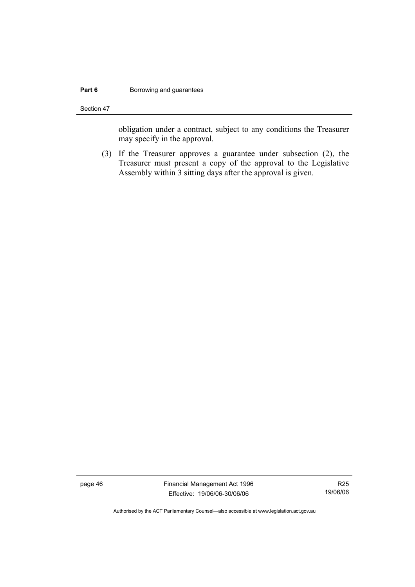#### **Part 6 Borrowing and guarantees**

Section 47

obligation under a contract, subject to any conditions the Treasurer may specify in the approval.

 (3) If the Treasurer approves a guarantee under subsection (2), the Treasurer must present a copy of the approval to the Legislative Assembly within 3 sitting days after the approval is given.

page 46 Financial Management Act 1996 Effective: 19/06/06-30/06/06

R25 19/06/06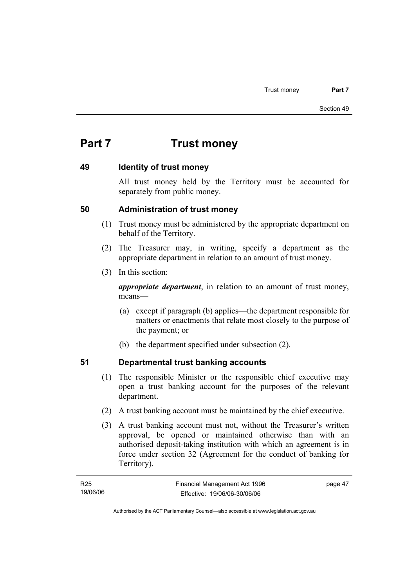# **Part 7 Trust money**

#### **49 Identity of trust money**

All trust money held by the Territory must be accounted for separately from public money.

#### **50 Administration of trust money**

- (1) Trust money must be administered by the appropriate department on behalf of the Territory.
- (2) The Treasurer may, in writing, specify a department as the appropriate department in relation to an amount of trust money.
- (3) In this section:

*appropriate department*, in relation to an amount of trust money, means—

- (a) except if paragraph (b) applies—the department responsible for matters or enactments that relate most closely to the purpose of the payment; or
- (b) the department specified under subsection (2).

# **51 Departmental trust banking accounts**

- (1) The responsible Minister or the responsible chief executive may open a trust banking account for the purposes of the relevant department.
- (2) A trust banking account must be maintained by the chief executive.
- (3) A trust banking account must not, without the Treasurer's written approval, be opened or maintained otherwise than with an authorised deposit-taking institution with which an agreement is in force under section 32 (Agreement for the conduct of banking for Territory).

| R25      | Financial Management Act 1996 | page 47 |
|----------|-------------------------------|---------|
| 19/06/06 | Effective: 19/06/06-30/06/06  |         |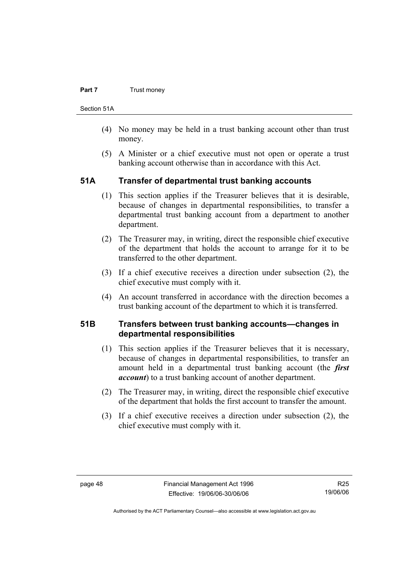#### **Part 7 Trust money**

Section 51A

- (4) No money may be held in a trust banking account other than trust money.
- (5) A Minister or a chief executive must not open or operate a trust banking account otherwise than in accordance with this Act.

#### **51A Transfer of departmental trust banking accounts**

- (1) This section applies if the Treasurer believes that it is desirable, because of changes in departmental responsibilities, to transfer a departmental trust banking account from a department to another department.
- (2) The Treasurer may, in writing, direct the responsible chief executive of the department that holds the account to arrange for it to be transferred to the other department.
- (3) If a chief executive receives a direction under subsection (2), the chief executive must comply with it.
- (4) An account transferred in accordance with the direction becomes a trust banking account of the department to which it is transferred.

#### **51B Transfers between trust banking accounts—changes in departmental responsibilities**

- (1) This section applies if the Treasurer believes that it is necessary, because of changes in departmental responsibilities, to transfer an amount held in a departmental trust banking account (the *first account*) to a trust banking account of another department.
- (2) The Treasurer may, in writing, direct the responsible chief executive of the department that holds the first account to transfer the amount.
- (3) If a chief executive receives a direction under subsection (2), the chief executive must comply with it.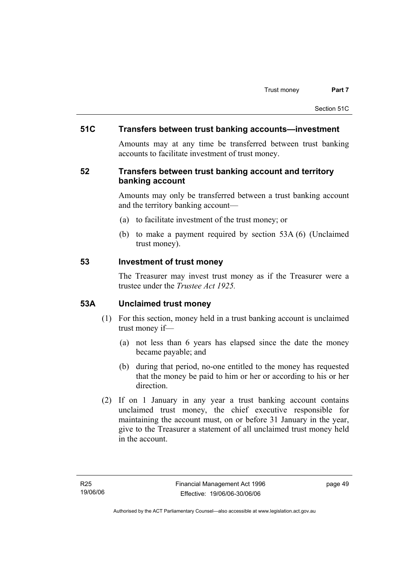#### **51C Transfers between trust banking accounts—investment**

Amounts may at any time be transferred between trust banking accounts to facilitate investment of trust money.

#### **52 Transfers between trust banking account and territory banking account**

Amounts may only be transferred between a trust banking account and the territory banking account—

- (a) to facilitate investment of the trust money; or
- (b) to make a payment required by section 53A (6) (Unclaimed trust money).

#### **53 Investment of trust money**

The Treasurer may invest trust money as if the Treasurer were a trustee under the *Trustee Act 1925.*

#### **53A Unclaimed trust money**

- (1) For this section, money held in a trust banking account is unclaimed trust money if—
	- (a) not less than 6 years has elapsed since the date the money became payable; and
	- (b) during that period, no-one entitled to the money has requested that the money be paid to him or her or according to his or her direction.
- (2) If on 1 January in any year a trust banking account contains unclaimed trust money, the chief executive responsible for maintaining the account must, on or before 31 January in the year, give to the Treasurer a statement of all unclaimed trust money held in the account.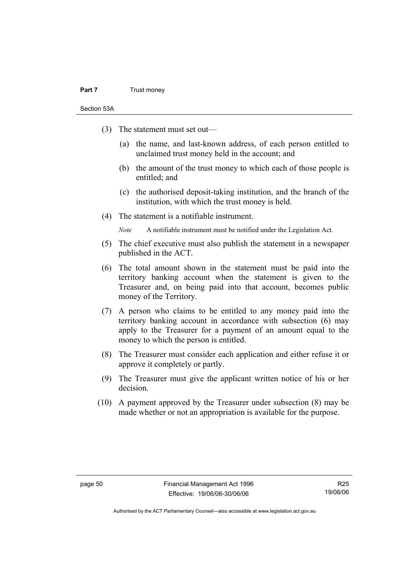#### **Part 7** Trust money

Section 53A

- (3) The statement must set out—
	- (a) the name, and last-known address, of each person entitled to unclaimed trust money held in the account; and
	- (b) the amount of the trust money to which each of those people is entitled; and
	- (c) the authorised deposit-taking institution, and the branch of the institution, with which the trust money is held.
- (4) The statement is a notifiable instrument.

*Note* A notifiable instrument must be notified under the Legislation Act.

- (5) The chief executive must also publish the statement in a newspaper published in the ACT.
- (6) The total amount shown in the statement must be paid into the territory banking account when the statement is given to the Treasurer and, on being paid into that account, becomes public money of the Territory.
- (7) A person who claims to be entitled to any money paid into the territory banking account in accordance with subsection (6) may apply to the Treasurer for a payment of an amount equal to the money to which the person is entitled.
- (8) The Treasurer must consider each application and either refuse it or approve it completely or partly.
- (9) The Treasurer must give the applicant written notice of his or her decision.
- (10) A payment approved by the Treasurer under subsection (8) may be made whether or not an appropriation is available for the purpose.

R25 19/06/06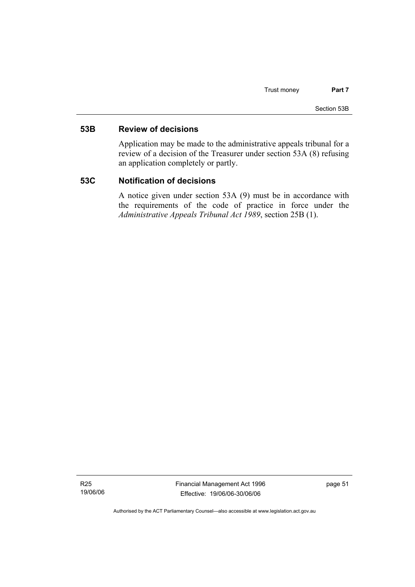#### **53B Review of decisions**

Application may be made to the administrative appeals tribunal for a review of a decision of the Treasurer under section 53A (8) refusing an application completely or partly.

#### **53C Notification of decisions**

A notice given under section 53A (9) must be in accordance with the requirements of the code of practice in force under the *Administrative Appeals Tribunal Act 1989*, section 25B (1).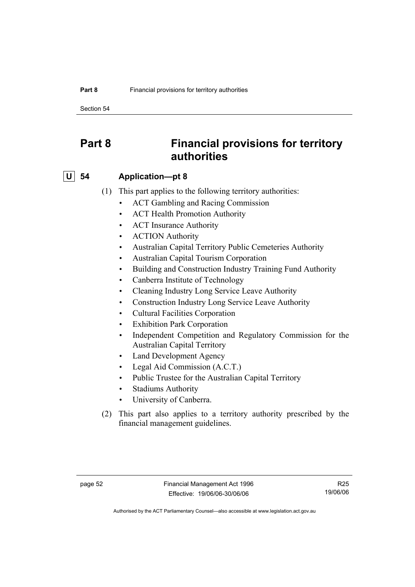#### **Part 8 Financial provisions for territory authorities**

Section 54

# **Part 8 Financial provisions for territory authorities**

#### **U 54 Application—pt 8**

- (1) This part applies to the following territory authorities:
	- ACT Gambling and Racing Commission
	- ACT Health Promotion Authority
	- ACT Insurance Authority
	- ACTION Authority
	- Australian Capital Territory Public Cemeteries Authority
	- Australian Capital Tourism Corporation
	- Building and Construction Industry Training Fund Authority
	- Canberra Institute of Technology
	- Cleaning Industry Long Service Leave Authority
	- Construction Industry Long Service Leave Authority
	- Cultural Facilities Corporation
	- Exhibition Park Corporation
	- Independent Competition and Regulatory Commission for the Australian Capital Territory
	- Land Development Agency
	- Legal Aid Commission (A.C.T.)
	- Public Trustee for the Australian Capital Territory
	- Stadiums Authority
	- University of Canberra.
- (2) This part also applies to a territory authority prescribed by the financial management guidelines.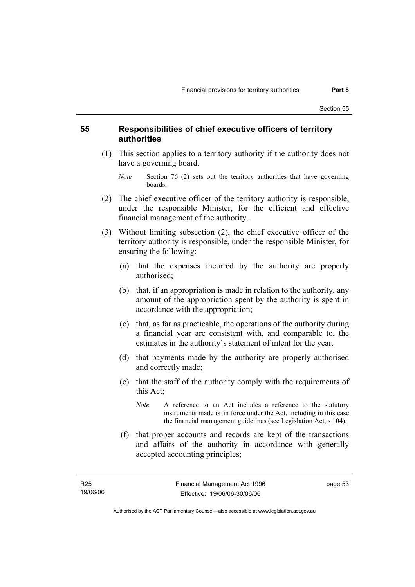#### **55 Responsibilities of chief executive officers of territory authorities**

- (1) This section applies to a territory authority if the authority does not have a governing board.
	- *Note* Section 76 (2) sets out the territory authorities that have governing boards.
- (2) The chief executive officer of the territory authority is responsible, under the responsible Minister, for the efficient and effective financial management of the authority.
- (3) Without limiting subsection (2), the chief executive officer of the territory authority is responsible, under the responsible Minister, for ensuring the following:
	- (a) that the expenses incurred by the authority are properly authorised;
	- (b) that, if an appropriation is made in relation to the authority, any amount of the appropriation spent by the authority is spent in accordance with the appropriation;
	- (c) that, as far as practicable, the operations of the authority during a financial year are consistent with, and comparable to, the estimates in the authority's statement of intent for the year.
	- (d) that payments made by the authority are properly authorised and correctly made;
	- (e) that the staff of the authority comply with the requirements of this Act;
		- *Note* A reference to an Act includes a reference to the statutory instruments made or in force under the Act, including in this case the financial management guidelines (see Legislation Act, s 104).
	- (f) that proper accounts and records are kept of the transactions and affairs of the authority in accordance with generally accepted accounting principles;

page 53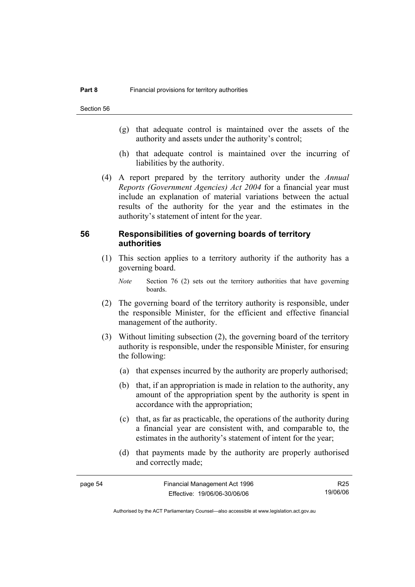- (g) that adequate control is maintained over the assets of the authority and assets under the authority's control;
- (h) that adequate control is maintained over the incurring of liabilities by the authority.
- (4) A report prepared by the territory authority under the *Annual Reports (Government Agencies) Act 2004* for a financial year must include an explanation of material variations between the actual results of the authority for the year and the estimates in the authority's statement of intent for the year.

#### **56 Responsibilities of governing boards of territory authorities**

 (1) This section applies to a territory authority if the authority has a governing board.

*Note* Section 76 (2) sets out the territory authorities that have governing boards.

- (2) The governing board of the territory authority is responsible, under the responsible Minister, for the efficient and effective financial management of the authority.
- (3) Without limiting subsection (2), the governing board of the territory authority is responsible, under the responsible Minister, for ensuring the following:
	- (a) that expenses incurred by the authority are properly authorised;
	- (b) that, if an appropriation is made in relation to the authority, any amount of the appropriation spent by the authority is spent in accordance with the appropriation;
	- (c) that, as far as practicable, the operations of the authority during a financial year are consistent with, and comparable to, the estimates in the authority's statement of intent for the year;
	- (d) that payments made by the authority are properly authorised and correctly made;

| page 54 | Financial Management Act 1996 | R25      |
|---------|-------------------------------|----------|
|         | Effective: 19/06/06-30/06/06  | 19/06/06 |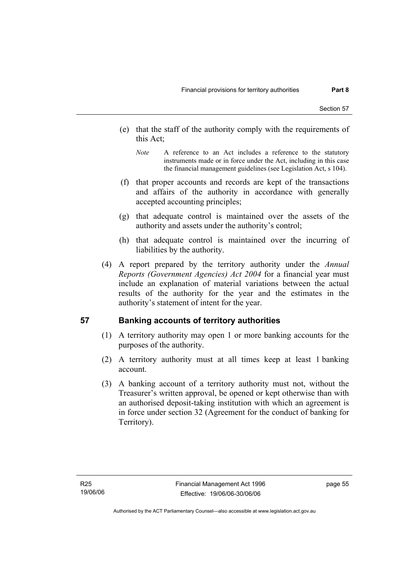- (e) that the staff of the authority comply with the requirements of this Act;
	- *Note* A reference to an Act includes a reference to the statutory instruments made or in force under the Act, including in this case the financial management guidelines (see Legislation Act, s 104).
- (f) that proper accounts and records are kept of the transactions and affairs of the authority in accordance with generally accepted accounting principles;
- (g) that adequate control is maintained over the assets of the authority and assets under the authority's control;
- (h) that adequate control is maintained over the incurring of liabilities by the authority.
- (4) A report prepared by the territory authority under the *Annual Reports (Government Agencies) Act 2004* for a financial year must include an explanation of material variations between the actual results of the authority for the year and the estimates in the authority's statement of intent for the year.

## **57 Banking accounts of territory authorities**

- (1) A territory authority may open 1 or more banking accounts for the purposes of the authority.
- (2) A territory authority must at all times keep at least 1 banking account.
- (3) A banking account of a territory authority must not, without the Treasurer's written approval, be opened or kept otherwise than with an authorised deposit-taking institution with which an agreement is in force under section 32 (Agreement for the conduct of banking for Territory).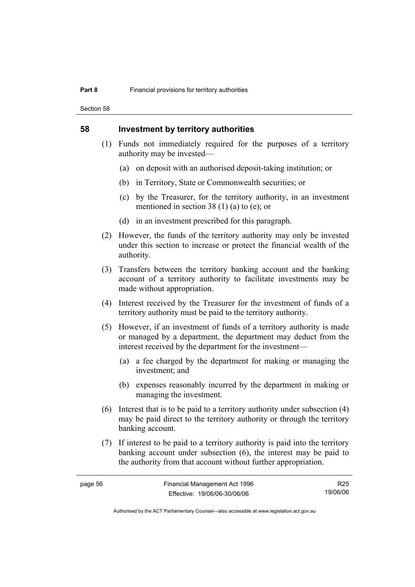Section 58

#### **58 Investment by territory authorities**

- (1) Funds not immediately required for the purposes of a territory authority may be invested—
	- (a) on deposit with an authorised deposit-taking institution; or
	- (b) in Territory, State or Commonwealth securities; or
	- (c) by the Treasurer, for the territory authority, in an investment mentioned in section 38 (1) (a) to (e); or
	- (d) in an investment prescribed for this paragraph.
- (2) However, the funds of the territory authority may only be invested under this section to increase or protect the financial wealth of the authority.
- (3) Transfers between the territory banking account and the banking account of a territory authority to facilitate investments may be made without appropriation.
- (4) Interest received by the Treasurer for the investment of funds of a territory authority must be paid to the territory authority.
- (5) However, if an investment of funds of a territory authority is made or managed by a department, the department may deduct from the interest received by the department for the investment—
	- (a) a fee charged by the department for making or managing the investment; and
	- (b) expenses reasonably incurred by the department in making or managing the investment.
- (6) Interest that is to be paid to a territory authority under subsection (4) may be paid direct to the territory authority or through the territory banking account.
- (7) If interest to be paid to a territory authority is paid into the territory banking account under subsection (6), the interest may be paid to the authority from that account without further appropriation.

R25 19/06/06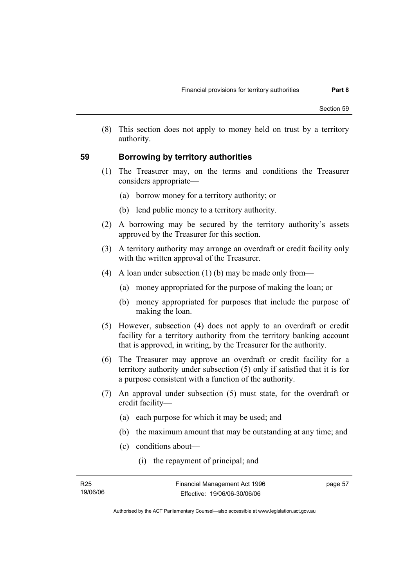(8) This section does not apply to money held on trust by a territory authority.

#### **59 Borrowing by territory authorities**

- (1) The Treasurer may, on the terms and conditions the Treasurer considers appropriate—
	- (a) borrow money for a territory authority; or
	- (b) lend public money to a territory authority.
- (2) A borrowing may be secured by the territory authority's assets approved by the Treasurer for this section.
- (3) A territory authority may arrange an overdraft or credit facility only with the written approval of the Treasurer.
- (4) A loan under subsection (1) (b) may be made only from—
	- (a) money appropriated for the purpose of making the loan; or
	- (b) money appropriated for purposes that include the purpose of making the loan.
- (5) However, subsection (4) does not apply to an overdraft or credit facility for a territory authority from the territory banking account that is approved, in writing, by the Treasurer for the authority.
- (6) The Treasurer may approve an overdraft or credit facility for a territory authority under subsection (5) only if satisfied that it is for a purpose consistent with a function of the authority.
- (7) An approval under subsection (5) must state, for the overdraft or credit facility—
	- (a) each purpose for which it may be used; and
	- (b) the maximum amount that may be outstanding at any time; and
	- (c) conditions about—
		- (i) the repayment of principal; and

| R25      | Financial Management Act 1996 | page 57 |
|----------|-------------------------------|---------|
| 19/06/06 | Effective: 19/06/06-30/06/06  |         |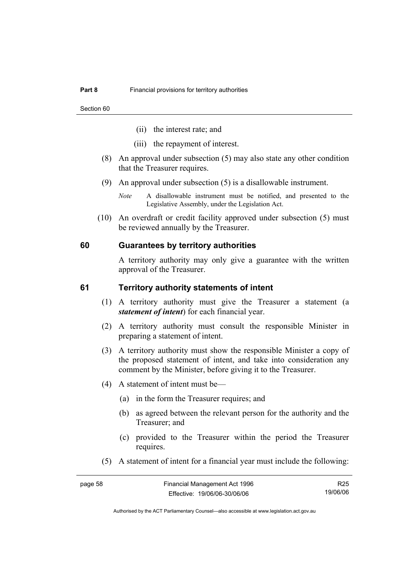- (ii) the interest rate; and
- (iii) the repayment of interest.
- (8) An approval under subsection (5) may also state any other condition that the Treasurer requires.
- (9) An approval under subsection (5) is a disallowable instrument.
	- *Note* A disallowable instrument must be notified, and presented to the Legislative Assembly, under the Legislation Act.
- (10) An overdraft or credit facility approved under subsection (5) must be reviewed annually by the Treasurer.

#### **60 Guarantees by territory authorities**

A territory authority may only give a guarantee with the written approval of the Treasurer.

#### **61 Territory authority statements of intent**

- (1) A territory authority must give the Treasurer a statement (a *statement of intent*) for each financial year.
- (2) A territory authority must consult the responsible Minister in preparing a statement of intent.
- (3) A territory authority must show the responsible Minister a copy of the proposed statement of intent, and take into consideration any comment by the Minister, before giving it to the Treasurer.
- (4) A statement of intent must be—
	- (a) in the form the Treasurer requires; and
	- (b) as agreed between the relevant person for the authority and the Treasurer; and
	- (c) provided to the Treasurer within the period the Treasurer requires.
- (5) A statement of intent for a financial year must include the following:

| page 58 | Financial Management Act 1996 | R25      |
|---------|-------------------------------|----------|
|         | Effective: 19/06/06-30/06/06  | 19/06/06 |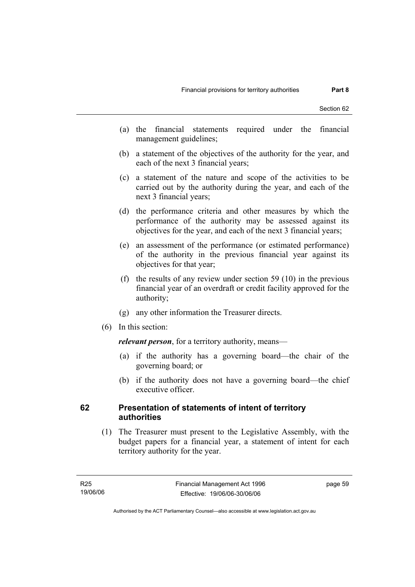- (a) the financial statements required under the financial management guidelines;
- (b) a statement of the objectives of the authority for the year, and each of the next 3 financial years;
- (c) a statement of the nature and scope of the activities to be carried out by the authority during the year, and each of the next 3 financial years;
- (d) the performance criteria and other measures by which the performance of the authority may be assessed against its objectives for the year, and each of the next 3 financial years;
- (e) an assessment of the performance (or estimated performance) of the authority in the previous financial year against its objectives for that year;
- (f) the results of any review under section 59 (10) in the previous financial year of an overdraft or credit facility approved for the authority;
- (g) any other information the Treasurer directs.
- (6) In this section:

*relevant person*, for a territory authority, means—

- (a) if the authority has a governing board—the chair of the governing board; or
- (b) if the authority does not have a governing board—the chief executive officer.

#### **62 Presentation of statements of intent of territory authorities**

 (1) The Treasurer must present to the Legislative Assembly, with the budget papers for a financial year, a statement of intent for each territory authority for the year.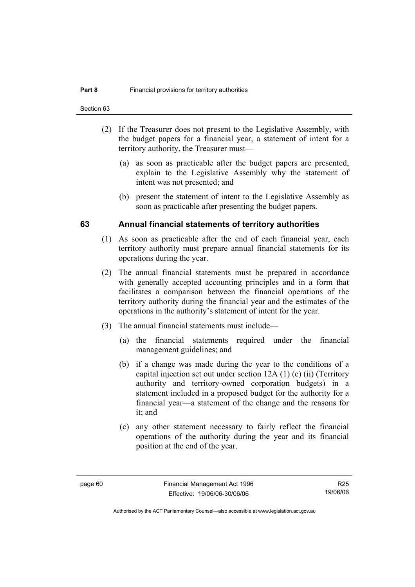- (2) If the Treasurer does not present to the Legislative Assembly, with the budget papers for a financial year, a statement of intent for a territory authority, the Treasurer must—
	- (a) as soon as practicable after the budget papers are presented, explain to the Legislative Assembly why the statement of intent was not presented; and
	- (b) present the statement of intent to the Legislative Assembly as soon as practicable after presenting the budget papers.

#### **63 Annual financial statements of territory authorities**

- (1) As soon as practicable after the end of each financial year, each territory authority must prepare annual financial statements for its operations during the year.
- (2) The annual financial statements must be prepared in accordance with generally accepted accounting principles and in a form that facilitates a comparison between the financial operations of the territory authority during the financial year and the estimates of the operations in the authority's statement of intent for the year.
- (3) The annual financial statements must include—
	- (a) the financial statements required under the financial management guidelines; and
	- (b) if a change was made during the year to the conditions of a capital injection set out under section 12A (1) (c) (ii) (Territory authority and territory-owned corporation budgets) in a statement included in a proposed budget for the authority for a financial year—a statement of the change and the reasons for it; and
	- (c) any other statement necessary to fairly reflect the financial operations of the authority during the year and its financial position at the end of the year.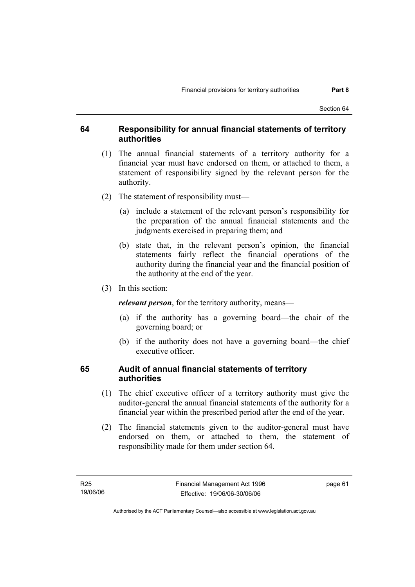#### **64 Responsibility for annual financial statements of territory authorities**

- (1) The annual financial statements of a territory authority for a financial year must have endorsed on them, or attached to them, a statement of responsibility signed by the relevant person for the authority.
- (2) The statement of responsibility must—
	- (a) include a statement of the relevant person's responsibility for the preparation of the annual financial statements and the judgments exercised in preparing them; and
	- (b) state that, in the relevant person's opinion, the financial statements fairly reflect the financial operations of the authority during the financial year and the financial position of the authority at the end of the year.
- (3) In this section:

*relevant person*, for the territory authority, means—

- (a) if the authority has a governing board—the chair of the governing board; or
- (b) if the authority does not have a governing board—the chief executive officer.

## **65 Audit of annual financial statements of territory authorities**

- (1) The chief executive officer of a territory authority must give the auditor-general the annual financial statements of the authority for a financial year within the prescribed period after the end of the year.
- (2) The financial statements given to the auditor-general must have endorsed on them, or attached to them, the statement of responsibility made for them under section 64.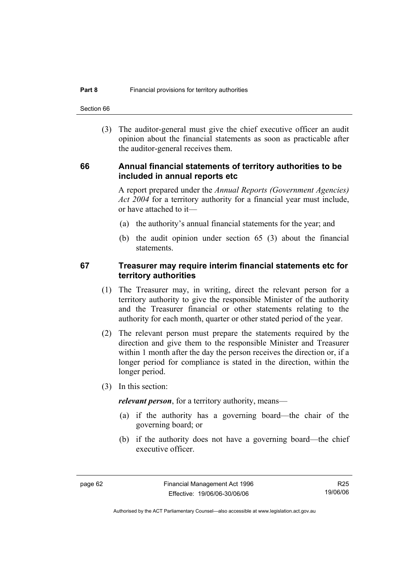Section 66

 (3) The auditor-general must give the chief executive officer an audit opinion about the financial statements as soon as practicable after the auditor-general receives them.

#### **66 Annual financial statements of territory authorities to be included in annual reports etc**

A report prepared under the *Annual Reports (Government Agencies) Act 2004* for a territory authority for a financial year must include, or have attached to it—

- (a) the authority's annual financial statements for the year; and
- (b) the audit opinion under section 65 (3) about the financial statements.

#### **67 Treasurer may require interim financial statements etc for territory authorities**

- (1) The Treasurer may, in writing, direct the relevant person for a territory authority to give the responsible Minister of the authority and the Treasurer financial or other statements relating to the authority for each month, quarter or other stated period of the year.
- (2) The relevant person must prepare the statements required by the direction and give them to the responsible Minister and Treasurer within 1 month after the day the person receives the direction or, if a longer period for compliance is stated in the direction, within the longer period.
- (3) In this section:

*relevant person*, for a territory authority, means—

- (a) if the authority has a governing board—the chair of the governing board; or
- (b) if the authority does not have a governing board—the chief executive officer.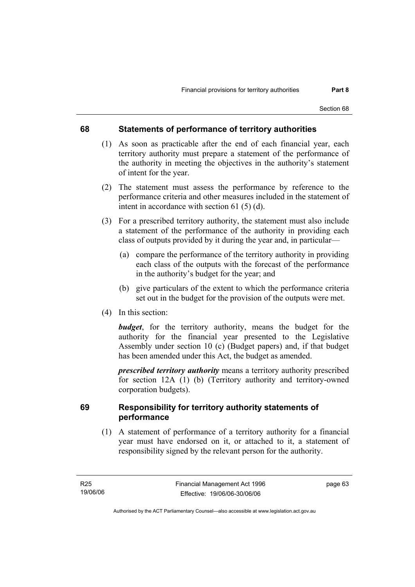### **68 Statements of performance of territory authorities**

- (1) As soon as practicable after the end of each financial year, each territory authority must prepare a statement of the performance of the authority in meeting the objectives in the authority's statement of intent for the year.
- (2) The statement must assess the performance by reference to the performance criteria and other measures included in the statement of intent in accordance with section 61 (5) (d).
- (3) For a prescribed territory authority, the statement must also include a statement of the performance of the authority in providing each class of outputs provided by it during the year and, in particular—
	- (a) compare the performance of the territory authority in providing each class of the outputs with the forecast of the performance in the authority's budget for the year; and
	- (b) give particulars of the extent to which the performance criteria set out in the budget for the provision of the outputs were met.
- (4) In this section:

*budget*, for the territory authority, means the budget for the authority for the financial year presented to the Legislative Assembly under section 10 (c) (Budget papers) and, if that budget has been amended under this Act, the budget as amended.

*prescribed territory authority* means a territory authority prescribed for section 12A (1) (b) (Territory authority and territory-owned corporation budgets).

## **69 Responsibility for territory authority statements of performance**

 (1) A statement of performance of a territory authority for a financial year must have endorsed on it, or attached to it, a statement of responsibility signed by the relevant person for the authority.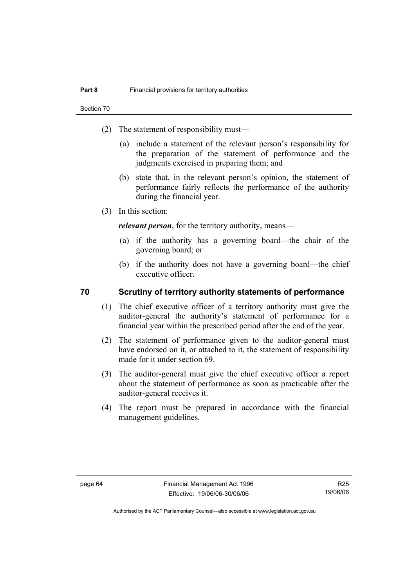- (2) The statement of responsibility must—
	- (a) include a statement of the relevant person's responsibility for the preparation of the statement of performance and the judgments exercised in preparing them; and
	- (b) state that, in the relevant person's opinion, the statement of performance fairly reflects the performance of the authority during the financial year.
- (3) In this section:

*relevant person*, for the territory authority, means—

- (a) if the authority has a governing board—the chair of the governing board; or
- (b) if the authority does not have a governing board—the chief executive officer.

### **70 Scrutiny of territory authority statements of performance**

- (1) The chief executive officer of a territory authority must give the auditor-general the authority's statement of performance for a financial year within the prescribed period after the end of the year.
- (2) The statement of performance given to the auditor-general must have endorsed on it, or attached to it, the statement of responsibility made for it under section 69.
- (3) The auditor-general must give the chief executive officer a report about the statement of performance as soon as practicable after the auditor-general receives it.
- (4) The report must be prepared in accordance with the financial management guidelines.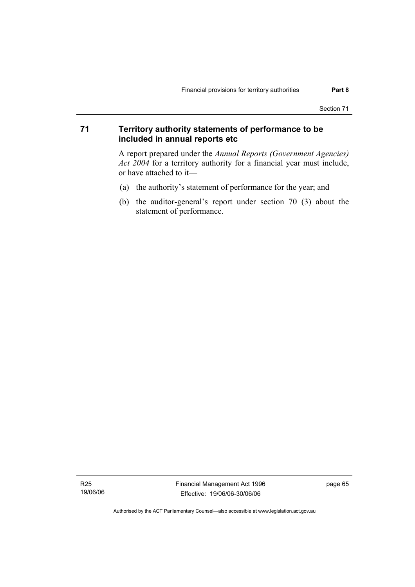## **71 Territory authority statements of performance to be included in annual reports etc**

A report prepared under the *Annual Reports (Government Agencies) Act 2004* for a territory authority for a financial year must include, or have attached to it—

- (a) the authority's statement of performance for the year; and
- (b) the auditor-general's report under section 70 (3) about the statement of performance.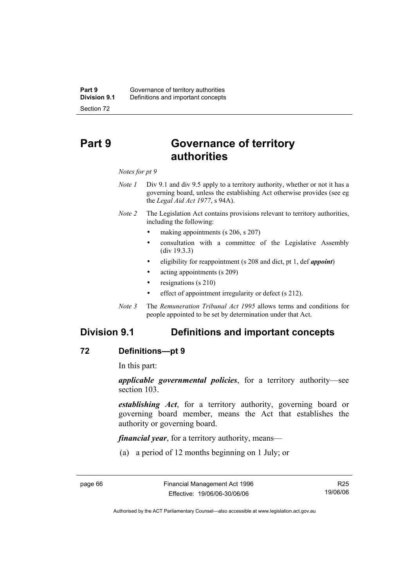# **Part 9 Governance of territory authorities**

#### *Notes for pt 9*

- *Note 1* Div 9.1 and div 9.5 apply to a territory authority, whether or not it has a governing board, unless the establishing Act otherwise provides (see eg the *Legal Aid Act 1977*, s 94A).
- *Note 2* The Legislation Act contains provisions relevant to territory authorities, including the following:
	- making appointments (s 206, s 207)
	- consultation with a committee of the Legislative Assembly (div 19.3.3)
	- eligibility for reappointment (s 208 and dict, pt 1, def *appoint*)
	- acting appointments (s 209)
	- resignations (s 210)
	- effect of appointment irregularity or defect (s 212).
- *Note 3* The *Remuneration Tribunal Act 1995* allows terms and conditions for people appointed to be set by determination under that Act.

# **Division 9.1 Definitions and important concepts**

### **72 Definitions—pt 9**

In this part:

*applicable governmental policies*, for a territory authority—see section 103.

*establishing Act*, for a territory authority, governing board or governing board member, means the Act that establishes the authority or governing board.

*financial year*, for a territory authority, means—

(a) a period of 12 months beginning on 1 July; or

R25 19/06/06

Authorised by the ACT Parliamentary Counsel—also accessible at www.legislation.act.gov.au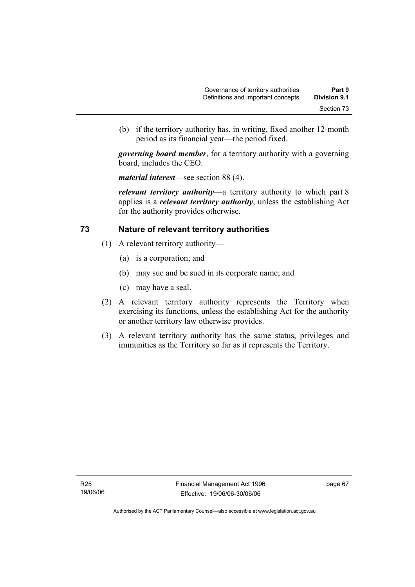(b) if the territory authority has, in writing, fixed another 12-month period as its financial year—the period fixed.

*governing board member*, for a territory authority with a governing board, includes the CEO.

*material interest*—see section 88 (4).

*relevant territory authority*—a territory authority to which part 8 applies is a *relevant territory authority*, unless the establishing Act for the authority provides otherwise.

### **73 Nature of relevant territory authorities**

- (1) A relevant territory authority—
	- (a) is a corporation; and
	- (b) may sue and be sued in its corporate name; and
	- (c) may have a seal.
- (2) A relevant territory authority represents the Territory when exercising its functions, unless the establishing Act for the authority or another territory law otherwise provides.
- (3) A relevant territory authority has the same status, privileges and immunities as the Territory so far as it represents the Territory.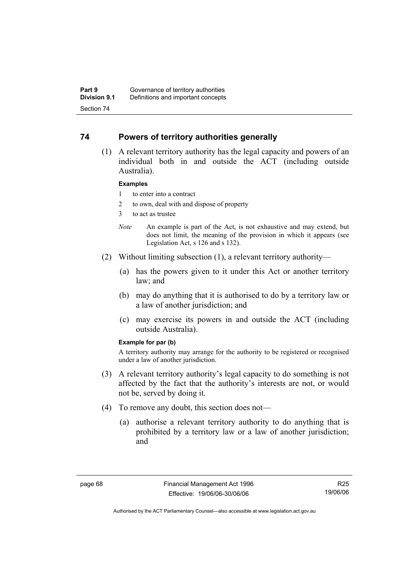### **74 Powers of territory authorities generally**

 (1) A relevant territory authority has the legal capacity and powers of an individual both in and outside the ACT (including outside Australia).

#### **Examples**

- 1 to enter into a contract
- 2 to own, deal with and dispose of property
- 3 to act as trustee
- *Note* An example is part of the Act, is not exhaustive and may extend, but does not limit, the meaning of the provision in which it appears (see Legislation Act, s 126 and s 132).
- (2) Without limiting subsection (1), a relevant territory authority—
	- (a) has the powers given to it under this Act or another territory law; and
	- (b) may do anything that it is authorised to do by a territory law or a law of another jurisdiction; and
	- (c) may exercise its powers in and outside the ACT (including outside Australia).

#### **Example for par (b)**

A territory authority may arrange for the authority to be registered or recognised under a law of another jurisdiction.

- (3) A relevant territory authority's legal capacity to do something is not affected by the fact that the authority's interests are not, or would not be, served by doing it.
- (4) To remove any doubt, this section does not—
	- (a) authorise a relevant territory authority to do anything that is prohibited by a territory law or a law of another jurisdiction; and

R25 19/06/06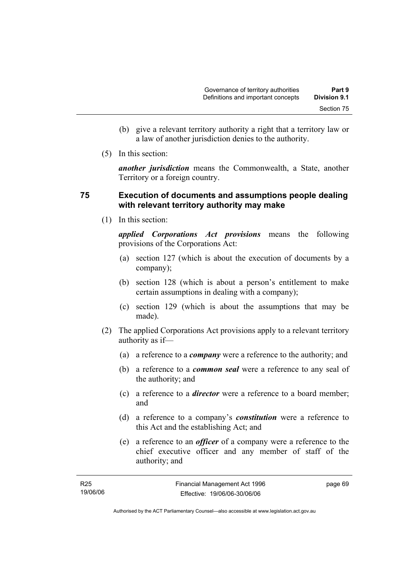- (b) give a relevant territory authority a right that a territory law or a law of another jurisdiction denies to the authority.
- (5) In this section:

*another jurisdiction* means the Commonwealth, a State, another Territory or a foreign country.

## **75 Execution of documents and assumptions people dealing with relevant territory authority may make**

(1) In this section:

*applied Corporations Act provisions* means the following provisions of the Corporations Act:

- (a) section 127 (which is about the execution of documents by a company);
- (b) section 128 (which is about a person's entitlement to make certain assumptions in dealing with a company);
- (c) section 129 (which is about the assumptions that may be made).
- (2) The applied Corporations Act provisions apply to a relevant territory authority as if—
	- (a) a reference to a *company* were a reference to the authority; and
	- (b) a reference to a *common seal* were a reference to any seal of the authority; and
	- (c) a reference to a *director* were a reference to a board member; and
	- (d) a reference to a company's *constitution* were a reference to this Act and the establishing Act; and
	- (e) a reference to an *officer* of a company were a reference to the chief executive officer and any member of staff of the authority; and

| R25      | Financial Management Act 1996 | page 69 |
|----------|-------------------------------|---------|
| 19/06/06 | Effective: 19/06/06-30/06/06  |         |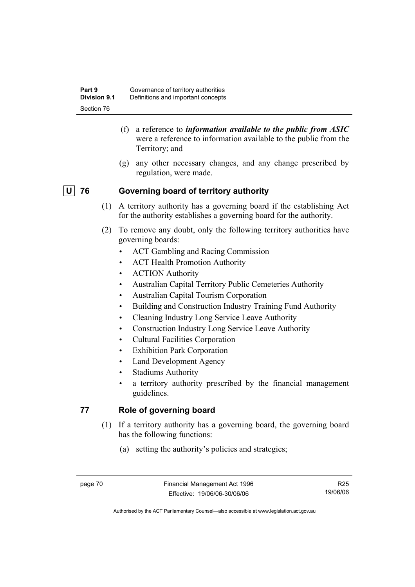- (f) a reference to *information available to the public from ASIC*  were a reference to information available to the public from the Territory; and
- (g) any other necessary changes, and any change prescribed by regulation, were made.

# **U 76 Governing board of territory authority**

- (1) A territory authority has a governing board if the establishing Act for the authority establishes a governing board for the authority.
- (2) To remove any doubt, only the following territory authorities have governing boards:
	- ACT Gambling and Racing Commission
	- ACT Health Promotion Authority
	- ACTION Authority
	- Australian Capital Territory Public Cemeteries Authority
	- Australian Capital Tourism Corporation
	- Building and Construction Industry Training Fund Authority
	- Cleaning Industry Long Service Leave Authority
	- Construction Industry Long Service Leave Authority
	- Cultural Facilities Corporation
	- Exhibition Park Corporation
	- Land Development Agency
	- Stadiums Authority
	- a territory authority prescribed by the financial management guidelines.

# **77 Role of governing board**

- (1) If a territory authority has a governing board, the governing board has the following functions:
	- (a) setting the authority's policies and strategies;

R25 19/06/06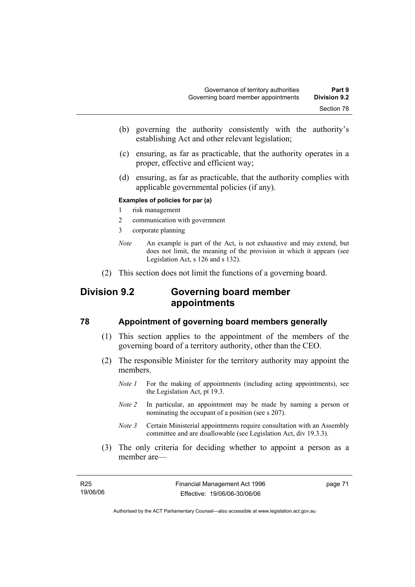- (b) governing the authority consistently with the authority's establishing Act and other relevant legislation;
- (c) ensuring, as far as practicable, that the authority operates in a proper, effective and efficient way;
- (d) ensuring, as far as practicable, that the authority complies with applicable governmental policies (if any).

### **Examples of policies for par (a)**

- 1 risk management
- 2 communication with government
- 3 corporate planning
- *Note* An example is part of the Act, is not exhaustive and may extend, but does not limit, the meaning of the provision in which it appears (see Legislation Act, s 126 and s 132).
- (2) This section does not limit the functions of a governing board.

# **Division 9.2 Governing board member appointments**

### **78 Appointment of governing board members generally**

- (1) This section applies to the appointment of the members of the governing board of a territory authority, other than the CEO.
- (2) The responsible Minister for the territory authority may appoint the members.
	- *Note 1* For the making of appointments (including acting appointments), see the Legislation Act, pt 19.3.
	- *Note 2* In particular, an appointment may be made by naming a person or nominating the occupant of a position (see s 207).
	- *Note 3* Certain Ministerial appointments require consultation with an Assembly committee and are disallowable (see Legislation Act, div 19.3.3).
- (3) The only criteria for deciding whether to appoint a person as a member are—

| R25      |  |
|----------|--|
| 19/06/06 |  |

page 71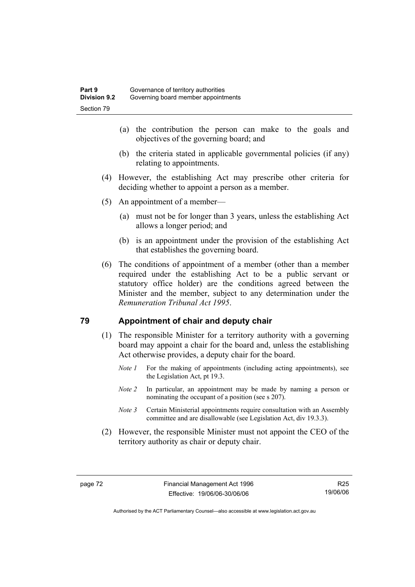- (a) the contribution the person can make to the goals and objectives of the governing board; and
- (b) the criteria stated in applicable governmental policies (if any) relating to appointments.
- (4) However, the establishing Act may prescribe other criteria for deciding whether to appoint a person as a member.
- (5) An appointment of a member—
	- (a) must not be for longer than 3 years, unless the establishing Act allows a longer period; and
	- (b) is an appointment under the provision of the establishing Act that establishes the governing board.
- (6) The conditions of appointment of a member (other than a member required under the establishing Act to be a public servant or statutory office holder) are the conditions agreed between the Minister and the member, subject to any determination under the *Remuneration Tribunal Act 1995*.

### **79 Appointment of chair and deputy chair**

- (1) The responsible Minister for a territory authority with a governing board may appoint a chair for the board and, unless the establishing Act otherwise provides, a deputy chair for the board.
	- *Note 1* For the making of appointments (including acting appointments), see the Legislation Act, pt 19.3.
	- *Note 2* In particular, an appointment may be made by naming a person or nominating the occupant of a position (see s 207).
	- *Note 3* Certain Ministerial appointments require consultation with an Assembly committee and are disallowable (see Legislation Act, div 19.3.3).
- (2) However, the responsible Minister must not appoint the CEO of the territory authority as chair or deputy chair.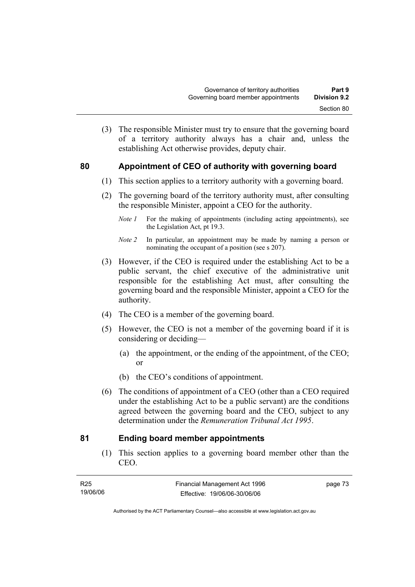- (3) The responsible Minister must try to ensure that the governing board of a territory authority always has a chair and, unless the establishing Act otherwise provides, deputy chair.
- 

## **80 Appointment of CEO of authority with governing board**

- (1) This section applies to a territory authority with a governing board.
- (2) The governing board of the territory authority must, after consulting the responsible Minister, appoint a CEO for the authority.
	- *Note 1* For the making of appointments (including acting appointments), see the Legislation Act, pt 19.3.
	- *Note 2* In particular, an appointment may be made by naming a person or nominating the occupant of a position (see s 207).
- (3) However, if the CEO is required under the establishing Act to be a public servant, the chief executive of the administrative unit responsible for the establishing Act must, after consulting the governing board and the responsible Minister, appoint a CEO for the authority.
- (4) The CEO is a member of the governing board.
- (5) However, the CEO is not a member of the governing board if it is considering or deciding—
	- (a) the appointment, or the ending of the appointment, of the CEO; or
	- (b) the CEO's conditions of appointment.
- (6) The conditions of appointment of a CEO (other than a CEO required under the establishing Act to be a public servant) are the conditions agreed between the governing board and the CEO, subject to any determination under the *Remuneration Tribunal Act 1995*.

## **81 Ending board member appointments**

 (1) This section applies to a governing board member other than the CEO.

| R25      | Financial Management Act 1996 | page 73 |
|----------|-------------------------------|---------|
| 19/06/06 | Effective: 19/06/06-30/06/06  |         |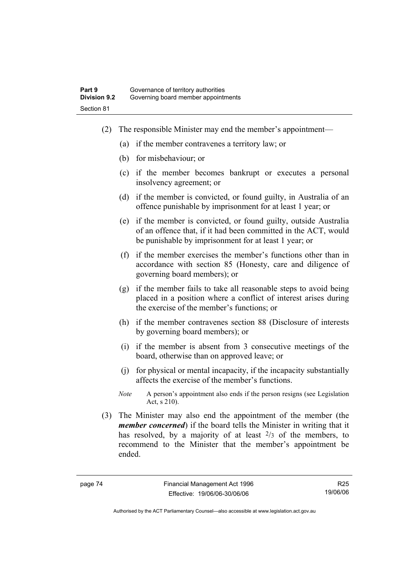- (2) The responsible Minister may end the member's appointment—
	- (a) if the member contravenes a territory law; or
	- (b) for misbehaviour; or
	- (c) if the member becomes bankrupt or executes a personal insolvency agreement; or
	- (d) if the member is convicted, or found guilty, in Australia of an offence punishable by imprisonment for at least 1 year; or
	- (e) if the member is convicted, or found guilty, outside Australia of an offence that, if it had been committed in the ACT, would be punishable by imprisonment for at least 1 year; or
	- (f) if the member exercises the member's functions other than in accordance with section 85 (Honesty, care and diligence of governing board members); or
	- (g) if the member fails to take all reasonable steps to avoid being placed in a position where a conflict of interest arises during the exercise of the member's functions; or
	- (h) if the member contravenes section 88 (Disclosure of interests by governing board members); or
	- (i) if the member is absent from 3 consecutive meetings of the board, otherwise than on approved leave; or
	- (j) for physical or mental incapacity, if the incapacity substantially affects the exercise of the member's functions.
	- *Note* A person's appointment also ends if the person resigns (see Legislation Act, s 210).
- (3) The Minister may also end the appointment of the member (the *member concerned*) if the board tells the Minister in writing that it has resolved, by a majority of at least  $\frac{2}{3}$  of the members, to recommend to the Minister that the member's appointment be ended.

R25 19/06/06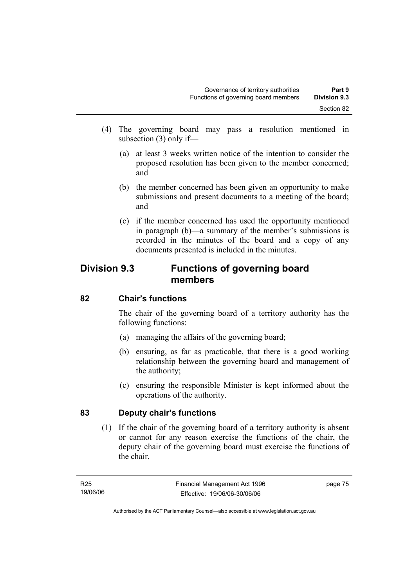- (4) The governing board may pass a resolution mentioned in subsection (3) only if—
	- (a) at least 3 weeks written notice of the intention to consider the proposed resolution has been given to the member concerned; and
	- (b) the member concerned has been given an opportunity to make submissions and present documents to a meeting of the board; and
	- (c) if the member concerned has used the opportunity mentioned in paragraph (b)—a summary of the member's submissions is recorded in the minutes of the board and a copy of any documents presented is included in the minutes.

# **Division 9.3 Functions of governing board members**

# **82 Chair's functions**

The chair of the governing board of a territory authority has the following functions:

- (a) managing the affairs of the governing board;
- (b) ensuring, as far as practicable, that there is a good working relationship between the governing board and management of the authority;
- (c) ensuring the responsible Minister is kept informed about the operations of the authority.

# **83 Deputy chair's functions**

 (1) If the chair of the governing board of a territory authority is absent or cannot for any reason exercise the functions of the chair, the deputy chair of the governing board must exercise the functions of the chair.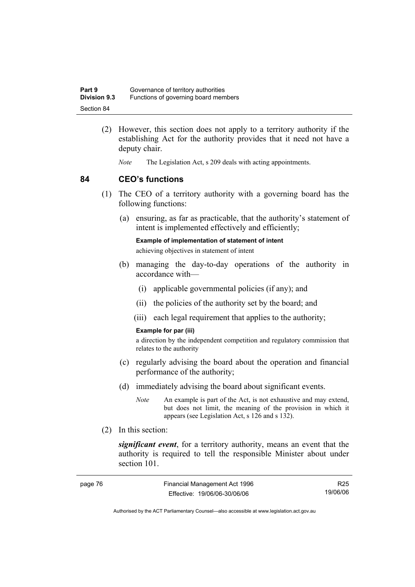| Part 9              | Governance of territory authorities  |
|---------------------|--------------------------------------|
| <b>Division 9.3</b> | Functions of governing board members |
| Section 84          |                                      |

- (2) However, this section does not apply to a territory authority if the establishing Act for the authority provides that it need not have a deputy chair.
	- *Note* The Legislation Act, s 209 deals with acting appointments.

### **84 CEO's functions**

- (1) The CEO of a territory authority with a governing board has the following functions:
	- (a) ensuring, as far as practicable, that the authority's statement of intent is implemented effectively and efficiently;

**Example of implementation of statement of intent** 

achieving objectives in statement of intent

- (b) managing the day-to-day operations of the authority in accordance with—
	- (i) applicable governmental policies (if any); and
	- (ii) the policies of the authority set by the board; and
	- (iii) each legal requirement that applies to the authority;

#### **Example for par (iii)**

a direction by the independent competition and regulatory commission that relates to the authority

- (c) regularly advising the board about the operation and financial performance of the authority;
- (d) immediately advising the board about significant events.
	- *Note* An example is part of the Act, is not exhaustive and may extend, but does not limit, the meaning of the provision in which it appears (see Legislation Act, s 126 and s 132).
- (2) In this section:

*significant event*, for a territory authority, means an event that the authority is required to tell the responsible Minister about under section 101.

| page 76 | Financial Management Act 1996 | R25      |
|---------|-------------------------------|----------|
|         | Effective: 19/06/06-30/06/06  | 19/06/06 |

Authorised by the ACT Parliamentary Counsel—also accessible at www.legislation.act.gov.au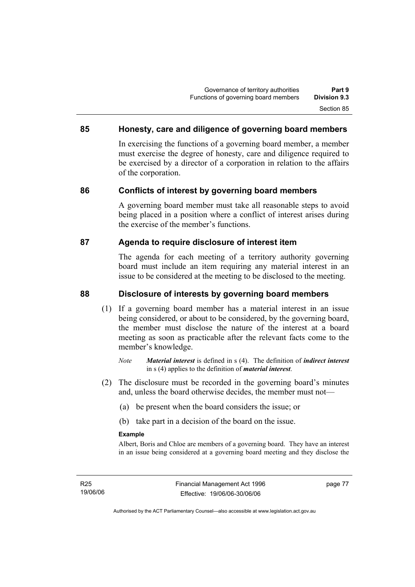## **85 Honesty, care and diligence of governing board members**

In exercising the functions of a governing board member, a member must exercise the degree of honesty, care and diligence required to be exercised by a director of a corporation in relation to the affairs of the corporation.

### **86 Conflicts of interest by governing board members**

A governing board member must take all reasonable steps to avoid being placed in a position where a conflict of interest arises during the exercise of the member's functions.

### **87 Agenda to require disclosure of interest item**

The agenda for each meeting of a territory authority governing board must include an item requiring any material interest in an issue to be considered at the meeting to be disclosed to the meeting.

### **88 Disclosure of interests by governing board members**

- (1) If a governing board member has a material interest in an issue being considered, or about to be considered, by the governing board, the member must disclose the nature of the interest at a board meeting as soon as practicable after the relevant facts come to the member's knowledge.
	- *Note Material interest* is defined in s (4). The definition of *indirect interest* in s (4) applies to the definition of *material interest*.
- (2) The disclosure must be recorded in the governing board's minutes and, unless the board otherwise decides, the member must not—
	- (a) be present when the board considers the issue; or
	- (b) take part in a decision of the board on the issue.

### **Example**

Albert, Boris and Chloe are members of a governing board. They have an interest in an issue being considered at a governing board meeting and they disclose the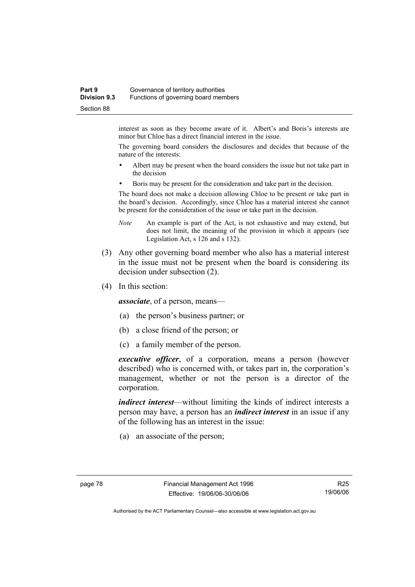### **Part 9 Governance of territory authorities Division 9.3** Functions of governing board members Section 88

interest as soon as they become aware of it. Albert's and Boris's interests are minor but Chloe has a direct financial interest in the issue.

The governing board considers the disclosures and decides that because of the nature of the interests:

- Albert may be present when the board considers the issue but not take part in the decision
- Boris may be present for the consideration and take part in the decision.

The board does not make a decision allowing Chloe to be present or take part in the board's decision. Accordingly, since Chloe has a material interest she cannot be present for the consideration of the issue or take part in the decision.

- *Note* An example is part of the Act, is not exhaustive and may extend, but does not limit, the meaning of the provision in which it appears (see Legislation Act, s 126 and s 132).
- (3) Any other governing board member who also has a material interest in the issue must not be present when the board is considering its decision under subsection (2).
- (4) In this section:

*associate*, of a person, means—

- (a) the person's business partner; or
- (b) a close friend of the person; or
- (c) a family member of the person.

*executive officer*, of a corporation, means a person (however described) who is concerned with, or takes part in, the corporation's management, whether or not the person is a director of the corporation.

*indirect interest*—without limiting the kinds of indirect interests a person may have, a person has an *indirect interest* in an issue if any of the following has an interest in the issue:

(a) an associate of the person;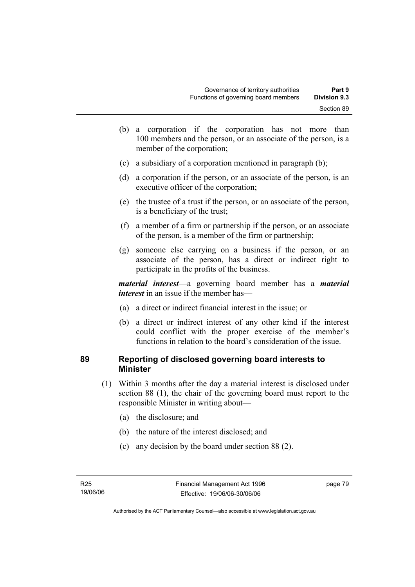- (b) a corporation if the corporation has not more than 100 members and the person, or an associate of the person, is a member of the corporation;
- (c) a subsidiary of a corporation mentioned in paragraph (b);
- (d) a corporation if the person, or an associate of the person, is an executive officer of the corporation;
- (e) the trustee of a trust if the person, or an associate of the person, is a beneficiary of the trust;
- (f) a member of a firm or partnership if the person, or an associate of the person, is a member of the firm or partnership;
- (g) someone else carrying on a business if the person, or an associate of the person, has a direct or indirect right to participate in the profits of the business.

*material interest*—a governing board member has a *material interest* in an issue if the member has—

- (a) a direct or indirect financial interest in the issue; or
- (b) a direct or indirect interest of any other kind if the interest could conflict with the proper exercise of the member's functions in relation to the board's consideration of the issue.

## **89 Reporting of disclosed governing board interests to Minister**

- (1) Within 3 months after the day a material interest is disclosed under section 88 (1), the chair of the governing board must report to the responsible Minister in writing about—
	- (a) the disclosure; and
	- (b) the nature of the interest disclosed; and
	- (c) any decision by the board under section 88 (2).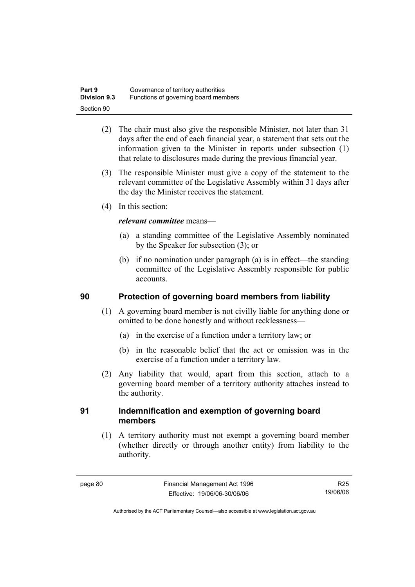| Part 9              | Governance of territory authorities  |
|---------------------|--------------------------------------|
| <b>Division 9.3</b> | Functions of governing board members |
| Section 90          |                                      |

- (2) The chair must also give the responsible Minister, not later than 31 days after the end of each financial year, a statement that sets out the information given to the Minister in reports under subsection (1) that relate to disclosures made during the previous financial year.
- (3) The responsible Minister must give a copy of the statement to the relevant committee of the Legislative Assembly within 31 days after the day the Minister receives the statement.
- (4) In this section:

### *relevant committee* means—

- (a) a standing committee of the Legislative Assembly nominated by the Speaker for subsection (3); or
- (b) if no nomination under paragraph (a) is in effect—the standing committee of the Legislative Assembly responsible for public accounts.

## **90 Protection of governing board members from liability**

- (1) A governing board member is not civilly liable for anything done or omitted to be done honestly and without recklessness—
	- (a) in the exercise of a function under a territory law; or
	- (b) in the reasonable belief that the act or omission was in the exercise of a function under a territory law.
- (2) Any liability that would, apart from this section, attach to a governing board member of a territory authority attaches instead to the authority.

## **91 Indemnification and exemption of governing board members**

 (1) A territory authority must not exempt a governing board member (whether directly or through another entity) from liability to the authority.

R25 19/06/06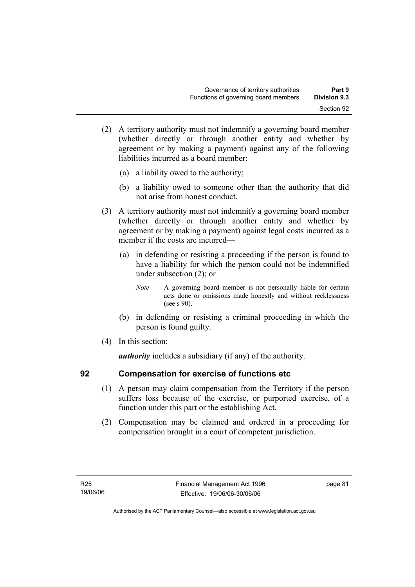- (2) A territory authority must not indemnify a governing board member (whether directly or through another entity and whether by agreement or by making a payment) against any of the following liabilities incurred as a board member:
	- (a) a liability owed to the authority;
	- (b) a liability owed to someone other than the authority that did not arise from honest conduct.
- (3) A territory authority must not indemnify a governing board member (whether directly or through another entity and whether by agreement or by making a payment) against legal costs incurred as a member if the costs are incurred—
	- (a) in defending or resisting a proceeding if the person is found to have a liability for which the person could not be indemnified under subsection (2); or
		- *Note* A governing board member is not personally liable for certain acts done or omissions made honestly and without recklessness (see s 90).
	- (b) in defending or resisting a criminal proceeding in which the person is found guilty.
- (4) In this section:

*authority* includes a subsidiary (if any) of the authority.

## **92 Compensation for exercise of functions etc**

- (1) A person may claim compensation from the Territory if the person suffers loss because of the exercise, or purported exercise, of a function under this part or the establishing Act.
- (2) Compensation may be claimed and ordered in a proceeding for compensation brought in a court of competent jurisdiction.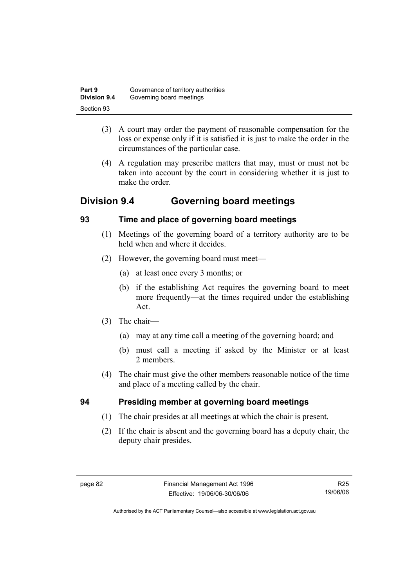| Part 9              | Governance of territory authorities |
|---------------------|-------------------------------------|
| <b>Division 9.4</b> | Governing board meetings            |
| Section 93          |                                     |

- (3) A court may order the payment of reasonable compensation for the loss or expense only if it is satisfied it is just to make the order in the circumstances of the particular case.
- (4) A regulation may prescribe matters that may, must or must not be taken into account by the court in considering whether it is just to make the order.

# **Division 9.4 Governing board meetings**

## **93 Time and place of governing board meetings**

- (1) Meetings of the governing board of a territory authority are to be held when and where it decides.
- (2) However, the governing board must meet—
	- (a) at least once every 3 months; or
	- (b) if the establishing Act requires the governing board to meet more frequently—at the times required under the establishing Act.
- (3) The chair—
	- (a) may at any time call a meeting of the governing board; and
	- (b) must call a meeting if asked by the Minister or at least 2 members.
- (4) The chair must give the other members reasonable notice of the time and place of a meeting called by the chair.

# **94 Presiding member at governing board meetings**

- (1) The chair presides at all meetings at which the chair is present.
- (2) If the chair is absent and the governing board has a deputy chair, the deputy chair presides.

R25 19/06/06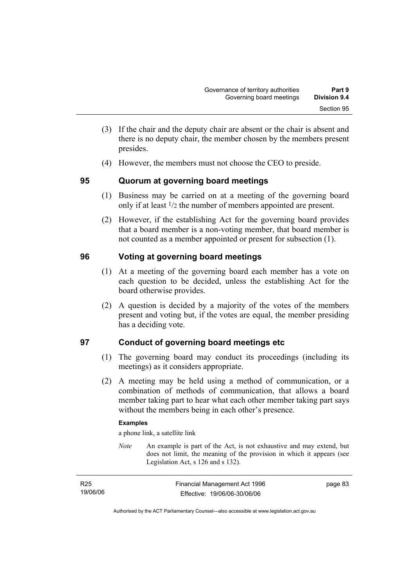- (3) If the chair and the deputy chair are absent or the chair is absent and there is no deputy chair, the member chosen by the members present presides.
- (4) However, the members must not choose the CEO to preside.

## **95 Quorum at governing board meetings**

- (1) Business may be carried on at a meeting of the governing board only if at least 1/2 the number of members appointed are present.
- (2) However, if the establishing Act for the governing board provides that a board member is a non-voting member, that board member is not counted as a member appointed or present for subsection (1).

## **96 Voting at governing board meetings**

- (1) At a meeting of the governing board each member has a vote on each question to be decided, unless the establishing Act for the board otherwise provides.
- (2) A question is decided by a majority of the votes of the members present and voting but, if the votes are equal, the member presiding has a deciding vote.

# **97 Conduct of governing board meetings etc**

- (1) The governing board may conduct its proceedings (including its meetings) as it considers appropriate.
- (2) A meeting may be held using a method of communication, or a combination of methods of communication, that allows a board member taking part to hear what each other member taking part says without the members being in each other's presence.

### **Examples**

a phone link, a satellite link

*Note* An example is part of the Act, is not exhaustive and may extend, but does not limit, the meaning of the provision in which it appears (see Legislation Act, s 126 and s 132).

| R <sub>25</sub> | Financial Management Act 1996 | page 83 |
|-----------------|-------------------------------|---------|
| 19/06/06        | Effective: 19/06/06-30/06/06  |         |

Authorised by the ACT Parliamentary Counsel—also accessible at www.legislation.act.gov.au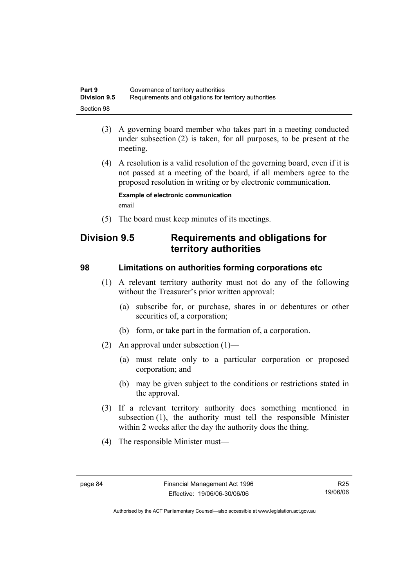| Part 9              | Governance of territory authorities                    |
|---------------------|--------------------------------------------------------|
| <b>Division 9.5</b> | Requirements and obligations for territory authorities |
| Section 98          |                                                        |

- (3) A governing board member who takes part in a meeting conducted under subsection (2) is taken, for all purposes, to be present at the meeting.
- (4) A resolution is a valid resolution of the governing board, even if it is not passed at a meeting of the board, if all members agree to the proposed resolution in writing or by electronic communication.

**Example of electronic communication**  email

(5) The board must keep minutes of its meetings.

# **Division 9.5 Requirements and obligations for territory authorities**

### **98 Limitations on authorities forming corporations etc**

- (1) A relevant territory authority must not do any of the following without the Treasurer's prior written approval:
	- (a) subscribe for, or purchase, shares in or debentures or other securities of, a corporation;
	- (b) form, or take part in the formation of, a corporation.
- (2) An approval under subsection (1)—
	- (a) must relate only to a particular corporation or proposed corporation; and
	- (b) may be given subject to the conditions or restrictions stated in the approval.
- (3) If a relevant territory authority does something mentioned in subsection (1), the authority must tell the responsible Minister within 2 weeks after the day the authority does the thing.
- (4) The responsible Minister must—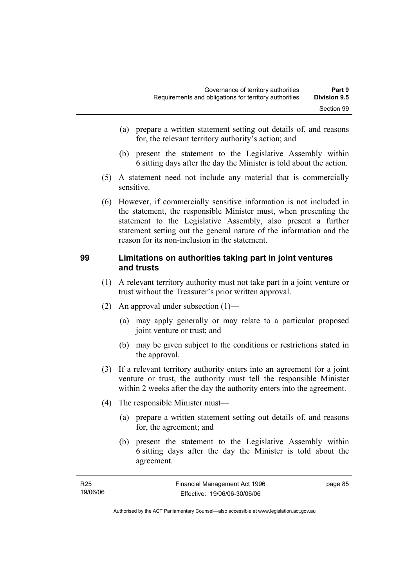- (a) prepare a written statement setting out details of, and reasons for, the relevant territory authority's action; and
- (b) present the statement to the Legislative Assembly within 6 sitting days after the day the Minister is told about the action.
- (5) A statement need not include any material that is commercially sensitive.
- (6) However, if commercially sensitive information is not included in the statement, the responsible Minister must, when presenting the statement to the Legislative Assembly, also present a further statement setting out the general nature of the information and the reason for its non-inclusion in the statement.

### **99 Limitations on authorities taking part in joint ventures and trusts**

- (1) A relevant territory authority must not take part in a joint venture or trust without the Treasurer's prior written approval.
- (2) An approval under subsection (1)—
	- (a) may apply generally or may relate to a particular proposed joint venture or trust; and
	- (b) may be given subject to the conditions or restrictions stated in the approval.
- (3) If a relevant territory authority enters into an agreement for a joint venture or trust, the authority must tell the responsible Minister within 2 weeks after the day the authority enters into the agreement.
- (4) The responsible Minister must—
	- (a) prepare a written statement setting out details of, and reasons for, the agreement; and
	- (b) present the statement to the Legislative Assembly within 6 sitting days after the day the Minister is told about the agreement.

| R25      | Financial Management Act 1996 | page 85 |
|----------|-------------------------------|---------|
| 19/06/06 | Effective: 19/06/06-30/06/06  |         |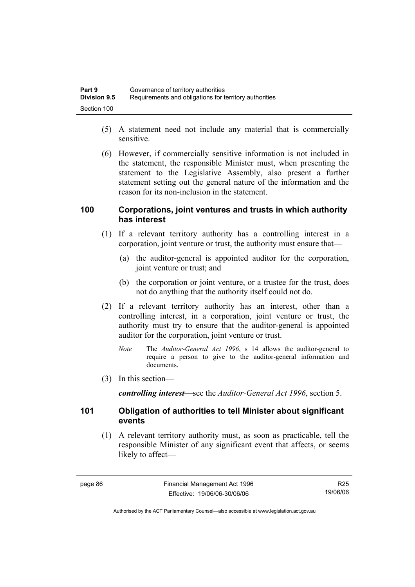| Part 9              | Governance of territory authorities                    |
|---------------------|--------------------------------------------------------|
| <b>Division 9.5</b> | Requirements and obligations for territory authorities |
| Section 100         |                                                        |

- (5) A statement need not include any material that is commercially sensitive.
- (6) However, if commercially sensitive information is not included in the statement, the responsible Minister must, when presenting the statement to the Legislative Assembly, also present a further statement setting out the general nature of the information and the reason for its non-inclusion in the statement.

### **100 Corporations, joint ventures and trusts in which authority has interest**

- (1) If a relevant territory authority has a controlling interest in a corporation, joint venture or trust, the authority must ensure that—
	- (a) the auditor-general is appointed auditor for the corporation, joint venture or trust; and
	- (b) the corporation or joint venture, or a trustee for the trust, does not do anything that the authority itself could not do.
- (2) If a relevant territory authority has an interest, other than a controlling interest, in a corporation, joint venture or trust, the authority must try to ensure that the auditor-general is appointed auditor for the corporation, joint venture or trust.
	- *Note* The *Auditor-General Act 1996*, s 14 allows the auditor-general to require a person to give to the auditor-general information and documents.
- (3) In this section—

*controlling interest*—see the *Auditor-General Act 1996*, section 5.

### **101 Obligation of authorities to tell Minister about significant events**

 (1) A relevant territory authority must, as soon as practicable, tell the responsible Minister of any significant event that affects, or seems likely to affect—

R25 19/06/06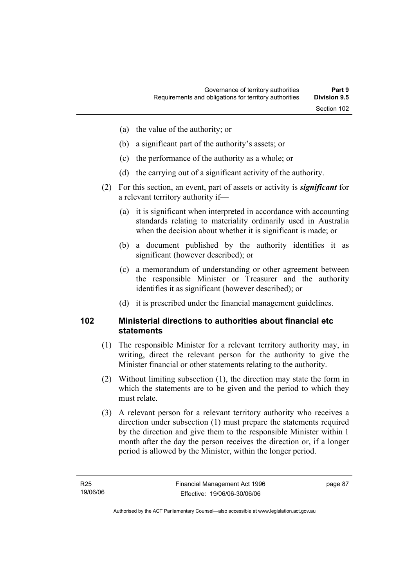- (a) the value of the authority; or
- (b) a significant part of the authority's assets; or
- (c) the performance of the authority as a whole; or
- (d) the carrying out of a significant activity of the authority.
- (2) For this section, an event, part of assets or activity is *significant* for a relevant territory authority if—
	- (a) it is significant when interpreted in accordance with accounting standards relating to materiality ordinarily used in Australia when the decision about whether it is significant is made; or
	- (b) a document published by the authority identifies it as significant (however described); or
	- (c) a memorandum of understanding or other agreement between the responsible Minister or Treasurer and the authority identifies it as significant (however described); or
	- (d) it is prescribed under the financial management guidelines.

### **102 Ministerial directions to authorities about financial etc statements**

- (1) The responsible Minister for a relevant territory authority may, in writing, direct the relevant person for the authority to give the Minister financial or other statements relating to the authority.
- (2) Without limiting subsection (1), the direction may state the form in which the statements are to be given and the period to which they must relate.
- (3) A relevant person for a relevant territory authority who receives a direction under subsection (1) must prepare the statements required by the direction and give them to the responsible Minister within 1 month after the day the person receives the direction or, if a longer period is allowed by the Minister, within the longer period.

page 87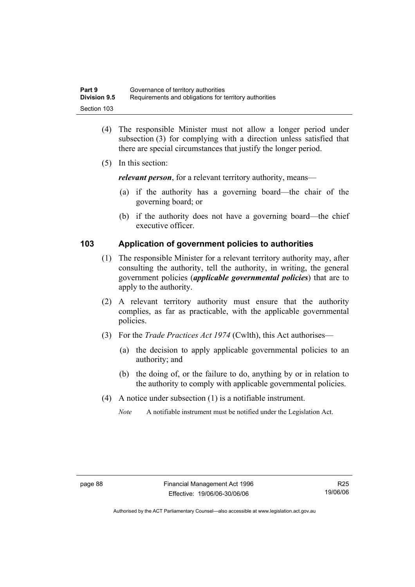| Part 9              | Governance of territory authorities                    |
|---------------------|--------------------------------------------------------|
| <b>Division 9.5</b> | Requirements and obligations for territory authorities |
| Section 103         |                                                        |

- (4) The responsible Minister must not allow a longer period under subsection (3) for complying with a direction unless satisfied that there are special circumstances that justify the longer period.
- (5) In this section:

*relevant person*, for a relevant territory authority, means—

- (a) if the authority has a governing board—the chair of the governing board; or
- (b) if the authority does not have a governing board—the chief executive officer.

### **103 Application of government policies to authorities**

- (1) The responsible Minister for a relevant territory authority may, after consulting the authority, tell the authority, in writing, the general government policies (*applicable governmental policies*) that are to apply to the authority.
- (2) A relevant territory authority must ensure that the authority complies, as far as practicable, with the applicable governmental policies.
- (3) For the *Trade Practices Act 1974* (Cwlth), this Act authorises—
	- (a) the decision to apply applicable governmental policies to an authority; and
	- (b) the doing of, or the failure to do, anything by or in relation to the authority to comply with applicable governmental policies.
- (4) A notice under subsection (1) is a notifiable instrument.
	- *Note* A notifiable instrument must be notified under the Legislation Act.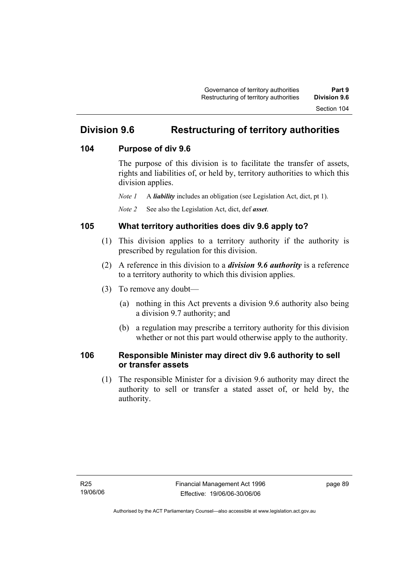# **Division 9.6 Restructuring of territory authorities**

## **104 Purpose of div 9.6**

The purpose of this division is to facilitate the transfer of assets, rights and liabilities of, or held by, territory authorities to which this division applies.

*Note 1* A *liability* includes an obligation (see Legislation Act, dict, pt 1).

*Note 2* See also the Legislation Act, dict, def *asset*.

## **105 What territory authorities does div 9.6 apply to?**

- (1) This division applies to a territory authority if the authority is prescribed by regulation for this division.
- (2) A reference in this division to a *division 9.6 authority* is a reference to a territory authority to which this division applies.
- (3) To remove any doubt—
	- (a) nothing in this Act prevents a division 9.6 authority also being a division 9.7 authority; and
	- (b) a regulation may prescribe a territory authority for this division whether or not this part would otherwise apply to the authority.

## **106 Responsible Minister may direct div 9.6 authority to sell or transfer assets**

 (1) The responsible Minister for a division 9.6 authority may direct the authority to sell or transfer a stated asset of, or held by, the authority.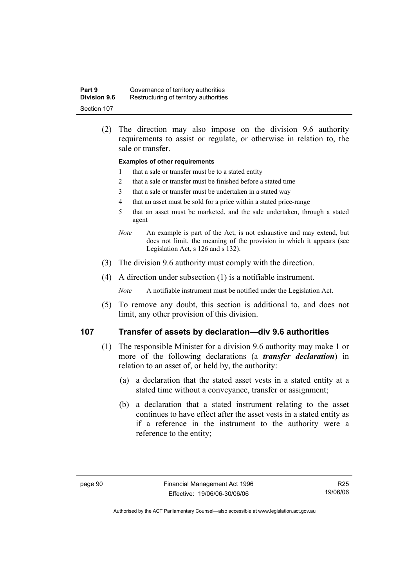| Part 9              | Governance of territory authorities    |
|---------------------|----------------------------------------|
| <b>Division 9.6</b> | Restructuring of territory authorities |
| Section 107         |                                        |

 (2) The direction may also impose on the division 9.6 authority requirements to assist or regulate, or otherwise in relation to, the sale or transfer.

#### **Examples of other requirements**

- 1 that a sale or transfer must be to a stated entity
- 2 that a sale or transfer must be finished before a stated time
- 3 that a sale or transfer must be undertaken in a stated way
- 4 that an asset must be sold for a price within a stated price-range
- 5 that an asset must be marketed, and the sale undertaken, through a stated agent
- *Note* An example is part of the Act, is not exhaustive and may extend, but does not limit, the meaning of the provision in which it appears (see Legislation Act, s 126 and s 132).
- (3) The division 9.6 authority must comply with the direction.
- (4) A direction under subsection (1) is a notifiable instrument.

*Note* A notifiable instrument must be notified under the Legislation Act.

 (5) To remove any doubt, this section is additional to, and does not limit, any other provision of this division.

### **107 Transfer of assets by declaration—div 9.6 authorities**

- (1) The responsible Minister for a division 9.6 authority may make 1 or more of the following declarations (a *transfer declaration*) in relation to an asset of, or held by, the authority:
	- (a) a declaration that the stated asset vests in a stated entity at a stated time without a conveyance, transfer or assignment;
	- (b) a declaration that a stated instrument relating to the asset continues to have effect after the asset vests in a stated entity as if a reference in the instrument to the authority were a reference to the entity;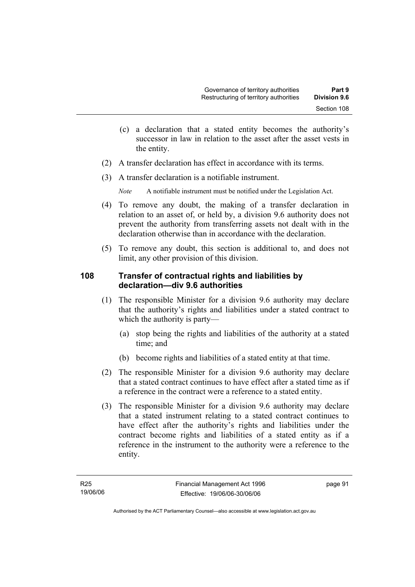- (c) a declaration that a stated entity becomes the authority's successor in law in relation to the asset after the asset vests in the entity.
- (2) A transfer declaration has effect in accordance with its terms.
- (3) A transfer declaration is a notifiable instrument.

*Note* A notifiable instrument must be notified under the Legislation Act.

- (4) To remove any doubt, the making of a transfer declaration in relation to an asset of, or held by, a division 9.6 authority does not prevent the authority from transferring assets not dealt with in the declaration otherwise than in accordance with the declaration.
- (5) To remove any doubt, this section is additional to, and does not limit, any other provision of this division.

## **108 Transfer of contractual rights and liabilities by declaration—div 9.6 authorities**

- (1) The responsible Minister for a division 9.6 authority may declare that the authority's rights and liabilities under a stated contract to which the authority is party—
	- (a) stop being the rights and liabilities of the authority at a stated time; and
	- (b) become rights and liabilities of a stated entity at that time.
- (2) The responsible Minister for a division 9.6 authority may declare that a stated contract continues to have effect after a stated time as if a reference in the contract were a reference to a stated entity.
- (3) The responsible Minister for a division 9.6 authority may declare that a stated instrument relating to a stated contract continues to have effect after the authority's rights and liabilities under the contract become rights and liabilities of a stated entity as if a reference in the instrument to the authority were a reference to the entity.

page 91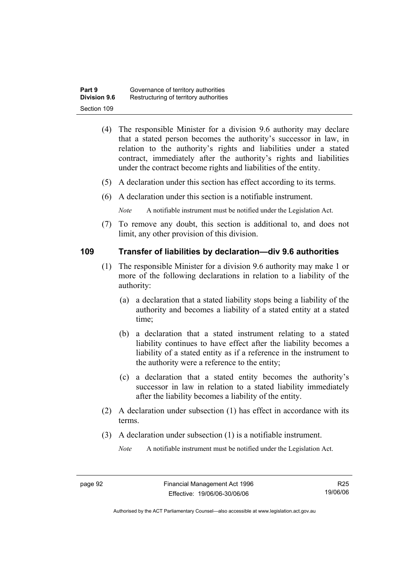| Part 9              | Governance of territory authorities    |
|---------------------|----------------------------------------|
| <b>Division 9.6</b> | Restructuring of territory authorities |
| Section 109         |                                        |

- (4) The responsible Minister for a division 9.6 authority may declare that a stated person becomes the authority's successor in law, in relation to the authority's rights and liabilities under a stated contract, immediately after the authority's rights and liabilities under the contract become rights and liabilities of the entity.
- (5) A declaration under this section has effect according to its terms.
- (6) A declaration under this section is a notifiable instrument.

*Note* A notifiable instrument must be notified under the Legislation Act.

 (7) To remove any doubt, this section is additional to, and does not limit, any other provision of this division.

### **109 Transfer of liabilities by declaration—div 9.6 authorities**

- (1) The responsible Minister for a division 9.6 authority may make 1 or more of the following declarations in relation to a liability of the authority:
	- (a) a declaration that a stated liability stops being a liability of the authority and becomes a liability of a stated entity at a stated time;
	- (b) a declaration that a stated instrument relating to a stated liability continues to have effect after the liability becomes a liability of a stated entity as if a reference in the instrument to the authority were a reference to the entity;
	- (c) a declaration that a stated entity becomes the authority's successor in law in relation to a stated liability immediately after the liability becomes a liability of the entity.
- (2) A declaration under subsection (1) has effect in accordance with its terms.
- (3) A declaration under subsection (1) is a notifiable instrument.

*Note* A notifiable instrument must be notified under the Legislation Act.

R25 19/06/06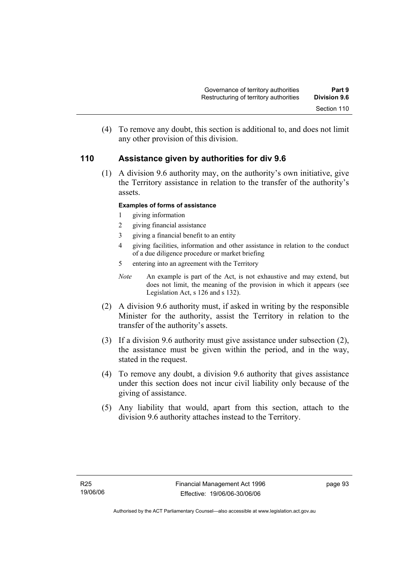(4) To remove any doubt, this section is additional to, and does not limit any other provision of this division.

## **110 Assistance given by authorities for div 9.6**

 (1) A division 9.6 authority may, on the authority's own initiative, give the Territory assistance in relation to the transfer of the authority's assets.

### **Examples of forms of assistance**

- 1 giving information
- 2 giving financial assistance
- 3 giving a financial benefit to an entity
- 4 giving facilities, information and other assistance in relation to the conduct of a due diligence procedure or market briefing
- 5 entering into an agreement with the Territory
- *Note* An example is part of the Act, is not exhaustive and may extend, but does not limit, the meaning of the provision in which it appears (see Legislation Act, s 126 and s 132).
- (2) A division 9.6 authority must, if asked in writing by the responsible Minister for the authority, assist the Territory in relation to the transfer of the authority's assets.
- (3) If a division 9.6 authority must give assistance under subsection (2), the assistance must be given within the period, and in the way, stated in the request.
- (4) To remove any doubt, a division 9.6 authority that gives assistance under this section does not incur civil liability only because of the giving of assistance.
- (5) Any liability that would, apart from this section, attach to the division 9.6 authority attaches instead to the Territory.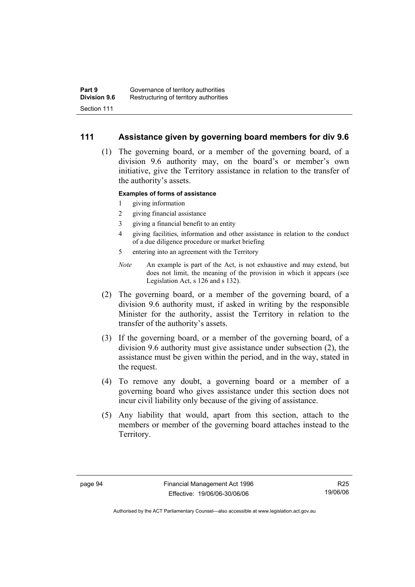### **111 Assistance given by governing board members for div 9.6**

 (1) The governing board, or a member of the governing board, of a division 9.6 authority may, on the board's or member's own initiative, give the Territory assistance in relation to the transfer of the authority's assets.

### **Examples of forms of assistance**

- 1 giving information
- 2 giving financial assistance
- 3 giving a financial benefit to an entity
- 4 giving facilities, information and other assistance in relation to the conduct of a due diligence procedure or market briefing
- 5 entering into an agreement with the Territory
- *Note* An example is part of the Act, is not exhaustive and may extend, but does not limit, the meaning of the provision in which it appears (see Legislation Act, s 126 and s 132).
- (2) The governing board, or a member of the governing board, of a division 9.6 authority must, if asked in writing by the responsible Minister for the authority, assist the Territory in relation to the transfer of the authority's assets.
- (3) If the governing board, or a member of the governing board, of a division 9.6 authority must give assistance under subsection (2), the assistance must be given within the period, and in the way, stated in the request.
- (4) To remove any doubt, a governing board or a member of a governing board who gives assistance under this section does not incur civil liability only because of the giving of assistance.
- (5) Any liability that would, apart from this section, attach to the members or member of the governing board attaches instead to the Territory.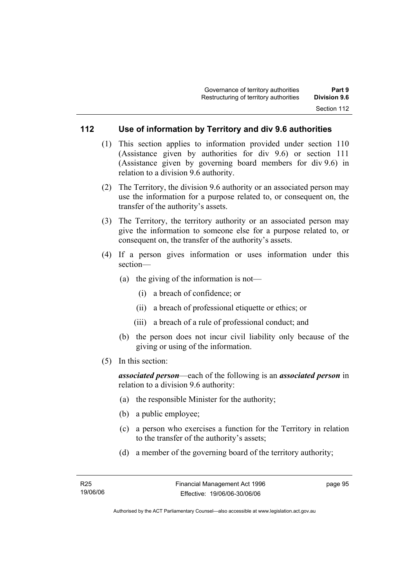## **112 Use of information by Territory and div 9.6 authorities**

- (1) This section applies to information provided under section 110 (Assistance given by authorities for div 9.6) or section 111 (Assistance given by governing board members for div 9.6) in relation to a division 9.6 authority.
- (2) The Territory, the division 9.6 authority or an associated person may use the information for a purpose related to, or consequent on, the transfer of the authority's assets.
- (3) The Territory, the territory authority or an associated person may give the information to someone else for a purpose related to, or consequent on, the transfer of the authority's assets.
- (4) If a person gives information or uses information under this section—
	- (a) the giving of the information is not—
		- (i) a breach of confidence; or
		- (ii) a breach of professional etiquette or ethics; or
		- (iii) a breach of a rule of professional conduct; and
	- (b) the person does not incur civil liability only because of the giving or using of the information.
- (5) In this section:

*associated person*—each of the following is an *associated person* in relation to a division 9.6 authority:

- (a) the responsible Minister for the authority;
- (b) a public employee;
- (c) a person who exercises a function for the Territory in relation to the transfer of the authority's assets;
- (d) a member of the governing board of the territory authority;

page 95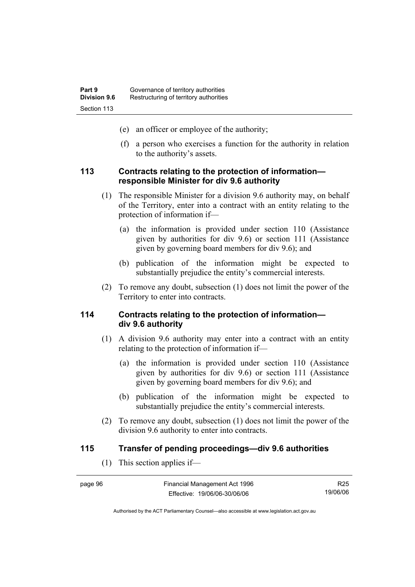- (e) an officer or employee of the authority;
- (f) a person who exercises a function for the authority in relation to the authority's assets.

### **113 Contracts relating to the protection of information responsible Minister for div 9.6 authority**

- (1) The responsible Minister for a division 9.6 authority may, on behalf of the Territory, enter into a contract with an entity relating to the protection of information if—
	- (a) the information is provided under section 110 (Assistance given by authorities for div 9.6) or section 111 (Assistance given by governing board members for div 9.6); and
	- (b) publication of the information might be expected to substantially prejudice the entity's commercial interests.
- (2) To remove any doubt, subsection (1) does not limit the power of the Territory to enter into contracts.

### **114 Contracts relating to the protection of information div 9.6 authority**

- (1) A division 9.6 authority may enter into a contract with an entity relating to the protection of information if—
	- (a) the information is provided under section 110 (Assistance given by authorities for div 9.6) or section 111 (Assistance given by governing board members for div 9.6); and
	- (b) publication of the information might be expected to substantially prejudice the entity's commercial interests.
- (2) To remove any doubt, subsection (1) does not limit the power of the division 9.6 authority to enter into contracts.

### **115 Transfer of pending proceedings—div 9.6 authorities**

(1) This section applies if—

| page 96 | Financial Management Act 1996 | R <sub>25</sub> |
|---------|-------------------------------|-----------------|
|         | Effective: 19/06/06-30/06/06  | 19/06/06        |

Authorised by the ACT Parliamentary Counsel—also accessible at www.legislation.act.gov.au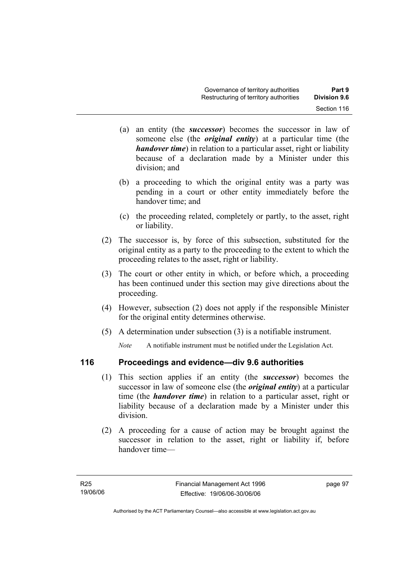- (a) an entity (the *successor*) becomes the successor in law of someone else (the *original entity*) at a particular time (the *handover time*) in relation to a particular asset, right or liability because of a declaration made by a Minister under this division; and
- (b) a proceeding to which the original entity was a party was pending in a court or other entity immediately before the handover time; and
- (c) the proceeding related, completely or partly, to the asset, right or liability.
- (2) The successor is, by force of this subsection, substituted for the original entity as a party to the proceeding to the extent to which the proceeding relates to the asset, right or liability.
- (3) The court or other entity in which, or before which, a proceeding has been continued under this section may give directions about the proceeding.
- (4) However, subsection (2) does not apply if the responsible Minister for the original entity determines otherwise.
- (5) A determination under subsection (3) is a notifiable instrument.

*Note* A notifiable instrument must be notified under the Legislation Act.

# **116 Proceedings and evidence—div 9.6 authorities**

- (1) This section applies if an entity (the *successor*) becomes the successor in law of someone else (the *original entity*) at a particular time (the *handover time*) in relation to a particular asset, right or liability because of a declaration made by a Minister under this division.
- (2) A proceeding for a cause of action may be brought against the successor in relation to the asset, right or liability if, before handover time—

page 97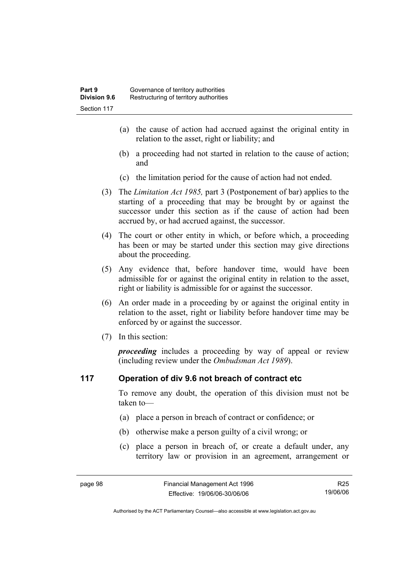- (a) the cause of action had accrued against the original entity in relation to the asset, right or liability; and
- (b) a proceeding had not started in relation to the cause of action; and
- (c) the limitation period for the cause of action had not ended.
- (3) The *Limitation Act 1985,* part 3 (Postponement of bar) applies to the starting of a proceeding that may be brought by or against the successor under this section as if the cause of action had been accrued by, or had accrued against, the successor.
- (4) The court or other entity in which, or before which, a proceeding has been or may be started under this section may give directions about the proceeding.
- (5) Any evidence that, before handover time, would have been admissible for or against the original entity in relation to the asset, right or liability is admissible for or against the successor.
- (6) An order made in a proceeding by or against the original entity in relation to the asset, right or liability before handover time may be enforced by or against the successor.
- (7) In this section:

*proceeding* includes a proceeding by way of appeal or review (including review under the *Ombudsman Act 1989*).

### **117 Operation of div 9.6 not breach of contract etc**

To remove any doubt, the operation of this division must not be taken to—

- (a) place a person in breach of contract or confidence; or
- (b) otherwise make a person guilty of a civil wrong; or
- (c) place a person in breach of, or create a default under, any territory law or provision in an agreement, arrangement or

R25 19/06/06

Authorised by the ACT Parliamentary Counsel—also accessible at www.legislation.act.gov.au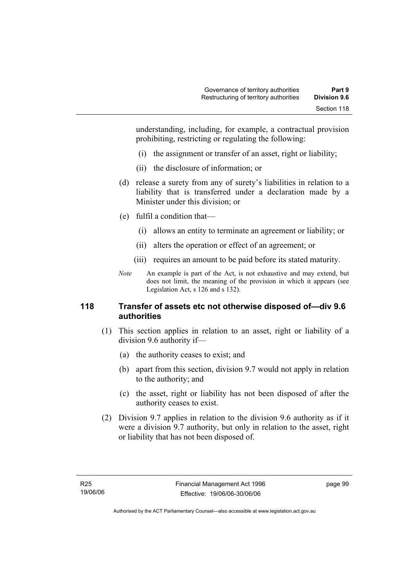understanding, including, for example, a contractual provision prohibiting, restricting or regulating the following:

- (i) the assignment or transfer of an asset, right or liability;
- (ii) the disclosure of information; or
- (d) release a surety from any of surety's liabilities in relation to a liability that is transferred under a declaration made by a Minister under this division; or
- (e) fulfil a condition that—
	- (i) allows an entity to terminate an agreement or liability; or
	- (ii) alters the operation or effect of an agreement; or
	- (iii) requires an amount to be paid before its stated maturity.
- *Note* An example is part of the Act, is not exhaustive and may extend, but does not limit, the meaning of the provision in which it appears (see Legislation Act, s 126 and s 132).

# **118 Transfer of assets etc not otherwise disposed of—div 9.6 authorities**

- (1) This section applies in relation to an asset, right or liability of a division 9.6 authority if—
	- (a) the authority ceases to exist; and
	- (b) apart from this section, division 9.7 would not apply in relation to the authority; and
	- (c) the asset, right or liability has not been disposed of after the authority ceases to exist.
- (2) Division 9.7 applies in relation to the division 9.6 authority as if it were a division 9.7 authority, but only in relation to the asset, right or liability that has not been disposed of.

page 99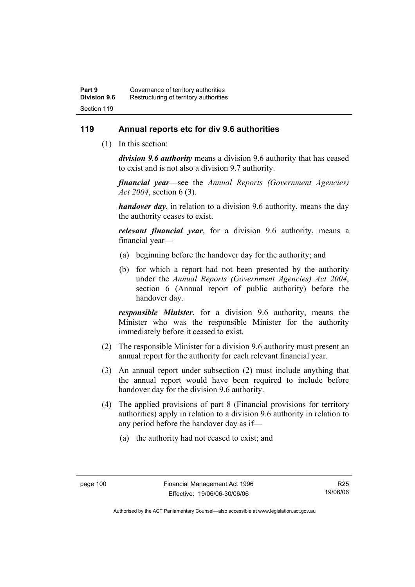# **119 Annual reports etc for div 9.6 authorities**

(1) In this section:

*division 9.6 authority* means a division 9.6 authority that has ceased to exist and is not also a division 9.7 authority.

*financial year*––see the *Annual Reports (Government Agencies) Act 2004*, section 6 (3).

*handover day*, in relation to a division 9.6 authority, means the day the authority ceases to exist.

*relevant financial year*, for a division 9.6 authority, means a financial year—

- (a) beginning before the handover day for the authority; and
- (b) for which a report had not been presented by the authority under the *Annual Reports (Government Agencies) Act 2004*, section 6 (Annual report of public authority) before the handover day.

*responsible Minister*, for a division 9.6 authority, means the Minister who was the responsible Minister for the authority immediately before it ceased to exist.

- (2) The responsible Minister for a division 9.6 authority must present an annual report for the authority for each relevant financial year.
- (3) An annual report under subsection (2) must include anything that the annual report would have been required to include before handover day for the division 9.6 authority.
- (4) The applied provisions of part 8 (Financial provisions for territory authorities) apply in relation to a division 9.6 authority in relation to any period before the handover day as if—
	- (a) the authority had not ceased to exist; and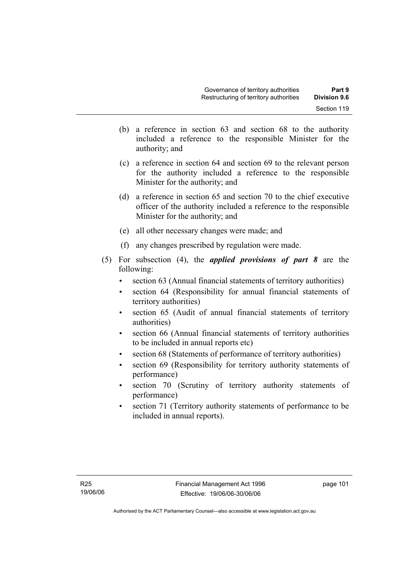- (b) a reference in section 63 and section 68 to the authority included a reference to the responsible Minister for the authority; and
- (c) a reference in section 64 and section 69 to the relevant person for the authority included a reference to the responsible Minister for the authority; and
- (d) a reference in section 65 and section 70 to the chief executive officer of the authority included a reference to the responsible Minister for the authority; and
- (e) all other necessary changes were made; and
- (f) any changes prescribed by regulation were made.
- (5) For subsection (4), the *applied provisions of part 8* are the following:
	- section 63 (Annual financial statements of territory authorities)
	- section 64 (Responsibility for annual financial statements of territory authorities)
	- section 65 (Audit of annual financial statements of territory authorities)
	- section 66 (Annual financial statements of territory authorities to be included in annual reports etc)
	- section 68 (Statements of performance of territory authorities)
	- section 69 (Responsibility for territory authority statements of performance)
	- section 70 (Scrutiny of territory authority statements of performance)
	- section 71 (Territory authority statements of performance to be included in annual reports).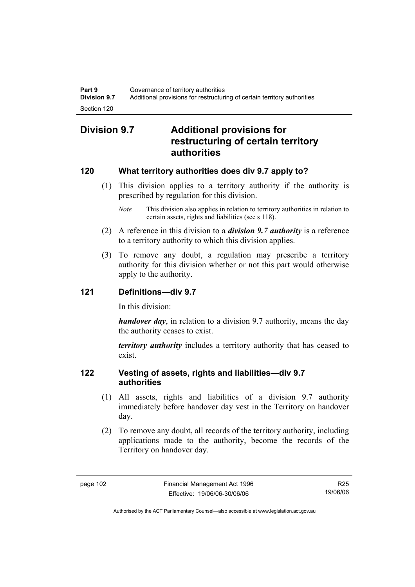# **Division 9.7 Additional provisions for restructuring of certain territory authorities**

# **120 What territory authorities does div 9.7 apply to?**

- (1) This division applies to a territory authority if the authority is prescribed by regulation for this division.
	- *Note* This division also applies in relation to territory authorities in relation to certain assets, rights and liabilities (see s 118).
- (2) A reference in this division to a *division 9.7 authority* is a reference to a territory authority to which this division applies.
- (3) To remove any doubt, a regulation may prescribe a territory authority for this division whether or not this part would otherwise apply to the authority.

# **121 Definitions—div 9.7**

In this division:

*handover day*, in relation to a division 9.7 authority, means the day the authority ceases to exist.

*territory authority* includes a territory authority that has ceased to exist.

# **122 Vesting of assets, rights and liabilities—div 9.7 authorities**

- (1) All assets, rights and liabilities of a division 9.7 authority immediately before handover day vest in the Territory on handover day.
- (2) To remove any doubt, all records of the territory authority, including applications made to the authority, become the records of the Territory on handover day.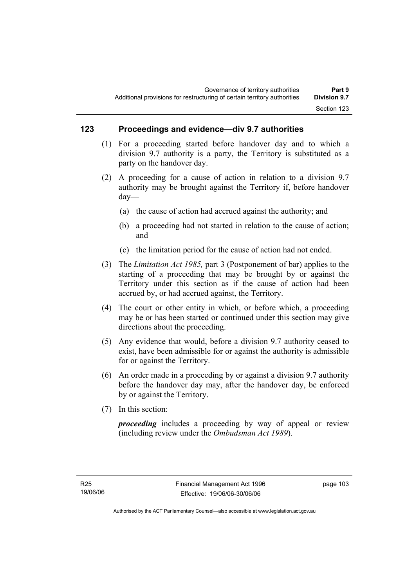# **123 Proceedings and evidence—div 9.7 authorities**

- (1) For a proceeding started before handover day and to which a division 9.7 authority is a party, the Territory is substituted as a party on the handover day.
- (2) A proceeding for a cause of action in relation to a division 9.7 authority may be brought against the Territory if, before handover day—
	- (a) the cause of action had accrued against the authority; and
	- (b) a proceeding had not started in relation to the cause of action; and
	- (c) the limitation period for the cause of action had not ended.
- (3) The *Limitation Act 1985,* part 3 (Postponement of bar) applies to the starting of a proceeding that may be brought by or against the Territory under this section as if the cause of action had been accrued by, or had accrued against, the Territory.
- (4) The court or other entity in which, or before which, a proceeding may be or has been started or continued under this section may give directions about the proceeding.
- (5) Any evidence that would, before a division 9.7 authority ceased to exist, have been admissible for or against the authority is admissible for or against the Territory.
- (6) An order made in a proceeding by or against a division 9.7 authority before the handover day may, after the handover day, be enforced by or against the Territory.
- (7) In this section:

*proceeding* includes a proceeding by way of appeal or review (including review under the *Ombudsman Act 1989*).

page 103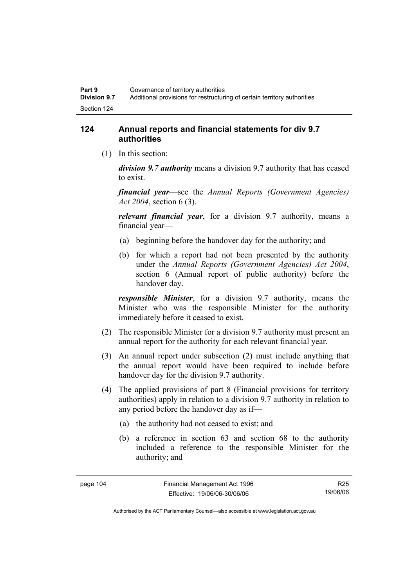# **124 Annual reports and financial statements for div 9.7 authorities**

(1) In this section:

*division 9.7 authority* means a division 9.7 authority that has ceased to exist.

*financial year*––see the *Annual Reports (Government Agencies) Act 2004*, section 6 (3).

*relevant financial year*, for a division 9.7 authority, means a financial year—

- (a) beginning before the handover day for the authority; and
- (b) for which a report had not been presented by the authority under the *Annual Reports (Government Agencies) Act 2004*, section 6 (Annual report of public authority) before the handover day.

*responsible Minister*, for a division 9.7 authority, means the Minister who was the responsible Minister for the authority immediately before it ceased to exist.

- (2) The responsible Minister for a division 9.7 authority must present an annual report for the authority for each relevant financial year.
- (3) An annual report under subsection (2) must include anything that the annual report would have been required to include before handover day for the division 9.7 authority.
- (4) The applied provisions of part 8 (Financial provisions for territory authorities) apply in relation to a division 9.7 authority in relation to any period before the handover day as if—
	- (a) the authority had not ceased to exist; and
	- (b) a reference in section 63 and section 68 to the authority included a reference to the responsible Minister for the authority; and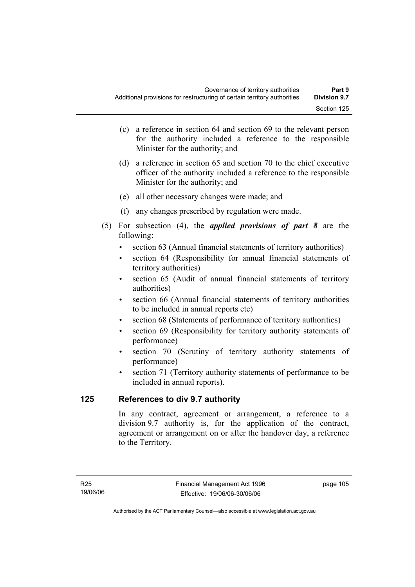- (c) a reference in section 64 and section 69 to the relevant person for the authority included a reference to the responsible Minister for the authority; and
- (d) a reference in section 65 and section 70 to the chief executive officer of the authority included a reference to the responsible Minister for the authority; and
- (e) all other necessary changes were made; and
- (f) any changes prescribed by regulation were made.
- (5) For subsection (4), the *applied provisions of part 8* are the following:
	- section 63 (Annual financial statements of territory authorities)
	- section 64 (Responsibility for annual financial statements of territory authorities)
	- section 65 (Audit of annual financial statements of territory authorities)
	- section 66 (Annual financial statements of territory authorities to be included in annual reports etc)
	- section 68 (Statements of performance of territory authorities)
	- section 69 (Responsibility for territory authority statements of performance)
	- section 70 (Scrutiny of territory authority statements of performance)
	- section 71 (Territory authority statements of performance to be included in annual reports).

# **125 References to div 9.7 authority**

In any contract, agreement or arrangement, a reference to a division 9.7 authority is, for the application of the contract, agreement or arrangement on or after the handover day, a reference to the Territory.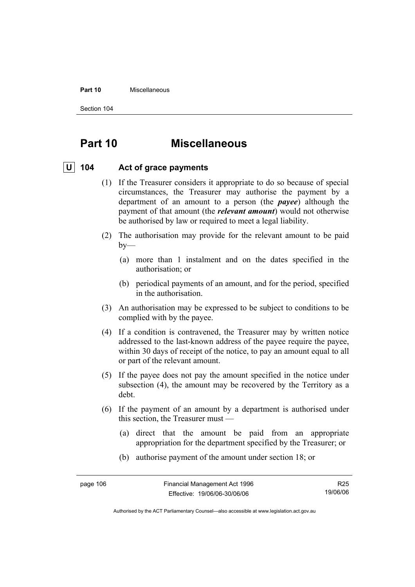#### **Part 10** Miscellaneous

Section 104

# **Part 10 Miscellaneous**

# **U 104 Act of grace payments**

- (1) If the Treasurer considers it appropriate to do so because of special circumstances, the Treasurer may authorise the payment by a department of an amount to a person (the *payee*) although the payment of that amount (the *relevant amount*) would not otherwise be authorised by law or required to meet a legal liability.
- (2) The authorisation may provide for the relevant amount to be paid  $by-$ 
	- (a) more than 1 instalment and on the dates specified in the authorisation; or
	- (b) periodical payments of an amount, and for the period, specified in the authorisation.
- (3) An authorisation may be expressed to be subject to conditions to be complied with by the payee.
- (4) If a condition is contravened, the Treasurer may by written notice addressed to the last-known address of the payee require the payee, within 30 days of receipt of the notice, to pay an amount equal to all or part of the relevant amount.
- (5) If the payee does not pay the amount specified in the notice under subsection (4), the amount may be recovered by the Territory as a debt.
- (6) If the payment of an amount by a department is authorised under this section, the Treasurer must —
	- (a) direct that the amount be paid from an appropriate appropriation for the department specified by the Treasurer; or
	- (b) authorise payment of the amount under section 18; or

R25 19/06/06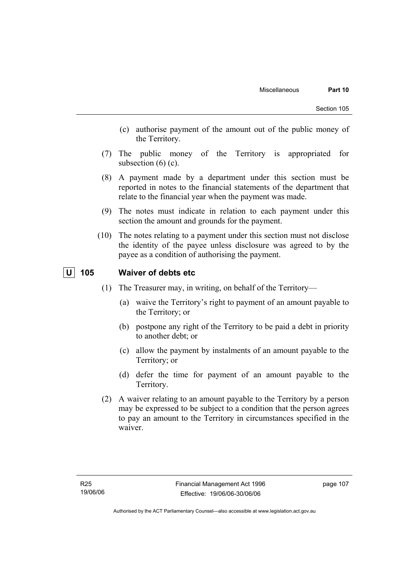- (c) authorise payment of the amount out of the public money of the Territory.
- (7) The public money of the Territory is appropriated for subsection  $(6)$   $(c)$ .
- (8) A payment made by a department under this section must be reported in notes to the financial statements of the department that relate to the financial year when the payment was made.
- (9) The notes must indicate in relation to each payment under this section the amount and grounds for the payment.
- (10) The notes relating to a payment under this section must not disclose the identity of the payee unless disclosure was agreed to by the payee as a condition of authorising the payment.

# **U 105 Waiver of debts etc**

- (1) The Treasurer may, in writing, on behalf of the Territory—
	- (a) waive the Territory's right to payment of an amount payable to the Territory; or
	- (b) postpone any right of the Territory to be paid a debt in priority to another debt; or
	- (c) allow the payment by instalments of an amount payable to the Territory; or
	- (d) defer the time for payment of an amount payable to the Territory.
- (2) A waiver relating to an amount payable to the Territory by a person may be expressed to be subject to a condition that the person agrees to pay an amount to the Territory in circumstances specified in the waiver.

page 107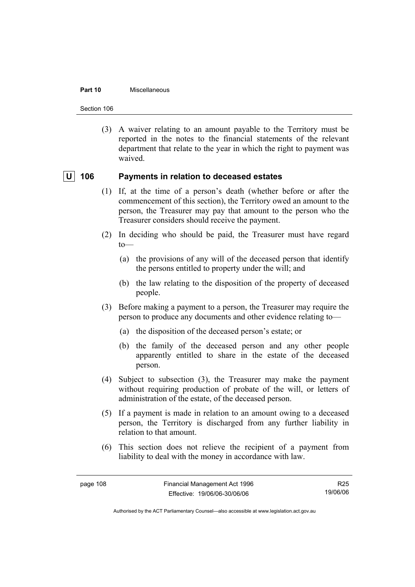#### **Part 10** Miscellaneous

Section 106

 (3) A waiver relating to an amount payable to the Territory must be reported in the notes to the financial statements of the relevant department that relate to the year in which the right to payment was waived.

# **U** 106 Payments in relation to deceased estates

- (1) If, at the time of a person's death (whether before or after the commencement of this section), the Territory owed an amount to the person, the Treasurer may pay that amount to the person who the Treasurer considers should receive the payment.
- (2) In deciding who should be paid, the Treasurer must have regard to—
	- (a) the provisions of any will of the deceased person that identify the persons entitled to property under the will; and
	- (b) the law relating to the disposition of the property of deceased people.
- (3) Before making a payment to a person, the Treasurer may require the person to produce any documents and other evidence relating to—
	- (a) the disposition of the deceased person's estate; or
	- (b) the family of the deceased person and any other people apparently entitled to share in the estate of the deceased person.
- (4) Subject to subsection (3), the Treasurer may make the payment without requiring production of probate of the will, or letters of administration of the estate, of the deceased person.
- (5) If a payment is made in relation to an amount owing to a deceased person, the Territory is discharged from any further liability in relation to that amount.
- (6) This section does not relieve the recipient of a payment from liability to deal with the money in accordance with law.

Authorised by the ACT Parliamentary Counsel—also accessible at www.legislation.act.gov.au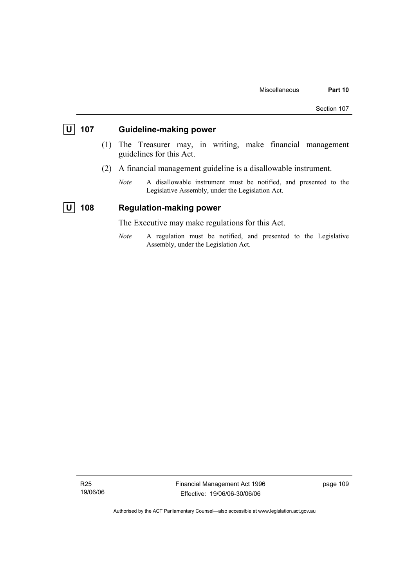# **U 107 Guideline-making power**

- (1) The Treasurer may, in writing, make financial management guidelines for this Act.
- (2) A financial management guideline is a disallowable instrument.
	- *Note* A disallowable instrument must be notified, and presented to the Legislative Assembly, under the Legislation Act.

# **U** 108 Regulation-making power

The Executive may make regulations for this Act.

*Note* A regulation must be notified, and presented to the Legislative Assembly, under the Legislation Act.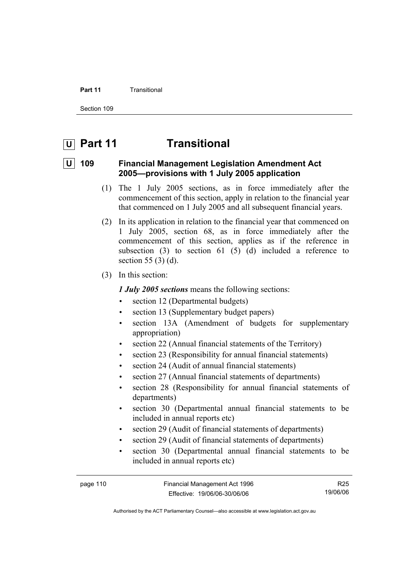#### **Part 11 Transitional**

Section 109

# **U Part 11 Transitional**

# **U 109 Financial Management Legislation Amendment Act 2005—provisions with 1 July 2005 application**

- (1) The 1 July 2005 sections, as in force immediately after the commencement of this section, apply in relation to the financial year that commenced on 1 July 2005 and all subsequent financial years.
- (2) In its application in relation to the financial year that commenced on 1 July 2005, section 68, as in force immediately after the commencement of this section, applies as if the reference in subsection  $(3)$  to section  $61$   $(5)$   $(d)$  included a reference to section 55 (3) (d).
- (3) In this section:

*1 July 2005 sections* means the following sections:

- section 12 (Departmental budgets)
- section 13 (Supplementary budget papers)
- section 13A (Amendment of budgets for supplementary appropriation)
- section 22 (Annual financial statements of the Territory)
- section 23 (Responsibility for annual financial statements)
- section 24 (Audit of annual financial statements)
- section 27 (Annual financial statements of departments)
- section 28 (Responsibility for annual financial statements of departments)
- section 30 (Departmental annual financial statements to be included in annual reports etc)
- section 29 (Audit of financial statements of departments)
- section 29 (Audit of financial statements of departments)
- section 30 (Departmental annual financial statements to be included in annual reports etc)

R25 19/06/06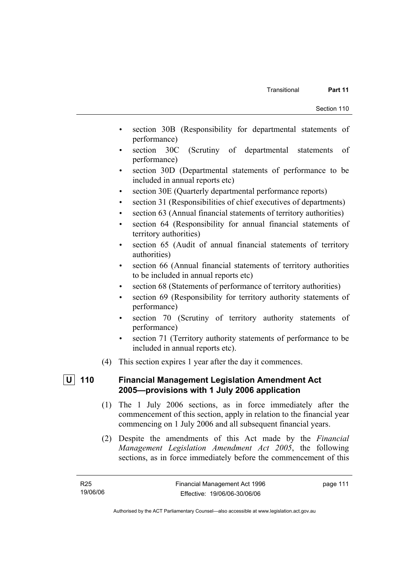- section 30B (Responsibility for departmental statements of performance)
- section 30C (Scrutiny of departmental statements of performance)
- section 30D (Departmental statements of performance to be included in annual reports etc)
- section 30E (Quarterly departmental performance reports)
- section 31 (Responsibilities of chief executives of departments)
- section 63 (Annual financial statements of territory authorities)
- section 64 (Responsibility for annual financial statements of territory authorities)
- section 65 (Audit of annual financial statements of territory authorities)
- section 66 (Annual financial statements of territory authorities to be included in annual reports etc)
- section 68 (Statements of performance of territory authorities)
- section 69 (Responsibility for territory authority statements of performance)
- section 70 (Scrutiny of territory authority statements of performance)
- section 71 (Territory authority statements of performance to be included in annual reports etc).
- (4) This section expires 1 year after the day it commences.

# **U 110 Financial Management Legislation Amendment Act 2005—provisions with 1 July 2006 application**

- (1) The 1 July 2006 sections, as in force immediately after the commencement of this section, apply in relation to the financial year commencing on 1 July 2006 and all subsequent financial years.
- (2) Despite the amendments of this Act made by the *Financial Management Legislation Amendment Act 2005*, the following sections, as in force immediately before the commencement of this

page 111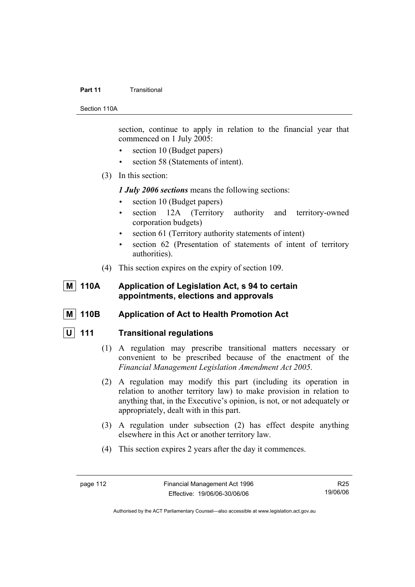#### **Part 11 Transitional**

Section 110A

section, continue to apply in relation to the financial year that commenced on 1 July 2005:

- section 10 (Budget papers)
- section 58 (Statements of intent).
- (3) In this section:

*1 July 2006 sections* means the following sections:

- section 10 (Budget papers)
- section 12A (Territory authority and territory-owned corporation budgets)
- section 61 (Territory authority statements of intent)
- section 62 (Presentation of statements of intent of territory authorities).
- (4) This section expires on the expiry of section 109.

# **M** 110A Application of Legislation Act, s 94 to certain **appointments, elections and approvals**

 **M 110B Application of Act to Health Promotion Act** 

# **U 111 Transitional regulations**

- (1) A regulation may prescribe transitional matters necessary or convenient to be prescribed because of the enactment of the *Financial Management Legislation Amendment Act 2005*.
- (2) A regulation may modify this part (including its operation in relation to another territory law) to make provision in relation to anything that, in the Executive's opinion, is not, or not adequately or appropriately, dealt with in this part.
- (3) A regulation under subsection (2) has effect despite anything elsewhere in this Act or another territory law.
- (4) This section expires 2 years after the day it commences.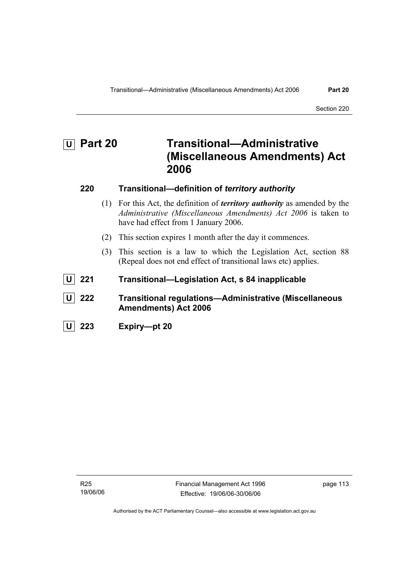# **U Part 20 Transitional—Administrative (Miscellaneous Amendments) Act 2006 220 Transitional—definition of** *territory authority* (1) For this Act, the definition of *territory authority* as amended by the *Administrative (Miscellaneous Amendments) Act 2006* is taken to have had effect from 1 January 2006. (2) This section expires 1 month after the day it commences. (3) This section is a law to which the Legislation Act, section 88 (Repeal does not end effect of transitional laws etc) applies.  **U 221 Transitional—Legislation Act, s 84 inapplicable U 222 Transitional regulations—Administrative (Miscellaneous Amendments) Act 2006 U 223 Expiry—pt 20**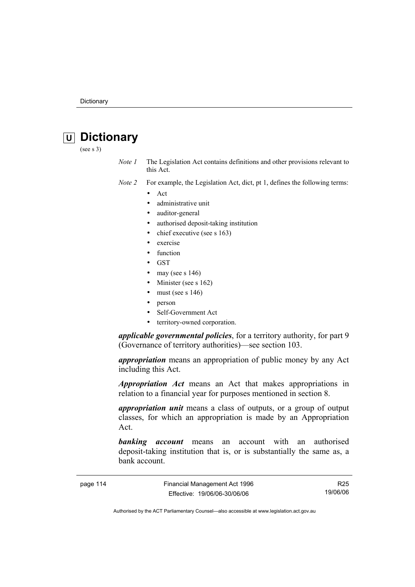# **U Dictionary**

(see s 3)

*Note 1* The Legislation Act contains definitions and other provisions relevant to this Act.

*Note 2* For example, the Legislation Act, dict, pt 1, defines the following terms:

- Act
	- administrative unit
	- auditor-general
	- authorised deposit-taking institution
	- chief executive (see s 163)
	- exercise
	- **function**
	- GST
	- may (see s  $146$ )
	- Minister (see s 162)
	- must (see s  $146$ )
	- person
	- Self-Government Act
	- territory-owned corporation.

*applicable governmental policies*, for a territory authority, for part 9 (Governance of territory authorities)—see section 103.

*appropriation* means an appropriation of public money by any Act including this Act.

*Appropriation Act* means an Act that makes appropriations in relation to a financial year for purposes mentioned in section 8.

*appropriation unit* means a class of outputs, or a group of output classes, for which an appropriation is made by an Appropriation Act.

*banking account* means an account with an authorised deposit-taking institution that is, or is substantially the same as, a bank account.

page 114 Financial Management Act 1996 Effective: 19/06/06-30/06/06

R25 19/06/06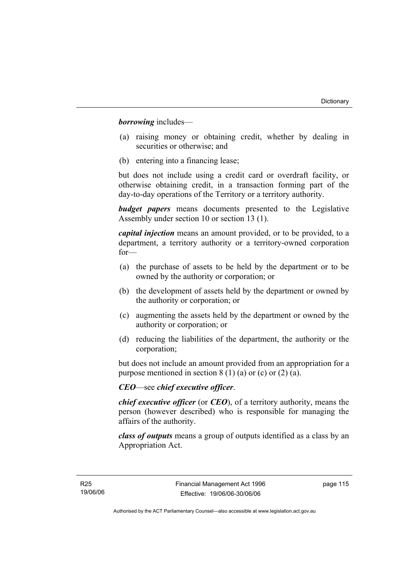*borrowing* includes—

- (a) raising money or obtaining credit, whether by dealing in securities or otherwise; and
- (b) entering into a financing lease;

but does not include using a credit card or overdraft facility, or otherwise obtaining credit, in a transaction forming part of the day-to-day operations of the Territory or a territory authority.

*budget papers* means documents presented to the Legislative Assembly under section 10 or section 13 (1).

*capital injection* means an amount provided, or to be provided, to a department, a territory authority or a territory-owned corporation for—

- (a) the purchase of assets to be held by the department or to be owned by the authority or corporation; or
- (b) the development of assets held by the department or owned by the authority or corporation; or
- (c) augmenting the assets held by the department or owned by the authority or corporation; or
- (d) reducing the liabilities of the department, the authority or the corporation;

but does not include an amount provided from an appropriation for a purpose mentioned in section  $8(1)(a)$  or (c) or (2) (a).

# *CEO*—see *chief executive officer*.

*chief executive officer* (or *CEO*), of a territory authority, means the person (however described) who is responsible for managing the affairs of the authority.

*class of outputs* means a group of outputs identified as a class by an Appropriation Act.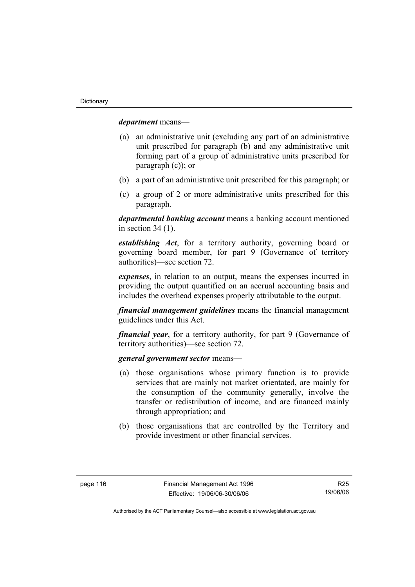*department* means—

- (a) an administrative unit (excluding any part of an administrative unit prescribed for paragraph (b) and any administrative unit forming part of a group of administrative units prescribed for paragraph (c)); or
- (b) a part of an administrative unit prescribed for this paragraph; or
- (c) a group of 2 or more administrative units prescribed for this paragraph.

*departmental banking account* means a banking account mentioned in section 34 (1).

*establishing Act*, for a territory authority, governing board or governing board member, for part 9 (Governance of territory authorities)—see section 72.

*expenses*, in relation to an output, means the expenses incurred in providing the output quantified on an accrual accounting basis and includes the overhead expenses properly attributable to the output.

*financial management guidelines* means the financial management guidelines under this Act.

*financial year*, for a territory authority, for part 9 (Governance of territory authorities)—see section 72.

#### *general government sector* means—

- (a) those organisations whose primary function is to provide services that are mainly not market orientated, are mainly for the consumption of the community generally, involve the transfer or redistribution of income, and are financed mainly through appropriation; and
- (b) those organisations that are controlled by the Territory and provide investment or other financial services.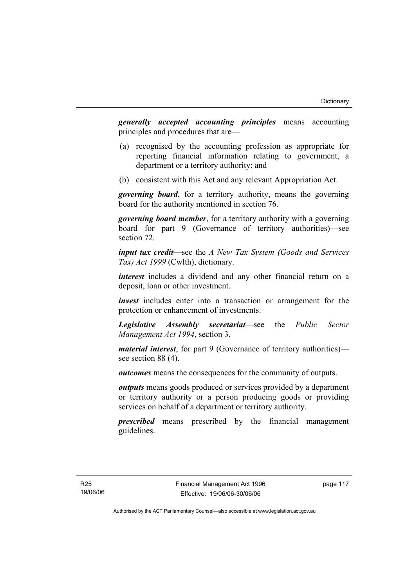*generally accepted accounting principles* means accounting principles and procedures that are—

- (a) recognised by the accounting profession as appropriate for reporting financial information relating to government, a department or a territory authority; and
- (b) consistent with this Act and any relevant Appropriation Act.

*governing board*, for a territory authority, means the governing board for the authority mentioned in section 76.

*governing board member*, for a territory authority with a governing board for part 9 (Governance of territory authorities)—see section 72.

*input tax credit*—see the *A New Tax System (Goods and Services Tax) Act 1999* (Cwlth), dictionary.

*interest* includes a dividend and any other financial return on a deposit, loan or other investment.

*invest* includes enter into a transaction or arrangement for the protection or enhancement of investments.

*Legislative Assembly secretariat*—see the *Public Sector Management Act 1994*, section 3.

*material interest*, for part 9 (Governance of territory authorities) see section 88 (4).

*outcomes* means the consequences for the community of outputs.

*outputs* means goods produced or services provided by a department or territory authority or a person producing goods or providing services on behalf of a department or territory authority.

*prescribed* means prescribed by the financial management guidelines.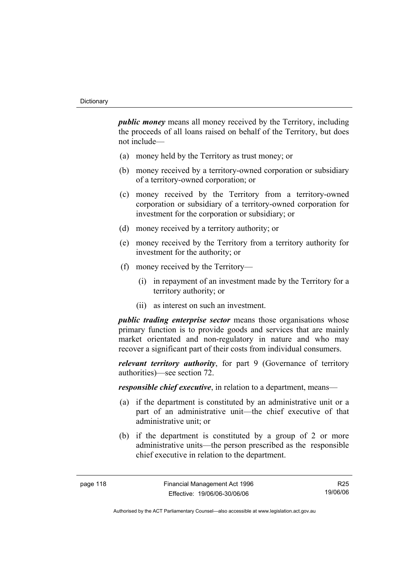*public money* means all money received by the Territory, including the proceeds of all loans raised on behalf of the Territory, but does not include—

- (a) money held by the Territory as trust money; or
- (b) money received by a territory-owned corporation or subsidiary of a territory-owned corporation; or
- (c) money received by the Territory from a territory-owned corporation or subsidiary of a territory-owned corporation for investment for the corporation or subsidiary; or
- (d) money received by a territory authority; or
- (e) money received by the Territory from a territory authority for investment for the authority; or
- (f) money received by the Territory—
	- (i) in repayment of an investment made by the Territory for a territory authority; or
	- (ii) as interest on such an investment.

*public trading enterprise sector* means those organisations whose primary function is to provide goods and services that are mainly market orientated and non-regulatory in nature and who may recover a significant part of their costs from individual consumers.

*relevant territory authority*, for part 9 (Governance of territory authorities)—see section 72.

*responsible chief executive*, in relation to a department, means—

- (a) if the department is constituted by an administrative unit or a part of an administrative unit—the chief executive of that administrative unit; or
- (b) if the department is constituted by a group of 2 or more administrative units—the person prescribed as the responsible chief executive in relation to the department.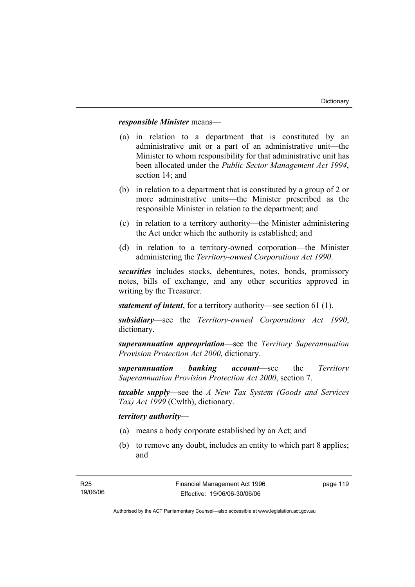### *responsible Minister* means—

- (a) in relation to a department that is constituted by an administrative unit or a part of an administrative unit—the Minister to whom responsibility for that administrative unit has been allocated under the *Public Sector Management Act 1994*, section 14; and
- (b) in relation to a department that is constituted by a group of 2 or more administrative units—the Minister prescribed as the responsible Minister in relation to the department; and
- (c) in relation to a territory authority—the Minister administering the Act under which the authority is established; and
- (d) in relation to a territory-owned corporation—the Minister administering the *Territory-owned Corporations Act 1990*.

*securities* includes stocks, debentures, notes, bonds, promissory notes, bills of exchange, and any other securities approved in writing by the Treasurer.

*statement of intent*, for a territory authority—see section 61 (1).

*subsidiary*—see the *Territory-owned Corporations Act 1990*, dictionary.

*superannuation appropriation*—see the *Territory Superannuation Provision Protection Act 2000*, dictionary.

*superannuation banking account*—see the *Territory Superannuation Provision Protection Act 2000*, section 7.

*taxable supply*—see the *A New Tax System (Goods and Services Tax) Act 1999* (Cwlth), dictionary.

### *territory authority*—

- (a) means a body corporate established by an Act; and
- (b) to remove any doubt, includes an entity to which part 8 applies; and

page 119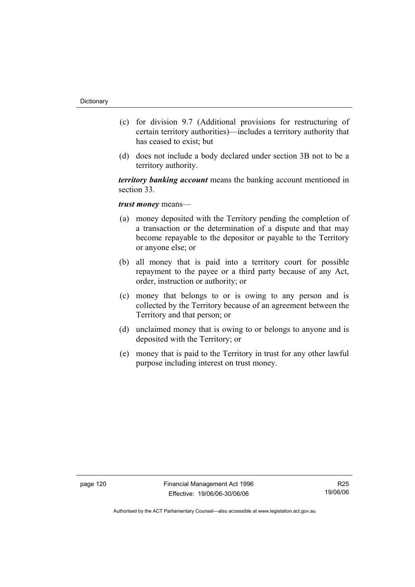- (c) for division 9.7 (Additional provisions for restructuring of certain territory authorities)—includes a territory authority that has ceased to exist; but
- (d) does not include a body declared under section 3B not to be a territory authority.

*territory banking account* means the banking account mentioned in section 33.

# *trust money* means—

- (a) money deposited with the Territory pending the completion of a transaction or the determination of a dispute and that may become repayable to the depositor or payable to the Territory or anyone else; or
- (b) all money that is paid into a territory court for possible repayment to the payee or a third party because of any Act, order, instruction or authority; or
- (c) money that belongs to or is owing to any person and is collected by the Territory because of an agreement between the Territory and that person; or
- (d) unclaimed money that is owing to or belongs to anyone and is deposited with the Territory; or
- (e) money that is paid to the Territory in trust for any other lawful purpose including interest on trust money.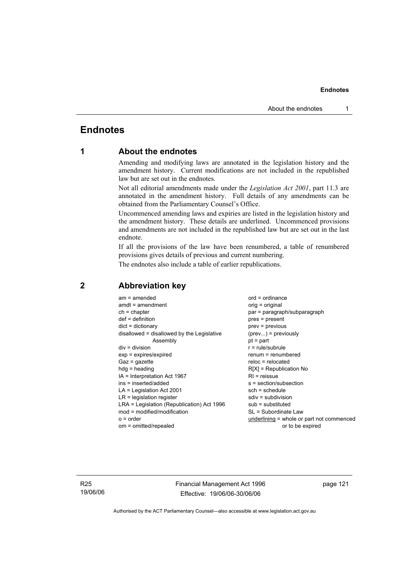# **Endnotes**

# **1 About the endnotes**

Amending and modifying laws are annotated in the legislation history and the amendment history. Current modifications are not included in the republished law but are set out in the endnotes.

Not all editorial amendments made under the *Legislation Act 2001*, part 11.3 are annotated in the amendment history. Full details of any amendments can be obtained from the Parliamentary Counsel's Office.

Uncommenced amending laws and expiries are listed in the legislation history and the amendment history. These details are underlined. Uncommenced provisions and amendments are not included in the republished law but are set out in the last endnote.

If all the provisions of the law have been renumbered, a table of renumbered provisions gives details of previous and current numbering.

The endnotes also include a table of earlier republications.

| $am = amended$                             | $ord = ordinance$                         |
|--------------------------------------------|-------------------------------------------|
| $amdt = amendment$                         | orig = original                           |
| $ch = chapter$                             | par = paragraph/subparagraph              |
| $def = definition$                         | $pres = present$                          |
| $dict = dictionary$                        | $prev = previous$                         |
| disallowed = disallowed by the Legislative | $(\text{prev}) = \text{previously}$       |
| Assembly                                   | $pt = part$                               |
| $div = division$                           | $r = rule/subrule$                        |
| $exp = expires/expired$                    | $renum = renumbered$                      |
| $Gaz = gazette$                            | $reloc = relocated$                       |
| $hda =$ heading                            | $R[X]$ = Republication No                 |
| IA = Interpretation Act 1967               | $RI =$ reissue                            |
| ins = inserted/added                       | $s = section/subsection$                  |
| $LA =$ Legislation Act 2001                | $sch = schedule$                          |
| $LR =$ legislation register                | $sdiv = subdivision$                      |
| LRA = Legislation (Republication) Act 1996 | $sub =$ substituted                       |
| $mod = modified/modification$              | SL = Subordinate Law                      |
| $o = order$                                | underlining = whole or part not commenced |
| om = omitted/repealed                      | or to be expired                          |
|                                            |                                           |

# **2 Abbreviation key**

R25 19/06/06 Financial Management Act 1996 Effective: 19/06/06-30/06/06

page 121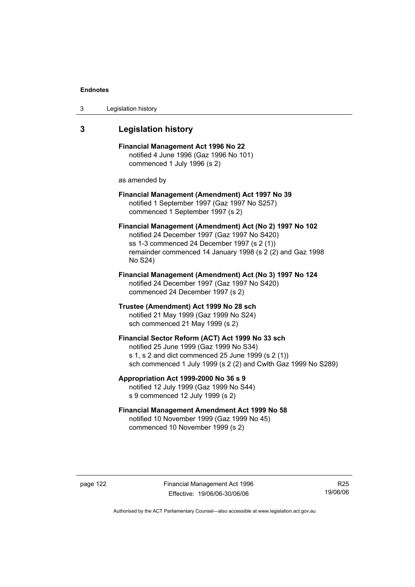| 3 | Legislation history |  |
|---|---------------------|--|
|---|---------------------|--|

## **3 Legislation history**

**Financial Management Act 1996 No 22**  notified 4 June 1996 (Gaz 1996 No 101) commenced 1 July 1996 (s 2)

as amended by

#### **Financial Management (Amendment) Act 1997 No 39**  notified 1 September 1997 (Gaz 1997 No S257) commenced 1 September 1997 (s 2)

**Financial Management (Amendment) Act (No 2) 1997 No 102**  notified 24 December 1997 (Gaz 1997 No S420) ss 1-3 commenced 24 December 1997 (s 2 (1)) remainder commenced 14 January 1998 (s 2 (2) and Gaz 1998 No S24)

**Financial Management (Amendment) Act (No 3) 1997 No 124**  notified 24 December 1997 (Gaz 1997 No S420) commenced 24 December 1997 (s 2)

**Trustee (Amendment) Act 1999 No 28 sch**  notified 21 May 1999 (Gaz 1999 No S24) sch commenced 21 May 1999 (s 2)

# **Financial Sector Reform (ACT) Act 1999 No 33 sch**  notified 25 June 1999 (Gaz 1999 No S34) s 1, s 2 and dict commenced 25 June 1999 (s 2 (1))

sch commenced 1 July 1999 (s 2 (2) and Cwlth Gaz 1999 No S289)

# **Appropriation Act 1999-2000 No 36 s 9**  notified 12 July 1999 (Gaz 1999 No S44)

s 9 commenced 12 July 1999 (s 2)

### **Financial Management Amendment Act 1999 No 58**  notified 10 November 1999 (Gaz 1999 No 45) commenced 10 November 1999 (s 2)

page 122 Financial Management Act 1996 Effective: 19/06/06-30/06/06

R25 19/06/06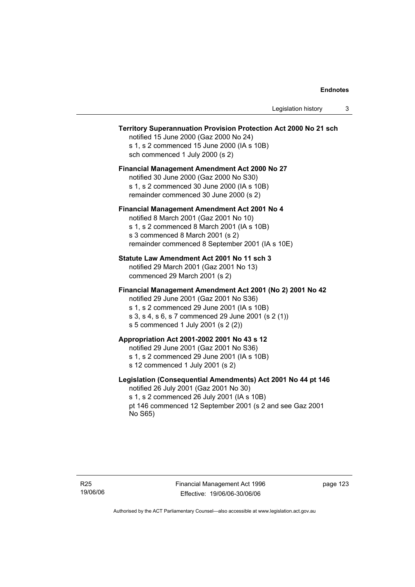#### **Territory Superannuation Provision Protection Act 2000 No 21 sch**

notified 15 June 2000 (Gaz 2000 No 24) s 1, s 2 commenced 15 June 2000 (IA s 10B) sch commenced 1 July 2000 (s 2)

### **Financial Management Amendment Act 2000 No 27**

notified 30 June 2000 (Gaz 2000 No S30) s 1, s 2 commenced 30 June 2000 (IA s 10B) remainder commenced 30 June 2000 (s 2)

#### **Financial Management Amendment Act 2001 No 4**

notified 8 March 2001 (Gaz 2001 No 10) s 1, s 2 commenced 8 March 2001 (IA s 10B) s 3 commenced 8 March 2001 (s 2) remainder commenced 8 September 2001 (IA s 10E)

#### **Statute Law Amendment Act 2001 No 11 sch 3**

notified 29 March 2001 (Gaz 2001 No 13) commenced 29 March 2001 (s 2)

#### **Financial Management Amendment Act 2001 (No 2) 2001 No 42**

notified 29 June 2001 (Gaz 2001 No S36)

- s 1, s 2 commenced 29 June 2001 (IA s 10B)
- s 3, s 4, s 6, s 7 commenced 29 June 2001 (s 2 (1))
- s 5 commenced 1 July 2001 (s 2 (2))

# **Appropriation Act 2001-2002 2001 No 43 s 12**

notified 29 June 2001 (Gaz 2001 No S36)

- s 1, s 2 commenced 29 June 2001 (IA s 10B)
- s 12 commenced 1 July 2001 (s 2)

#### **Legislation (Consequential Amendments) Act 2001 No 44 pt 146**

notified 26 July 2001 (Gaz 2001 No 30) s 1, s 2 commenced 26 July 2001 (IA s 10B) pt 146 commenced 12 September 2001 (s 2 and see Gaz 2001 No S65)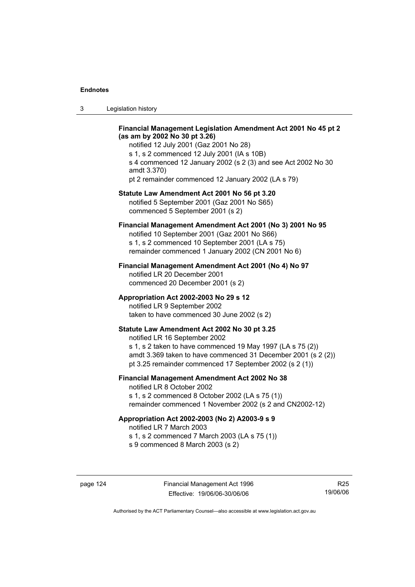| Legislation history<br>-3 |  |
|---------------------------|--|
|---------------------------|--|

#### **Financial Management Legislation Amendment Act 2001 No 45 pt 2 (as am by 2002 No 30 pt 3.26)**

notified 12 July 2001 (Gaz 2001 No 28) s 1, s 2 commenced 12 July 2001 (IA s 10B) s 4 commenced 12 January 2002 (s 2 (3) and see Act 2002 No 30 amdt 3.370) pt 2 remainder commenced 12 January 2002 (LA s 79)

#### **Statute Law Amendment Act 2001 No 56 pt 3.20**

notified 5 September 2001 (Gaz 2001 No S65) commenced 5 September 2001 (s 2)

# **Financial Management Amendment Act 2001 (No 3) 2001 No 95**

notified 10 September 2001 (Gaz 2001 No S66) s 1, s 2 commenced 10 September 2001 (LA s 75) remainder commenced 1 January 2002 (CN 2001 No 6)

#### **Financial Management Amendment Act 2001 (No 4) No 97**

notified LR 20 December 2001 commenced 20 December 2001 (s 2)

#### **Appropriation Act 2002-2003 No 29 s 12**

notified LR 9 September 2002 taken to have commenced 30 June 2002 (s 2)

#### **Statute Law Amendment Act 2002 No 30 pt 3.25**

notified LR 16 September 2002 s 1, s 2 taken to have commenced 19 May 1997 (LA s 75 (2)) amdt 3.369 taken to have commenced 31 December 2001 (s 2 (2)) pt 3.25 remainder commenced 17 September 2002 (s 2 (1))

### **Financial Management Amendment Act 2002 No 38**

notified LR 8 October 2002 s 1, s 2 commenced 8 October 2002 (LA s 75 (1)) remainder commenced 1 November 2002 (s 2 and CN2002-12)

#### **Appropriation Act 2002-2003 (No 2) A2003-9 s 9**

notified LR 7 March 2003

s 1, s 2 commenced 7 March 2003 (LA s 75 (1))

s 9 commenced 8 March 2003 (s 2)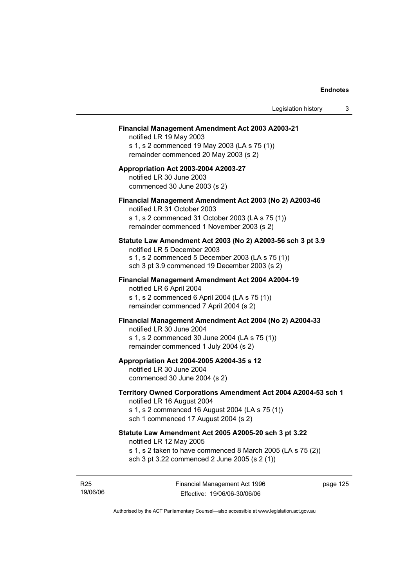#### **Financial Management Amendment Act 2003 A2003-21**

notified LR 19 May 2003 s 1, s 2 commenced 19 May 2003 (LA s 75 (1)) remainder commenced 20 May 2003 (s 2)

#### **Appropriation Act 2003-2004 A2003-27**  notified LR 30 June 2003 commenced 30 June 2003 (s 2)

#### **Financial Management Amendment Act 2003 (No 2) A2003-46**

notified LR 31 October 2003 s 1, s 2 commenced 31 October 2003 (LA s 75 (1)) remainder commenced 1 November 2003 (s 2)

#### **Statute Law Amendment Act 2003 (No 2) A2003-56 sch 3 pt 3.9**

notified LR 5 December 2003 s 1, s 2 commenced 5 December 2003 (LA s 75 (1)) sch 3 pt 3.9 commenced 19 December 2003 (s 2)

# **Financial Management Amendment Act 2004 A2004-19**  notified LR 6 April 2004

s 1, s 2 commenced 6 April 2004 (LA s 75 (1)) remainder commenced 7 April 2004 (s 2)

#### **Financial Management Amendment Act 2004 (No 2) A2004-33**

notified LR 30 June 2004 s 1, s 2 commenced 30 June 2004 (LA s 75 (1)) remainder commenced 1 July 2004 (s 2)

#### **Appropriation Act 2004-2005 A2004-35 s 12**

notified LR 30 June 2004 commenced 30 June 2004 (s 2)

#### **Territory Owned Corporations Amendment Act 2004 A2004-53 sch 1**  notified LR 16 August 2004

s 1, s 2 commenced 16 August 2004 (LA s 75 (1)) sch 1 commenced 17 August 2004 (s 2)

#### **Statute Law Amendment Act 2005 A2005-20 sch 3 pt 3.22**

notified LR 12 May 2005

- s 1, s 2 taken to have commenced 8 March 2005 (LA s 75 (2))
- sch 3 pt 3.22 commenced 2 June 2005 (s 2 (1))

R25 19/06/06 Financial Management Act 1996 Effective: 19/06/06-30/06/06

page 125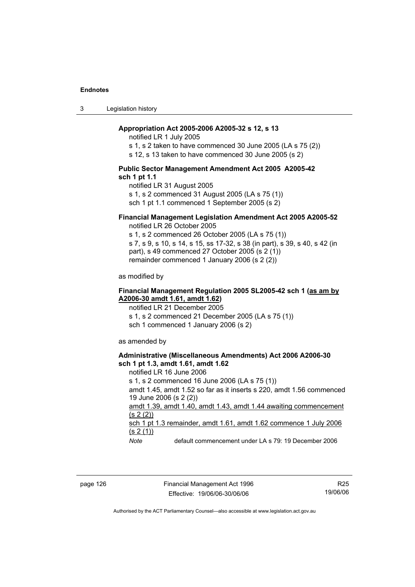3 Legislation history

#### **Appropriation Act 2005-2006 A2005-32 s 12, s 13**

notified LR 1 July 2005

s 1, s 2 taken to have commenced 30 June 2005 (LA s 75 (2))

s 12, s 13 taken to have commenced 30 June 2005 (s 2)

#### **Public Sector Management Amendment Act 2005 A2005-42 sch 1 pt 1.1**

notified LR 31 August 2005 s 1, s 2 commenced 31 August 2005 (LA s 75 (1)) sch 1 pt 1.1 commenced 1 September 2005 (s 2)

### **Financial Management Legislation Amendment Act 2005 A2005-52**

notified LR 26 October 2005

s 1, s 2 commenced 26 October 2005 (LA s 75 (1)) s 7, s 9, s 10, s 14, s 15, ss 17-32, s 38 (in part), s 39, s 40, s 42 (in part), s 49 commenced 27 October 2005 (s 2 (1)) remainder commenced 1 January 2006 (s 2 (2))

as modified by

#### **Financial Management Regulation 2005 SL2005-42 sch 1 (as am by A2006-30 amdt 1.61, amdt 1.62)**

notified LR 21 December 2005 s 1, s 2 commenced 21 December 2005 (LA s 75 (1)) sch 1 commenced 1 January 2006 (s 2)

as amended by

#### **Administrative (Miscellaneous Amendments) Act 2006 A2006-30 sch 1 pt 1.3, amdt 1.61, amdt 1.62**

notified LR 16 June 2006 s 1, s 2 commenced 16 June 2006 (LA s 75 (1)) amdt 1.45, amdt 1.52 so far as it inserts s 220, amdt 1.56 commenced 19 June 2006 (s 2 (2)) amdt 1.39, amdt 1.40, amdt 1.43, amdt 1.44 awaiting commencement  $(s 2(2))$ sch 1 pt 1.3 remainder, amdt 1.61, amdt 1.62 commence 1 July 2006  $(s 2(1))$ 

*Note* default commencement under LA s 79: 19 December 2006

page 126 Financial Management Act 1996 Effective: 19/06/06-30/06/06

R25 19/06/06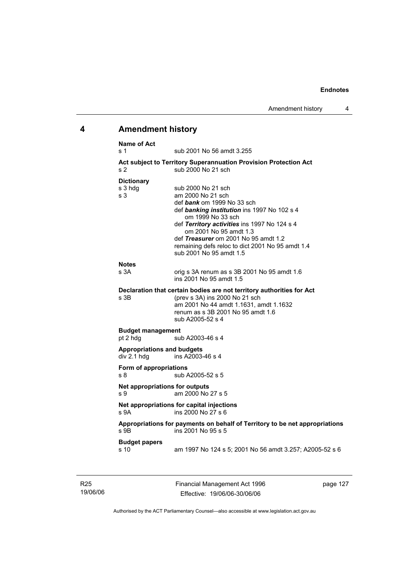# **4 Amendment history**

| <b>Name of Act</b><br>s <sub>1</sub>             | sub 2001 No 56 amdt 3.255                                                                                                                                                                                                                                                                                                                  |
|--------------------------------------------------|--------------------------------------------------------------------------------------------------------------------------------------------------------------------------------------------------------------------------------------------------------------------------------------------------------------------------------------------|
| s 2                                              | <b>Act subject to Territory Superannuation Provision Protection Act</b><br>sub 2000 No 21 sch                                                                                                                                                                                                                                              |
| <b>Dictionary</b><br>s 3 hdg<br>s <sub>3</sub>   | sub 2000 No 21 sch<br>am 2000 No 21 sch<br>def bank om 1999 No 33 sch<br>def banking institution ins 1997 No 102 s 4<br>om 1999 No 33 sch<br>def Territory activities ins 1997 No 124 s 4<br>om 2001 No 95 amdt 1.3<br>def Treasurer om 2001 No 95 amdt 1.2<br>remaining defs reloc to dict 2001 No 95 amdt 1.4<br>sub 2001 No 95 amdt 1.5 |
| <b>Notes</b><br>s 3A                             | orig s 3A renum as s 3B 2001 No 95 amdt 1.6<br>ins 2001 No 95 amdt 1.5                                                                                                                                                                                                                                                                     |
| s <sub>3B</sub>                                  | Declaration that certain bodies are not territory authorities for Act<br>(prev s 3A) ins 2000 No 21 sch<br>am 2001 No 44 amdt 1.1631, amdt 1.1632<br>renum as s 3B 2001 No 95 amdt 1.6<br>sub A2005-52 s 4                                                                                                                                 |
| <b>Budget management</b><br>pt 2 hdg             | sub A2003-46 s 4                                                                                                                                                                                                                                                                                                                           |
| <b>Appropriations and budgets</b><br>div 2.1 hdg | ins A2003-46 s 4                                                                                                                                                                                                                                                                                                                           |
| Form of appropriations<br>s <sub>8</sub>         | sub A2005-52 s 5                                                                                                                                                                                                                                                                                                                           |
| Net appropriations for outputs<br>s <sub>9</sub> | am 2000 No 27 s 5                                                                                                                                                                                                                                                                                                                          |
| s 9A                                             | Net appropriations for capital injections<br>ins 2000 No 27 s 6                                                                                                                                                                                                                                                                            |
| s 9B                                             | Appropriations for payments on behalf of Territory to be net appropriations<br>ins 2001 No 95 s 5                                                                                                                                                                                                                                          |
| <b>Budget papers</b><br>s 10                     | am 1997 No 124 s 5; 2001 No 56 amdt 3.257; A2005-52 s 6                                                                                                                                                                                                                                                                                    |

R25 19/06/06 Financial Management Act 1996 Effective: 19/06/06-30/06/06

page 127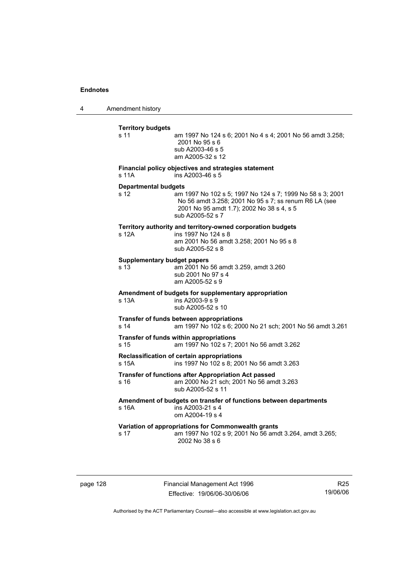4 Amendment history

| <b>Territory budgets</b><br>s 11           | am 1997 No 124 s 6; 2001 No 4 s 4; 2001 No 56 amdt 3.258;<br>2001 No 95 s 6<br>sub A2003-46 s 5<br>am A2005-32 s 12                                                                 |
|--------------------------------------------|-------------------------------------------------------------------------------------------------------------------------------------------------------------------------------------|
| s 11A                                      | Financial policy objectives and strategies statement<br>ins A2003-46 s 5                                                                                                            |
| <b>Departmental budgets</b><br>s 12        | am 1997 No 102 s 5; 1997 No 124 s 7; 1999 No 58 s 3; 2001<br>No 56 amdt 3.258; 2001 No 95 s 7; ss renum R6 LA (see<br>2001 No 95 amdt 1.7); 2002 No 38 s 4, s 5<br>sub A2005-52 s 7 |
| s 12A                                      | Territory authority and territory-owned corporation budgets<br>ins 1997 No 124 s 8<br>am 2001 No 56 amdt 3.258; 2001 No 95 s 8<br>sub A2005-52 s 8                                  |
| <b>Supplementary budget papers</b><br>s 13 | am 2001 No 56 amdt 3.259, amdt 3.260<br>sub 2001 No 97 s 4<br>am A2005-52 s 9                                                                                                       |
| s 13A                                      | Amendment of budgets for supplementary appropriation<br>ins A2003-9 s 9<br>sub A2005-52 s 10                                                                                        |
| s <sub>14</sub>                            | Transfer of funds between appropriations<br>am 1997 No 102 s 6; 2000 No 21 sch; 2001 No 56 amdt 3.261                                                                               |
| s <sub>15</sub>                            | Transfer of funds within appropriations<br>am 1997 No 102 s 7; 2001 No 56 amdt 3.262                                                                                                |
| s 15A                                      | Reclassification of certain appropriations<br>ins 1997 No 102 s 8; 2001 No 56 amdt 3.263                                                                                            |
| s 16                                       | <b>Transfer of functions after Appropriation Act passed</b><br>am 2000 No 21 sch; 2001 No 56 amdt 3.263<br>sub A2005-52 s 11                                                        |
| s 16A                                      | Amendment of budgets on transfer of functions between departments<br>ins A2003-21 s 4<br>om A2004-19 s 4                                                                            |
| s 17                                       | Variation of appropriations for Commonwealth grants<br>am 1997 No 102 s 9; 2001 No 56 amdt 3.264, amdt 3.265;<br>2002 No 38 s 6                                                     |

page 128 Financial Management Act 1996 Effective: 19/06/06-30/06/06

R25 19/06/06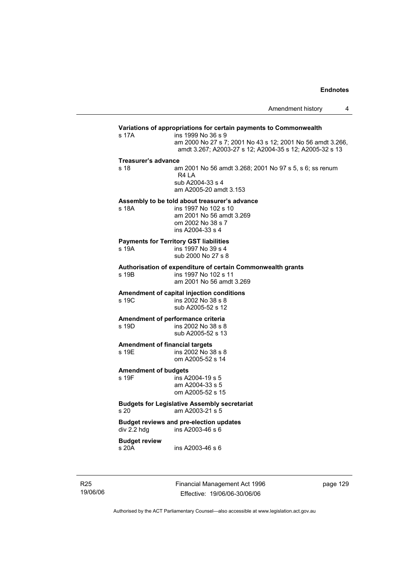# **Variations of appropriations for certain payments to Commonwealth** s 17A ins 1999 No 36 s 9 am 2000 No 27 s 7; 2001 No 43 s 12; 2001 No 56 amdt 3.266, amdt 3.267; A2003-27 s 12; A2004-35 s 12; A2005-32 s 13 **Treasurer's advance**  s 18 am 2001 No 56 amdt 3.268; 2001 No 97 s 5, s 6; ss renum R4 LA sub A2004-33 s 4 am A2005-20 amdt 3.153 **Assembly to be told about treasurer's advance** s 18A ins 1997 No 102 s 10 am 2001 No 56 amdt 3.269 om 2002 No 38 s 7 ins A2004-33 s 4 **Payments for Territory GST liabilities** ins 1997 No 39 s 4 sub 2000 No 27 s 8 **Authorisation of expenditure of certain Commonwealth grants**  s 19B ins 1997 No 102 s 11 am 2001 No 56 amdt 3.269 **Amendment of capital injection conditions**  ins 2002 No 38 s 8 sub A2005-52 s 12 **Amendment of performance criteria**<br>s 19D ins 2002 No 38 s 8 ins 2002 No 38 s 8 sub A2005-52 s 13 **Amendment of financial targets**  s 19E ins 2002 No 38 s 8 om A2005-52 s 14 **Amendment of budgets**   $ins$  A2004-19 s 5 am A2004-33 s 5 om A2005-52 s 15 **Budgets for Legislative Assembly secretariat**  s 20 am A2003-21 s 5 **Budget reviews and pre-election updates**  div 2.2 hdg ins A2003-46 s 6 **Budget review**  s 20A ins A2003-46 s 6

R25 19/06/06 Financial Management Act 1996 Effective: 19/06/06-30/06/06

page 129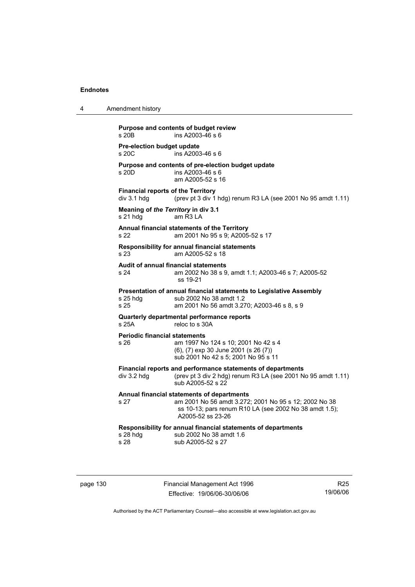|  |  |  | Amendment history |
|--|--|--|-------------------|
|--|--|--|-------------------|

**Purpose and contents of budget review**   $ins A2003-46 s 6$ **Pre-election budget update**   $ins$  A2003-46 s 6 **Purpose and contents of pre-election budget update**  ins A2003-46 s 6 am A2005-52 s 16 **Financial reports of the Territory**   $div 3.1$  hdg (prev pt 3 div 1 hdg) renum R3 LA (see 2001 No 95 amdt 1.11) **Meaning of** *the Territory* **in div 3.1**  s 21 hdg am R3 LA **Annual financial statements of the Territory**  s 22 am 2001 No 95 s 9; A2005-52 s 17 **Responsibility for annual financial statements**  s 23 am A2005-52 s 18 **Audit of annual financial statements**  s 24 am 2002 No 38 s 9, amdt 1.1; A2003-46 s 7; A2005-52 ss 19-21 **Presentation of annual financial statements to Legislative Assembly**  s 25 hdg sub 2002 No 38 amdt 1.2 s 25 am 2001 No 56 amdt 3.270; A2003-46 s 8, s 9 **Quarterly departmental performance reports**  s 25A reloc to s 30A **Periodic financial statements** s 26 am 1997 No 124 s 10; 2001 No 42 s 4 (6), (7) exp 30 June 2001 (s 26 (7)) sub 2001 No 42 s 5; 2001 No 95 s 11 **Financial reports and performance statements of departments**  div 3.2 hdg (prev pt 3 div 2 hdg) renum R3 LA (see 2001 No 95 amdt 1.11) sub A2005-52 s 22 **Annual financial statements of departments**  s 27 am 2001 No 56 amdt 3.272; 2001 No 95 s 12; 2002 No 38 ss 10-13; pars renum R10 LA (see 2002 No 38 amdt 1.5); A2005-52 ss 23-26 **Responsibility for annual financial statements of departments**  s 28 hdg sub 2002 No 38 amdt 1.6 s 28 sub A2005-52 s 27

page 130 Financial Management Act 1996 Effective: 19/06/06-30/06/06

R25 19/06/06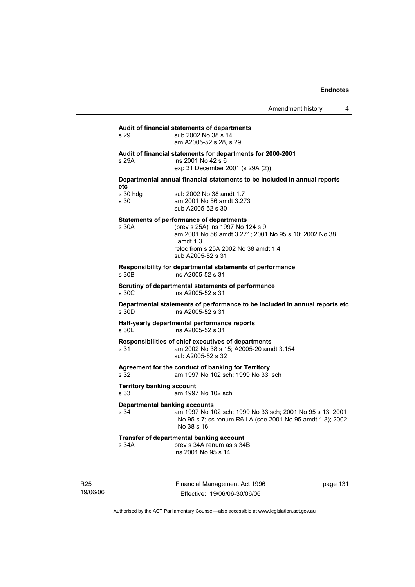| s 29                                         | Audit of financial statements of departments<br>sub 2002 No 38 s 14<br>am A2005-52 s 28, s 29                                                                                                                           |
|----------------------------------------------|-------------------------------------------------------------------------------------------------------------------------------------------------------------------------------------------------------------------------|
| s 29A                                        | Audit of financial statements for departments for 2000-2001<br>ins 2001 No 42 s 6<br>exp 31 December 2001 (s 29A (2))                                                                                                   |
| etc                                          | Departmental annual financial statements to be included in annual reports                                                                                                                                               |
| s 30 hdg<br>s 30                             | sub 2002 No 38 amdt 1.7<br>am 2001 No 56 amdt 3.273<br>sub A2005-52 s 30                                                                                                                                                |
| s 30A                                        | <b>Statements of performance of departments</b><br>(prev s 25A) ins 1997 No 124 s 9<br>am 2001 No 56 amdt 3.271; 2001 No 95 s 10; 2002 No 38<br>amdt $1.3$<br>reloc from s 25A 2002 No 38 amdt 1.4<br>sub A2005-52 s 31 |
| s 30 <sub>B</sub>                            | Responsibility for departmental statements of performance<br>ins A2005-52 s 31                                                                                                                                          |
| s 30C                                        | Scrutiny of departmental statements of performance<br>ins A2005-52 s 31                                                                                                                                                 |
| s 30D                                        | Departmental statements of performance to be included in annual reports etc<br>ins A2005-52 s 31                                                                                                                        |
| s 30E                                        | Half-yearly departmental performance reports<br>ins A2005-52 s 31                                                                                                                                                       |
| s 31                                         | Responsibilities of chief executives of departments<br>am 2002 No 38 s 15; A2005-20 amdt 3.154<br>sub A2005-52 s 32                                                                                                     |
| s 32                                         | Agreement for the conduct of banking for Territory<br>am 1997 No 102 sch; 1999 No 33 sch                                                                                                                                |
| <b>Territory banking account</b><br>s 33     | am 1997 No 102 sch                                                                                                                                                                                                      |
| <b>Departmental banking accounts</b><br>s 34 | am 1997 No 102 sch; 1999 No 33 sch; 2001 No 95 s 13; 2001<br>No 95 s 7; ss renum R6 LA (see 2001 No 95 amdt 1.8); 2002<br>No 38 s 16                                                                                    |
| s 34A                                        | Transfer of departmental banking account<br>prev s 34A renum as s 34B<br>ins 2001 No 95 s 14                                                                                                                            |

R25 19/06/06 Financial Management Act 1996 Effective: 19/06/06-30/06/06

page 131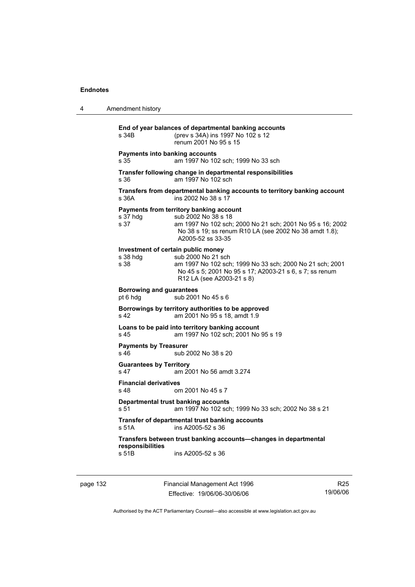| 4 | Amendment history                                                                                                                                                                                                                |
|---|----------------------------------------------------------------------------------------------------------------------------------------------------------------------------------------------------------------------------------|
|   | End of year balances of departmental banking accounts<br>(prev s 34A) ins 1997 No 102 s 12<br>s 34B<br>renum 2001 No 95 s 15                                                                                                     |
|   | Payments into banking accounts<br>s 35<br>am 1997 No 102 sch; 1999 No 33 sch                                                                                                                                                     |
|   | Transfer following change in departmental responsibilities<br>am 1997 No 102 sch<br>s 36                                                                                                                                         |
|   | Transfers from departmental banking accounts to territory banking account<br>s.36A<br>ins 2002 No 38 s 17                                                                                                                        |
|   | Payments from territory banking account<br>s 37 hdg<br>sub 2002 No 38 s 18<br>s 37<br>am 1997 No 102 sch; 2000 No 21 sch; 2001 No 95 s 16; 2002<br>No 38 s 19; ss renum R10 LA (see 2002 No 38 amdt 1.8);<br>A2005-52 ss 33-35   |
|   | Investment of certain public money<br>sub 2000 No 21 sch<br>s 38 hda<br>s 38<br>am 1997 No 102 sch; 1999 No 33 sch; 2000 No 21 sch; 2001<br>No 45 s 5; 2001 No 95 s 17; A2003-21 s 6, s 7; ss renum<br>R12 LA (see A2003-21 s 8) |
|   | <b>Borrowing and guarantees</b><br>sub 2001 No 45 s 6<br>pt 6 hdg                                                                                                                                                                |
|   | Borrowings by territory authorities to be approved<br>s 42<br>am 2001 No 95 s 18, amdt 1.9                                                                                                                                       |
|   | Loans to be paid into territory banking account<br>am 1997 No 102 sch; 2001 No 95 s 19<br>s 45                                                                                                                                   |
|   | <b>Payments by Treasurer</b><br>s 46<br>sub 2002 No 38 s 20                                                                                                                                                                      |
|   | <b>Guarantees by Territory</b><br>s 47<br>am 2001 No 56 amdt 3.274                                                                                                                                                               |
|   | <b>Financial derivatives</b><br>s 48<br>om 2001 No 45 s 7                                                                                                                                                                        |
|   | Departmental trust banking accounts<br>s 51<br>am 1997 No 102 sch; 1999 No 33 sch; 2002 No 38 s 21                                                                                                                               |
|   | Transfer of departmental trust banking accounts<br>ins A2005-52 s 36<br>s 51A                                                                                                                                                    |
|   | Transfers between trust banking accounts-changes in departmental<br>responsibilities<br>ins A2005-52 s 36<br>s 51B                                                                                                               |

page 132 Financial Management Act 1996 Effective: 19/06/06-30/06/06

R25 19/06/06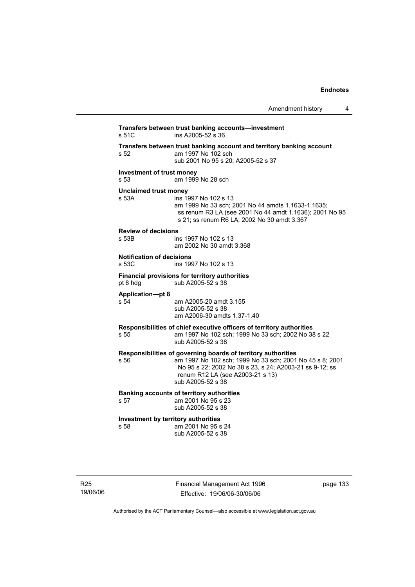| Amendment history |  |
|-------------------|--|
|-------------------|--|

| s 51C                                     | ins A2005-52 s 36                                                                                                                                                                                                                             |  |
|-------------------------------------------|-----------------------------------------------------------------------------------------------------------------------------------------------------------------------------------------------------------------------------------------------|--|
| s 52                                      | Transfers between trust banking account and territory banking account<br>am 1997 No 102 sch<br>sub 2001 No 95 s 20: A2005-52 s 37                                                                                                             |  |
| <b>Investment of trust money</b><br>s 53  | am 1999 No 28 sch                                                                                                                                                                                                                             |  |
| <b>Unclaimed trust money</b><br>s 53A     | ins 1997 No 102 s 13<br>am 1999 No 33 sch; 2001 No 44 amdts 1.1633-1.1635;<br>ss renum R3 LA (see 2001 No 44 amdt 1.1636); 2001 No 95<br>s 21; ss renum R6 LA; 2002 No 30 amdt 3.367                                                          |  |
| <b>Review of decisions</b><br>s 53B       | ins 1997 No 102 s 13<br>am 2002 No 30 amdt 3.368                                                                                                                                                                                              |  |
| <b>Notification of decisions</b><br>s 53C | ins 1997 No 102 s 13                                                                                                                                                                                                                          |  |
| pt 8 hdg                                  | Financial provisions for territory authorities<br>sub A2005-52 s 38                                                                                                                                                                           |  |
| <b>Application-pt 8</b><br>s 54           | am A2005-20 amdt 3.155<br>sub A2005-52 s 38<br>am A2006-30 amdts 1.37-1.40                                                                                                                                                                    |  |
| s 55                                      | Responsibilities of chief executive officers of territory authorities<br>am 1997 No 102 sch; 1999 No 33 sch; 2002 No 38 s 22<br>sub A2005-52 s 38                                                                                             |  |
| s 56                                      | Responsibilities of governing boards of territory authorities<br>am 1997 No 102 sch; 1999 No 33 sch; 2001 No 45 s 8; 2001<br>No 95 s 22; 2002 No 38 s 23, s 24; A2003-21 ss 9-12; ss<br>renum R12 LA (see A2003-21 s 13)<br>sub A2005-52 s 38 |  |
| s 57                                      | Banking accounts of territory authorities<br>am 2001 No 95 s 23<br>sub A2005-52 s 38                                                                                                                                                          |  |
| s 58                                      | Investment by territory authorities<br>am 2001 No 95 s 24<br>sub A2005-52 s 38                                                                                                                                                                |  |
|                                           |                                                                                                                                                                                                                                               |  |
|                                           |                                                                                                                                                                                                                                               |  |

19/06/06

R25

Effective: 19/06/06-30/06/06 Authorised by the ACT Parliamentary Counsel—also accessible at www.legislation.act.gov.au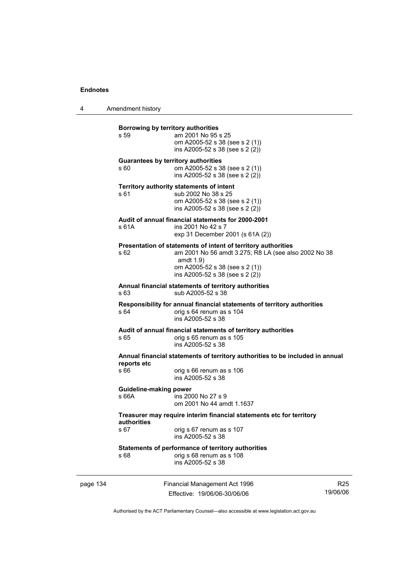4 Amendment history

|  | s 59                                                                                                                                                                                                                  | Borrowing by territory authorities<br>am 2001 No 95 s 25<br>om A2005-52 s 38 (see s 2 (1))<br>ins A2005-52 s 38 (see s 2 (2))                                                                            |                                                               |                           |
|--|-----------------------------------------------------------------------------------------------------------------------------------------------------------------------------------------------------------------------|----------------------------------------------------------------------------------------------------------------------------------------------------------------------------------------------------------|---------------------------------------------------------------|---------------------------|
|  | <b>Guarantees by territory authorities</b><br>s 60<br>om A2005-52 s 38 (see s 2 (1))<br>ins A2005-52 s 38 (see s 2 (2))                                                                                               |                                                                                                                                                                                                          |                                                               |                           |
|  | s 61                                                                                                                                                                                                                  | Territory authority statements of intent<br>sub 2002 No 38 s 25<br>om A2005-52 s 38 (see s 2 (1))<br>ins A2005-52 s 38 (see s 2 (2))                                                                     |                                                               |                           |
|  | s 61A                                                                                                                                                                                                                 | Audit of annual financial statements for 2000-2001<br>ins 2001 No 42 s 7<br>exp 31 December 2001 (s 61A (2))                                                                                             |                                                               |                           |
|  | s 62                                                                                                                                                                                                                  | Presentation of statements of intent of territory authorities<br>am 2001 No 56 amdt 3.275; R8 LA (see also 2002 No 38<br>amdt $1.9$<br>om A2005-52 s 38 (see s 2 (1))<br>ins A2005-52 s 38 (see s 2 (2)) |                                                               |                           |
|  | Annual financial statements of territory authorities<br>sub A2005-52 s 38<br>s 63<br>Responsibility for annual financial statements of territory authorities<br>s 64<br>orig s 64 renum as s 104<br>ins A2005-52 s 38 |                                                                                                                                                                                                          |                                                               |                           |
|  |                                                                                                                                                                                                                       |                                                                                                                                                                                                          |                                                               |                           |
|  | Annual financial statements of territory authorities to be included in annual                                                                                                                                         |                                                                                                                                                                                                          |                                                               |                           |
|  | reports etc<br>s 66                                                                                                                                                                                                   | orig s 66 renum as s 106<br>ins A2005-52 s 38                                                                                                                                                            |                                                               |                           |
|  | Guideline-making power<br>s 66A                                                                                                                                                                                       | ins 2000 No 27 s 9<br>om 2001 No 44 amdt 1.1637                                                                                                                                                          |                                                               |                           |
|  | Treasurer may require interim financial statements etc for territory<br>authorities                                                                                                                                   |                                                                                                                                                                                                          |                                                               |                           |
|  | s 67                                                                                                                                                                                                                  | orig s 67 renum as s 107<br>ins A2005-52 s 38                                                                                                                                                            |                                                               |                           |
|  | s 68                                                                                                                                                                                                                  | Statements of performance of territory authorities<br>orig s 68 renum as s 108<br>ins A2005-52 s 38                                                                                                      |                                                               |                           |
|  | page 134                                                                                                                                                                                                              |                                                                                                                                                                                                          | Financial Management Act 1996<br>Effective: 19/06/06-30/06/06 | R <sub>2</sub><br>19/06/C |

19/06/06

R25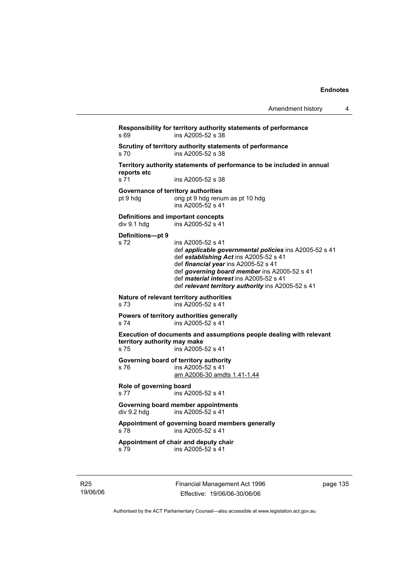| Amendment history |  |
|-------------------|--|
|-------------------|--|

**Responsibility for territory authority statements of performance**  s 69 ins A2005-52 s 38 **Scrutiny of territory authority statements of performance**  s 70 ins A2005-52 s 38 **Territory authority statements of performance to be included in annual reports etc**  s 71 ins A2005-52 s 38 **Governance of territory authorities**  pt 9 hdg orig pt 9 hdg renum as pt 10 hdg ins A2005-52 s 41 **Definitions and important concepts**<br>div 9.1 hdg ins A2005-52 s 41 .<br>ins A2005-52 s 41 **Definitions—pt 9**  s 72 ins A2005-52 s 41 def *applicable governmental policies* ins A2005-52 s 41 def *establishing Act* ins A2005-52 s 41 def *financial year* ins A2005-52 s 41 def *governing board member* ins A2005-52 s 41 def *material interest* ins A2005-52 s 41 def *relevant territory authority* ins A2005-52 s 41 **Nature of relevant territory authorities**  s 73 ins A2005-52 s 41 **Powers of territory authorities generally**  s 74 ins A2005-52 s 41 **Execution of documents and assumptions people dealing with relevant territory authority may make**  ins A2005-52 s 41 **Governing board of territory authority**  s 76 ins A2005-52 s 41 am A2006-30 amdts 1.41-1.44 **Role of governing board**  s 77 ins A2005-52 s 41 **Governing board member appointments**  div 9.2 hdg ins A2005-52 s 41 **Appointment of governing board members generally**  s 78 ins A2005-52 s 41 **Appointment of chair and deputy chair**  s 79 ins A2005-52 s 41

R25 19/06/06 Financial Management Act 1996 Effective: 19/06/06-30/06/06

page 135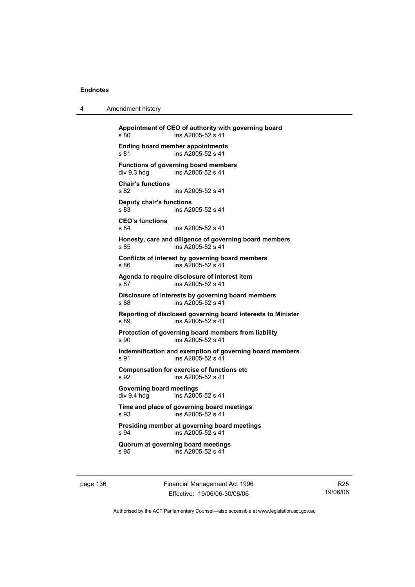| 4 | Amendment history |
|---|-------------------|
|---|-------------------|

**Appointment of CEO of authority with governing board**  s 80 ins A2005-52 s 41 **Ending board member appointments**  s 81 ins A2005-52 s 41 **Functions of governing board members**<br>div 9.3 hdg ins A2005-52 s 41 ins A2005-52 s 41 **Chair's functions**  s 82 ins A2005-52 s 41 **Deputy chair's functions**  ins A2005-52 s 41 **CEO's functions**  s 84 ins A2005-52 s 41 **Honesty, care and diligence of governing board members**  s 85 ins A2005-52 s 41 **Conflicts of interest by governing board members**  s 86 ins A2005-52 s 41 **Agenda to require disclosure of interest item**  s 87 ins A2005-52 s 41 **Disclosure of interests by governing board members**  s 88 ins A2005-52 s 41 **Reporting of disclosed governing board interests to Minister**  s 89 ins A2005-52 s 41 **Protection of governing board members from liability**  s 90 ins A2005-52 s 41 **Indemnification and exemption of governing board members**  s 91 ins A2005-52 s 41 **Compensation for exercise of functions etc**  s 92 ins A2005-52 s 41 **Governing board meetings**  ins  $A2005-52$  s 41 **Time and place of governing board meetings**  s 93 ins A2005-52 s 41 **Presiding member at governing board meetings**  s 94 ins A2005-52 s 41 **Quorum at governing board meetings**  s 95 ins A2005-52 s 41

page 136 Financial Management Act 1996 Effective: 19/06/06-30/06/06

R25 19/06/06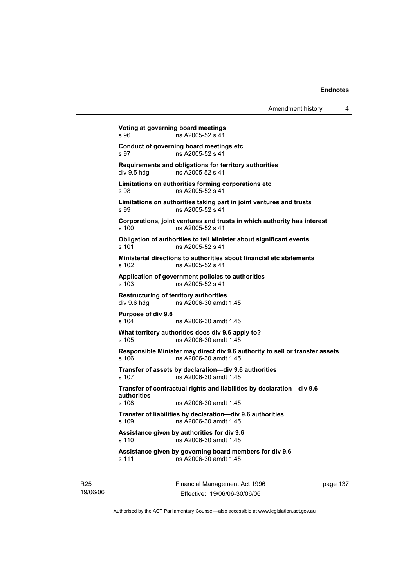| Amendment history |  |
|-------------------|--|
|-------------------|--|

**Voting at governing board meetings**  s 96 ins A2005-52 s 41 **Conduct of governing board meetings etc**  s 97 ins A2005-52 s 41 **Requirements and obligations for territory authorities**  div 9.5 hdg ins A2005-52 s 41 **Limitations on authorities forming corporations etc**  s 98 ins A2005-52 s 41 **Limitations on authorities taking part in joint ventures and trusts**  s 99 ins A2005-52 s 41 **Corporations, joint ventures and trusts in which authority has interest**  s 100 ins A2005-52 s 41 **Obligation of authorities to tell Minister about significant events**  s 101 ins A2005-52 s 41 **Ministerial directions to authorities about financial etc statements**  s 102 ins A2005-52 s 41 **Application of government policies to authorities**  s 103 ins A2005-52 s 41 **Restructuring of territory authorities**  div 9.6 hdg ins A2006-30 amdt 1.45 **Purpose of div 9.6**  s 104 ins A2006-30 amdt 1.45 **What territory authorities does div 9.6 apply to?**  s 105 ins A2006-30 amdt 1.45 **Responsible Minister may direct div 9.6 authority to sell or transfer assets**  s 106 ins A2006-30 amdt 1.45 **Transfer of assets by declaration—div 9.6 authorities**  s 107 ins A2006-30 amdt 1.45 **Transfer of contractual rights and liabilities by declaration—div 9.6 authorities**  s 108 ins A2006-30 amdt 1.45 **Transfer of liabilities by declaration—div 9.6 authorities**  s 109 ins A2006-30 amdt 1.45 **Assistance given by authorities for div 9.6**  s 110 ins A2006-30 amdt 1.45 **Assistance given by governing board members for div 9.6**  s 111 ins A2006-30 amdt 1.45

R25 19/06/06 Financial Management Act 1996 Effective: 19/06/06-30/06/06

page 137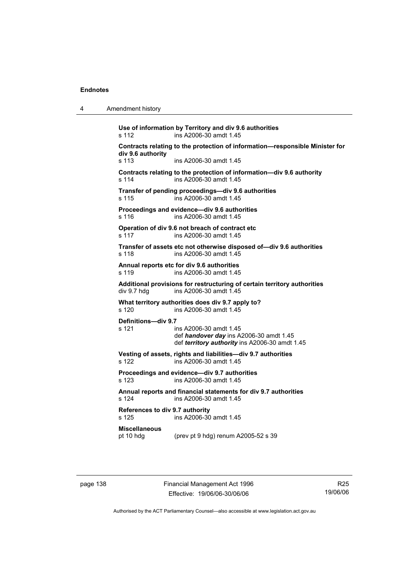| 4 | Amendment history |
|---|-------------------|
|---|-------------------|

**Use of information by Territory and div 9.6 authorities**  s 112 ins A2006-30 amdt 1.45 **Contracts relating to the protection of information—responsible Minister for div 9.6 authority**  s 113 ins A2006-30 amdt 1.45 **Contracts relating to the protection of information—div 9.6 authority**  s 114 ins A2006-30 amdt 1.45 **Transfer of pending proceedings—div 9.6 authorities**  s 115 ins A2006-30 amdt 1.45 **Proceedings and evidence—div 9.6 authorities**  s 116 ins A2006-30 amdt 1.45 **Operation of div 9.6 not breach of contract etc**  s 117 ins A2006-30 amdt 1.45 **Transfer of assets etc not otherwise disposed of—div 9.6 authorities**  s 118 ins A2006-30 amdt 1.45 **Annual reports etc for div 9.6 authorities**  s 119 ins A2006-30 amdt 1.45 **Additional provisions for restructuring of certain territory authorities**  div 9.7 hdg ins A2006-30 amdt 1.45 **What territory authorities does div 9.7 apply to?**  s 120 ins A2006-30 amdt 1.45 **Definitions—div 9.7**  s 121 ins A2006-30 amdt 1.45 def *handover day* ins A2006-30 amdt 1.45 def *territory authority* ins A2006-30 amdt 1.45 **Vesting of assets, rights and liabilities—div 9.7 authorities**  s 122 ins A2006-30 amdt 1.45 **Proceedings and evidence—div 9.7 authorities**  s 123 ins A2006-30 amdt 1.45 **Annual reports and financial statements for div 9.7 authorities**  s 124 ins A2006-30 amdt 1.45 **References to div 9.7 authority**  ins A2006-30 amdt 1.45 **Miscellaneous**  pt 10 hdg (prev pt 9 hdg) renum A2005-52 s 39

page 138 Financial Management Act 1996 Effective: 19/06/06-30/06/06

R25 19/06/06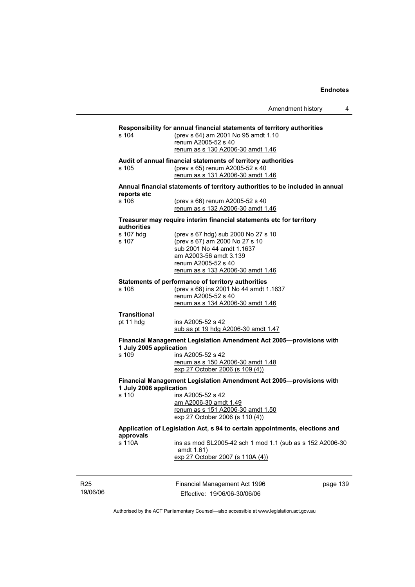|                                  | Amendment history<br>4                                                                                                                                                                    |
|----------------------------------|-------------------------------------------------------------------------------------------------------------------------------------------------------------------------------------------|
| s 104                            | Responsibility for annual financial statements of territory authorities<br>(prev s 64) am 2001 No 95 amdt 1.10<br>renum A2005-52 s 40<br>renum as s 130 A2006-30 amdt 1.46                |
| s 105                            | Audit of annual financial statements of territory authorities<br>(prev s 65) renum A2005-52 s 40<br>renum as s 131 A2006-30 amdt 1.46                                                     |
| reports etc                      | Annual financial statements of territory authorities to be included in annual                                                                                                             |
| s 106                            | (prev s 66) renum A2005-52 s 40<br>renum as s 132 A2006-30 amdt 1.46                                                                                                                      |
| authorities                      | Treasurer may require interim financial statements etc for territory                                                                                                                      |
| s 107 hdg<br>s 107               | (prev s 67 hdg) sub 2000 No 27 s 10<br>(prev s 67) am 2000 No 27 s 10<br>sub 2001 No 44 amdt 1.1637<br>am A2003-56 amdt 3.139<br>renum A2005-52 s 40<br>renum as s 133 A2006-30 amdt 1.46 |
| s 108                            | Statements of performance of territory authorities<br>(prev s 68) ins 2001 No 44 amdt 1.1637<br>renum A2005-52 s 40<br>renum as s 134 A2006-30 amdt 1.46                                  |
| <b>Transitional</b><br>pt 11 hdg | ins A2005-52 s 42<br>sub as pt 19 hdg A2006-30 amdt 1.47                                                                                                                                  |
| 1 July 2005 application<br>s 109 | Financial Management Legislation Amendment Act 2005-provisions with<br>ins A2005-52 s 42<br>renum as s 150 A2006-30 amdt 1.48<br>exp 27 October 2006 (s 109 (4))                          |
|                                  | Financial Management Legislation Amendment Act 2005-provisions with                                                                                                                       |
| 1 July 2006 application<br>s 110 | ins A2005-52 s 42<br>am A2006-30 amdt 1.49<br>renum as s 151 A2006-30 amdt 1.50<br>exp 27 October 2006 (s 110 (4))                                                                        |
| approvals                        | Application of Legislation Act, s 94 to certain appointments, elections and                                                                                                               |
| s 110A                           | ins as mod SL2005-42 sch 1 mod 1.1 (sub as s 152 A2006-30<br><u>amdt 1.61</u> )<br>exp 27 October 2007 (s 110A (4))                                                                       |
|                                  | Financial Management Act 1996<br>page 139<br>Effective: 19/06/06-30/06/06                                                                                                                 |

Authorised by the ACT Parliamentary Counsel—also accessible at www.legislation.act.gov.au

R25 19/06/06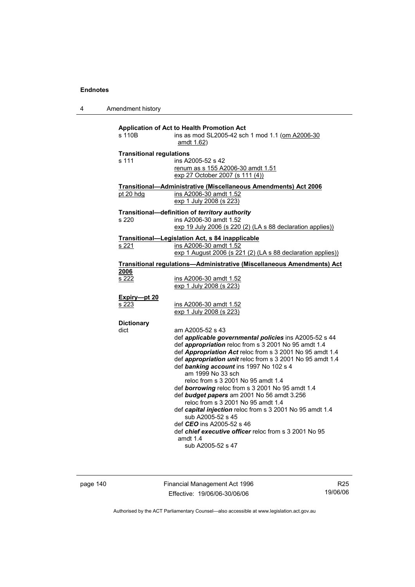4 Amendment history

| s 110 <sub>B</sub>                       | <b>Application of Act to Health Promotion Act</b><br>ins as mod SL2005-42 sch 1 mod 1.1 (om A2006-30<br>amdt 1.62)                                                                                                                                                                                                                                                                                                                                                                                                                                                                                                                                                                                                       |
|------------------------------------------|--------------------------------------------------------------------------------------------------------------------------------------------------------------------------------------------------------------------------------------------------------------------------------------------------------------------------------------------------------------------------------------------------------------------------------------------------------------------------------------------------------------------------------------------------------------------------------------------------------------------------------------------------------------------------------------------------------------------------|
| <b>Transitional regulations</b><br>s 111 | ins A2005-52 s 42<br>renum as s 155 A2006-30 amdt 1.51<br>exp 27 October 2007 (s 111 (4))                                                                                                                                                                                                                                                                                                                                                                                                                                                                                                                                                                                                                                |
|                                          | Transitional-Administrative (Miscellaneous Amendments) Act 2006                                                                                                                                                                                                                                                                                                                                                                                                                                                                                                                                                                                                                                                          |
| pt 20 hdg                                | ins A2006-30 amdt 1.52<br>exp 1 July 2008 (s 223)                                                                                                                                                                                                                                                                                                                                                                                                                                                                                                                                                                                                                                                                        |
| s <sub>220</sub>                         | Transitional-definition of territory authority<br>ins A2006-30 amdt 1.52<br>exp 19 July 2006 (s 220 (2) (LA s 88 declaration applies))                                                                                                                                                                                                                                                                                                                                                                                                                                                                                                                                                                                   |
| <u>s 221</u>                             | Transitional-Legislation Act, s 84 inapplicable<br>ins A2006-30 amdt 1.52                                                                                                                                                                                                                                                                                                                                                                                                                                                                                                                                                                                                                                                |
|                                          | exp 1 August 2006 (s 221 (2) (LA s 88 declaration applies))<br><b>Transitional regulations-Administrative (Miscellaneous Amendments) Act</b>                                                                                                                                                                                                                                                                                                                                                                                                                                                                                                                                                                             |
| 2006<br>s 222                            | ins A2006-30 amdt 1.52<br>exp 1 July 2008 (s 223)                                                                                                                                                                                                                                                                                                                                                                                                                                                                                                                                                                                                                                                                        |
| Expiry-pt 20                             |                                                                                                                                                                                                                                                                                                                                                                                                                                                                                                                                                                                                                                                                                                                          |
| s 223                                    | ins A2006-30 amdt 1.52<br>exp 1 July 2008 (s 223)                                                                                                                                                                                                                                                                                                                                                                                                                                                                                                                                                                                                                                                                        |
| <b>Dictionary</b>                        |                                                                                                                                                                                                                                                                                                                                                                                                                                                                                                                                                                                                                                                                                                                          |
| dict                                     | am A2005-52 s 43<br>def applicable governmental policies ins A2005-52 s 44<br>def appropriation reloc from s 3 2001 No 95 amdt 1.4<br>def Appropriation Act reloc from s 3 2001 No 95 amdt 1.4<br>def appropriation unit reloc from s 3 2001 No 95 amdt 1.4<br>def banking account ins 1997 No 102 s 4<br>am 1999 No 33 sch<br>reloc from s 3 2001 No 95 amdt 1.4<br>def borrowing reloc from s 3 2001 No 95 amdt 1.4<br>def budget papers am 2001 No 56 amdt 3.256<br>reloc from s 3 2001 No 95 amdt 1.4<br>def capital injection reloc from s 3 2001 No 95 amdt 1.4<br>sub A2005-52 s 45<br>def CEO ins A2005-52 s 46<br>def <i>chief executive officer</i> reloc from s 3 2001 No 95<br>amdt 1.4<br>sub A2005-52 s 47 |

page 140 Financial Management Act 1996 Effective: 19/06/06-30/06/06

R25 19/06/06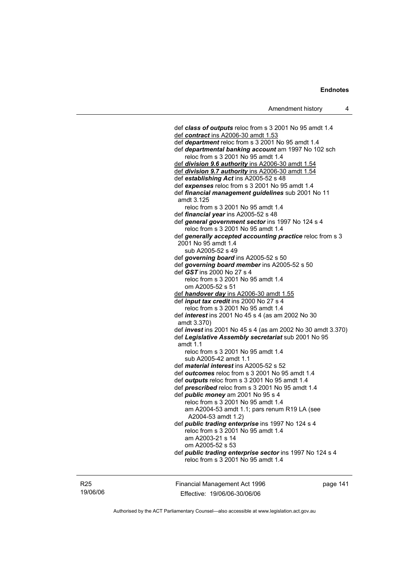def *class of outputs* reloc from s 3 2001 No 95 amdt 1.4 def *contract* ins A2006-30 amdt 1.53 def *department* reloc from s 3 2001 No 95 amdt 1.4 def *departmental banking account* am 1997 No 102 sch reloc from s 3 2001 No 95 amdt 1.4 def *division 9.6 authority* ins A2006-30 amdt 1.54 def *division 9.7 authority* ins A2006-30 amdt 1.54 def *establishing Act* ins A2005-52 s 48 def *expenses* reloc from s 3 2001 No 95 amdt 1.4 def *financial management guidelines* sub 2001 No 11 amdt 3.125 reloc from s 3 2001 No 95 amdt 1.4 def *financial year* ins A2005-52 s 48 def *general government sector* ins 1997 No 124 s 4 reloc from s 3 2001 No 95 amdt 1.4 def *generally accepted accounting practice* reloc from s 3 2001 No 95 amdt 1.4 sub A2005-52 s 49 def *governing board* ins A2005-52 s 50 def *governing board member* ins A2005-52 s 50 def *GST* ins 2000 No 27 s 4 reloc from s 3 2001 No 95 amdt 1.4 om A2005-52 s 51 def *handover day* ins A2006-30 amdt 1.55 def *input tax credit* ins 2000 No 27 s 4 reloc from s 3 2001 No 95 amdt 1.4 def *interest* ins 2001 No 45 s 4 (as am 2002 No 30 amdt 3.370) def *invest* ins 2001 No 45 s 4 (as am 2002 No 30 amdt 3.370) def *Legislative Assembly secretariat* sub 2001 No 95 amdt 1.1 reloc from s 3 2001 No 95 amdt 1.4 sub A2005-42 amdt 1.1 def *material interest* ins A2005-52 s 52 def *outcomes* reloc from s 3 2001 No 95 amdt 1.4 def *outputs* reloc from s 3 2001 No 95 amdt 1.4 def *prescribed* reloc from s 3 2001 No 95 amdt 1.4 def *public money* am 2001 No 95 s 4 reloc from s 3 2001 No 95 amdt 1.4 am A2004-53 amdt 1.1; pars renum R19 LA (see A2004-53 amdt 1.2) def *public trading enterprise* ins 1997 No 124 s 4 reloc from s 3 2001 No 95 amdt 1.4 am A2003-21 s 14 om A2005-52 s 53 def *public trading enterprise sector* ins 1997 No 124 s 4 reloc from s 3 2001 No 95 amdt 1.4

R25 19/06/06 Financial Management Act 1996 Effective: 19/06/06-30/06/06

page 141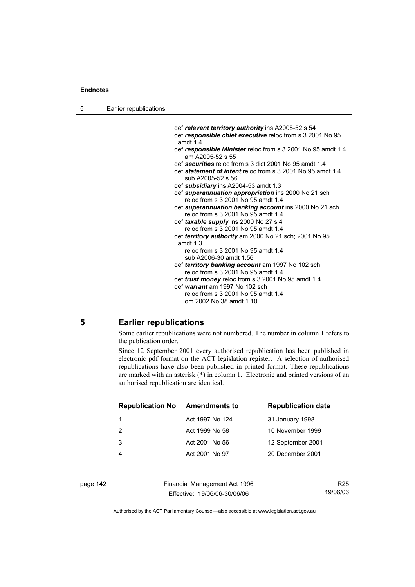| 5 | Earlier republications |
|---|------------------------|
|---|------------------------|

 def *relevant territory authority* ins A2005-52 s 54 def *responsible chief executive* reloc from s 3 2001 No 95 amdt 1.4 def *responsible Minister* reloc from s 3 2001 No 95 amdt 1.4 am A2005-52 s 55 def *securities* reloc from s 3 dict 2001 No 95 amdt 1.4 def *statement of intent* reloc from s 3 2001 No 95 amdt 1.4 sub A2005-52 s 56 def *subsidiary* ins A2004-53 amdt 1.3 def *superannuation appropriation* ins 2000 No 21 sch reloc from s 3 2001 No 95 amdt 1.4 def *superannuation banking account* ins 2000 No 21 sch reloc from s 3 2001 No 95 amdt 1.4 def *taxable supply* ins 2000 No 27 s 4 reloc from s 3 2001 No 95 amdt 1.4 def *territory authority* am 2000 No 21 sch; 2001 No 95 amdt 1.3 reloc from s 3 2001 No 95 amdt 1.4 sub A2006-30 amdt 1.56 def *territory banking account* am 1997 No 102 sch reloc from s 3 2001 No 95 amdt 1.4 def *trust money* reloc from s 3 2001 No 95 amdt 1.4 def *warrant* am 1997 No 102 sch reloc from s 3 2001 No 95 amdt 1.4 om 2002 No 38 amdt 1.10

#### **5 Earlier republications**

Some earlier republications were not numbered. The number in column 1 refers to the publication order.

Since 12 September 2001 every authorised republication has been published in electronic pdf format on the ACT legislation register. A selection of authorised republications have also been published in printed format. These republications are marked with an asterisk (\*) in column 1. Electronic and printed versions of an authorised republication are identical.

| <b>Republication No</b> | Amendments to   | <b>Republication date</b> |
|-------------------------|-----------------|---------------------------|
|                         | Act 1997 No 124 | 31 January 1998           |
| 2                       | Act 1999 No 58  | 10 November 1999          |
| 3                       | Act 2001 No 56  | 12 September 2001         |
|                         | Act 2001 No 97  | 20 December 2001          |
|                         |                 |                           |

| page 142 |  |
|----------|--|
|----------|--|

page 142 Financial Management Act 1996 Effective: 19/06/06-30/06/06

R25 19/06/06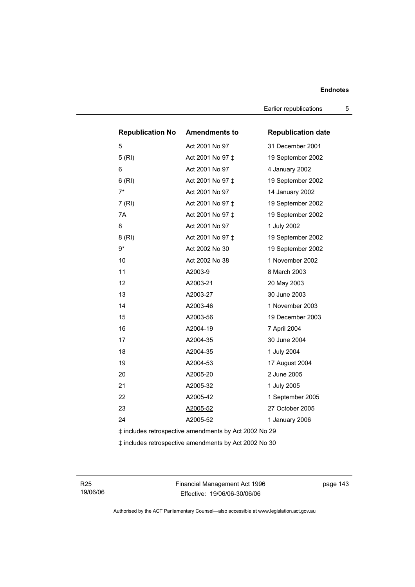Earlier republications 5

| <b>Republication No Amendments to</b> |                                                       | <b>Republication date</b> |
|---------------------------------------|-------------------------------------------------------|---------------------------|
| 5                                     | Act 2001 No 97                                        | 31 December 2001          |
| 5(RI)                                 | Act 2001 No 97 ‡                                      | 19 September 2002         |
| 6                                     | Act 2001 No 97                                        | 4 January 2002            |
| 6(RI)                                 | Act 2001 No 97 ‡                                      | 19 September 2002         |
| $7^*$                                 | Act 2001 No 97                                        | 14 January 2002           |
| 7 (RI)                                | Act 2001 No 97 ‡                                      | 19 September 2002         |
| 7A                                    | Act 2001 No 97 ‡                                      | 19 September 2002         |
| 8                                     | Act 2001 No 97                                        | 1 July 2002               |
| 8(RI)                                 | Act 2001 No 97 ‡                                      | 19 September 2002         |
| 9*                                    | Act 2002 No 30                                        | 19 September 2002         |
| 10                                    | Act 2002 No 38                                        | 1 November 2002           |
| 11                                    | A2003-9                                               | 8 March 2003              |
| 12                                    | A2003-21                                              | 20 May 2003               |
| 13                                    | A2003-27                                              | 30 June 2003              |
| 14                                    | A2003-46                                              | 1 November 2003           |
| 15                                    | A2003-56                                              | 19 December 2003          |
| 16                                    | A2004-19                                              | 7 April 2004              |
| 17                                    | A2004-35                                              | 30 June 2004              |
| 18                                    | A2004-35                                              | 1 July 2004               |
| 19                                    | A2004-53                                              | 17 August 2004            |
| 20                                    | A2005-20                                              | 2 June 2005               |
| 21                                    | A2005-32                                              | 1 July 2005               |
| 22                                    | A2005-42                                              | 1 September 2005          |
| 23                                    | A2005-52                                              | 27 October 2005           |
| 24                                    | A2005-52                                              | 1 January 2006            |
|                                       | ‡ includes retrospective amendments by Act 2002 No 29 |                           |
|                                       | ‡ includes retrospective amendments by Act 2002 No 30 |                           |

R25 19/06/06 Financial Management Act 1996 Effective: 19/06/06-30/06/06

page 143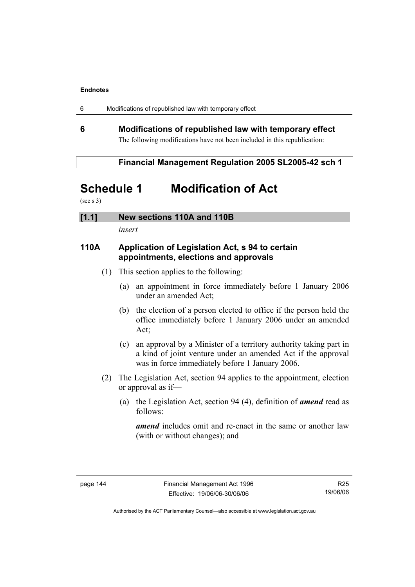|  | Modifications of republished law with temporary effect |  |
|--|--------------------------------------------------------|--|
|--|--------------------------------------------------------|--|

# **6 Modifications of republished law with temporary effect**  The following modifications have not been included in this republication:

 **Financial Management Regulation 2005 SL2005-42 sch 1** 

# **Schedule 1 Modification of Act**

(see s 3)

**[1.1] New sections 110A and 110B** 

*insert* 

# **110A Application of Legislation Act, s 94 to certain appointments, elections and approvals**

- (1) This section applies to the following:
	- (a) an appointment in force immediately before 1 January 2006 under an amended Act;
	- (b) the election of a person elected to office if the person held the office immediately before 1 January 2006 under an amended Act;
	- (c) an approval by a Minister of a territory authority taking part in a kind of joint venture under an amended Act if the approval was in force immediately before 1 January 2006.
- (2) The Legislation Act, section 94 applies to the appointment, election or approval as if—
	- (a) the Legislation Act, section 94 (4), definition of *amend* read as follows:

 *amend* includes omit and re-enact in the same or another law (with or without changes); and

R25 19/06/06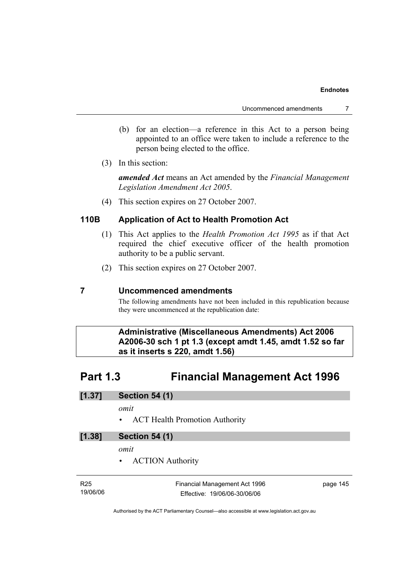- (b) for an election—a reference in this Act to a person being appointed to an office were taken to include a reference to the person being elected to the office.
- (3) In this section:

*amended Act* means an Act amended by the *Financial Management Legislation Amendment Act 2005*.

(4) This section expires on 27 October 2007.

# **110B Application of Act to Health Promotion Act**

- (1) This Act applies to the *Health Promotion Act 1995* as if that Act required the chief executive officer of the health promotion authority to be a public servant.
- (2) This section expires on 27 October 2007.

# **7 Uncommenced amendments**

The following amendments have not been included in this republication because they were uncommenced at the republication date:

 **Administrative (Miscellaneous Amendments) Act 2006 A2006-30 sch 1 pt 1.3 (except amdt 1.45, amdt 1.52 so far as it inserts s 220, amdt 1.56)** 

# **Part 1.3 Financial Management Act 1996**

| [1.37]<br><b>Section 54 (1)</b> |
|---------------------------------|
|---------------------------------|

*omit* 

• ACT Health Promotion Authority

# **[1.38] Section 54 (1)**

*omit* 

• ACTION Authority

| R25      | Financial Management Act 1996 | page 145 |
|----------|-------------------------------|----------|
| 19/06/06 | Effective: 19/06/06-30/06/06  |          |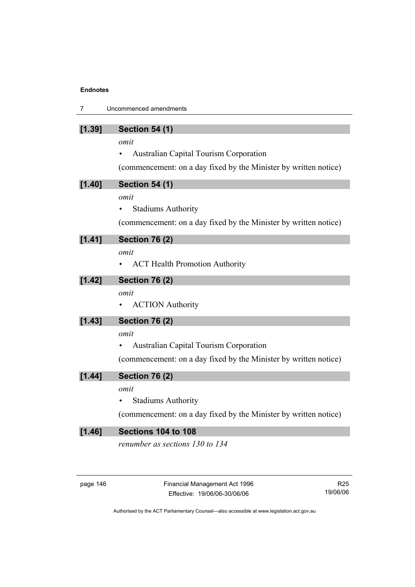| 7      | Uncommenced amendments                                                                                                                                                                             |  |
|--------|----------------------------------------------------------------------------------------------------------------------------------------------------------------------------------------------------|--|
| [1.39] | <b>Section 54 (1)</b><br>omit<br><b>Australian Capital Tourism Corporation</b>                                                                                                                     |  |
| [1.40] | (commencement: on a day fixed by the Minister by written notice)<br><b>Section 54 (1)</b><br>omit<br><b>Stadiums Authority</b><br>(commencement: on a day fixed by the Minister by written notice) |  |
| [1.41] | <b>Section 76 (2)</b><br>omit<br><b>ACT Health Promotion Authority</b>                                                                                                                             |  |
| [1.42] | <b>Section 76 (2)</b><br>omit<br><b>ACTION</b> Authority                                                                                                                                           |  |
| [1.43] | <b>Section 76 (2)</b><br>omit<br><b>Australian Capital Tourism Corporation</b><br>(commencement: on a day fixed by the Minister by written notice)                                                 |  |
| [1.44] | <b>Section 76 (2)</b><br>omit<br><b>Stadiums Authority</b><br>(commencement: on a day fixed by the Minister by written notice)                                                                     |  |
| [1.46] | Sections 104 to 108<br>renumber as sections 130 to 134                                                                                                                                             |  |

| page 146 |  |
|----------|--|
|----------|--|

Financial Management Act 1996 Effective: 19/06/06-30/06/06

R25 19/06/06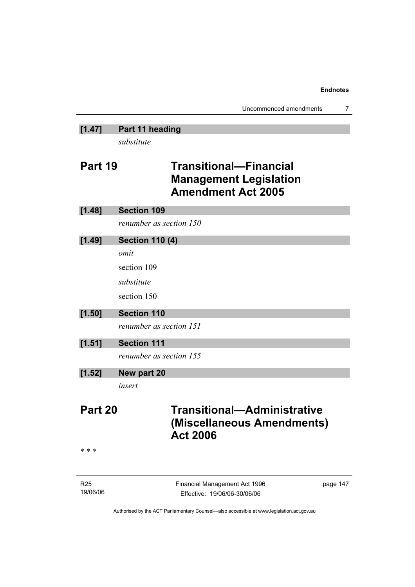# **[1.47] Part 11 heading**

*substitute* 

# **Part 19 Transitional—Financial Management Legislation Amendment Act 2005**

| [1.48]                      | <b>Section 109</b>                                                                  |  |  |
|-----------------------------|-------------------------------------------------------------------------------------|--|--|
|                             | renumber as section 150                                                             |  |  |
| [1.49]                      | <b>Section 110 (4)</b>                                                              |  |  |
|                             | omit                                                                                |  |  |
|                             | section 109                                                                         |  |  |
|                             | substitute                                                                          |  |  |
|                             | section 150                                                                         |  |  |
| [1.50]                      | <b>Section 110</b>                                                                  |  |  |
|                             | renumber as section 151                                                             |  |  |
| [1.51]                      | <b>Section 111</b>                                                                  |  |  |
|                             | renumber as section 155                                                             |  |  |
| [1.52]                      | New part 20                                                                         |  |  |
|                             | insert                                                                              |  |  |
| Part 20                     | <b>Transitional-Administrative</b><br>(Miscellaneous Amendments)<br><b>Act 2006</b> |  |  |
| * * *                       |                                                                                     |  |  |
| R <sub>25</sub><br>19/06/06 | Financial Management Act 1996<br>page 147<br>Effective: 19/06/06-30/06/06           |  |  |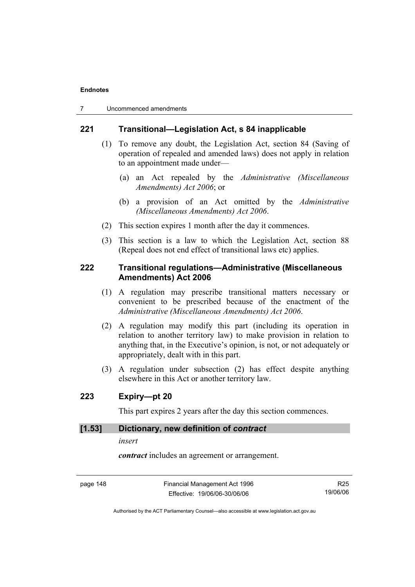7 Uncommenced amendments

## **221 Transitional—Legislation Act, s 84 inapplicable**

- (1) To remove any doubt, the Legislation Act, section 84 (Saving of operation of repealed and amended laws) does not apply in relation to an appointment made under—
	- (a) an Act repealed by the *Administrative (Miscellaneous Amendments) Act 2006*; or
	- (b) a provision of an Act omitted by the *Administrative (Miscellaneous Amendments) Act 2006*.
- (2) This section expires 1 month after the day it commences.
- (3) This section is a law to which the Legislation Act, section 88 (Repeal does not end effect of transitional laws etc) applies.

# **222 Transitional regulations—Administrative (Miscellaneous Amendments) Act 2006**

- (1) A regulation may prescribe transitional matters necessary or convenient to be prescribed because of the enactment of the *Administrative (Miscellaneous Amendments) Act 2006*.
- (2) A regulation may modify this part (including its operation in relation to another territory law) to make provision in relation to anything that, in the Executive's opinion, is not, or not adequately or appropriately, dealt with in this part.
- (3) A regulation under subsection (2) has effect despite anything elsewhere in this Act or another territory law.

# **223 Expiry—pt 20**

This part expires 2 years after the day this section commences.

#### **[1.53] Dictionary, new definition of** *contract*

*insert* 

*contract* includes an agreement or arrangement.

page 148 Financial Management Act 1996 Effective: 19/06/06-30/06/06

R25 19/06/06